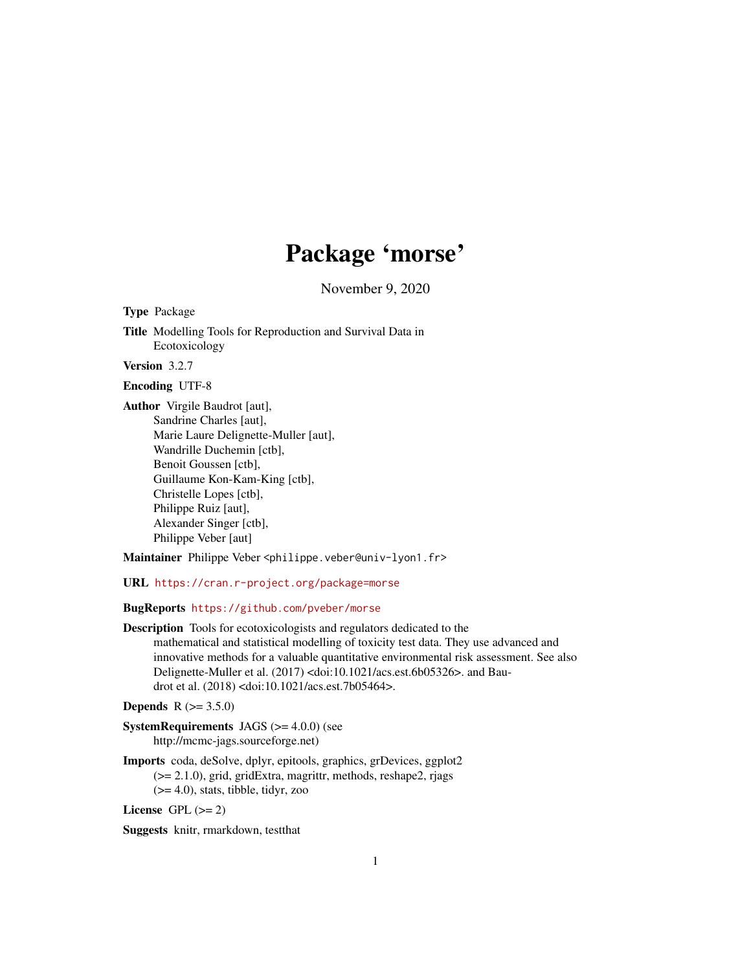# Package 'morse'

November 9, 2020

<span id="page-0-0"></span>Type Package

Title Modelling Tools for Reproduction and Survival Data in Ecotoxicology

Version 3.2.7

Encoding UTF-8

Author Virgile Baudrot [aut], Sandrine Charles [aut], Marie Laure Delignette-Muller [aut], Wandrille Duchemin [ctb], Benoit Goussen [ctb], Guillaume Kon-Kam-King [ctb], Christelle Lopes [ctb], Philippe Ruiz [aut], Alexander Singer [ctb], Philippe Veber [aut]

Maintainer Philippe Veber <philippe.veber@univ-lyon1.fr>

URL <https://cran.r-project.org/package=morse>

BugReports <https://github.com/pveber/morse>

Description Tools for ecotoxicologists and regulators dedicated to the mathematical and statistical modelling of toxicity test data. They use advanced and innovative methods for a valuable quantitative environmental risk assessment. See also Delignette-Muller et al. (2017) <doi:10.1021/acs.est.6b05326>. and Baudrot et al. (2018) <doi:10.1021/acs.est.7b05464>.

**Depends** R  $(>= 3.5.0)$ 

SystemRequirements JAGS (>= 4.0.0) (see http://mcmc-jags.sourceforge.net)

Imports coda, deSolve, dplyr, epitools, graphics, grDevices, ggplot2 (>= 2.1.0), grid, gridExtra, magrittr, methods, reshape2, rjags (>= 4.0), stats, tibble, tidyr, zoo

License GPL  $(>= 2)$ 

Suggests knitr, rmarkdown, testthat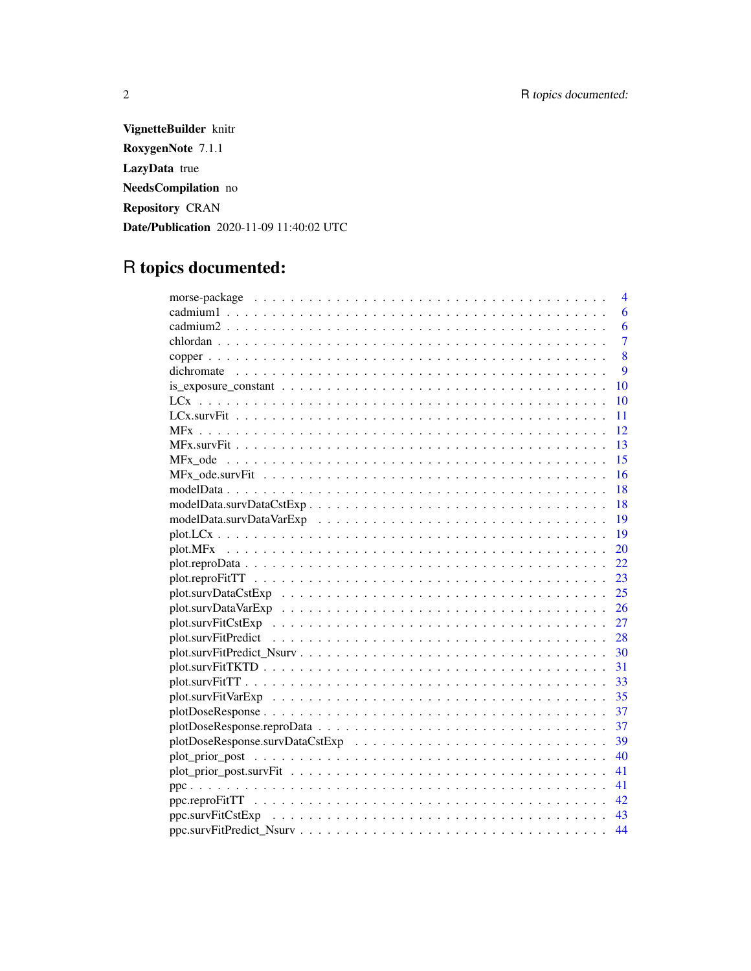VignetteBuilder knitr RoxygenNote 7.1.1 LazyData true NeedsCompilation no Repository CRAN Date/Publication 2020-11-09 11:40:02 UTC

# R topics documented:

| $\overline{4}$ |
|----------------|
| 6              |
| 6              |
| $\overline{7}$ |
| 8              |
| 9              |
| 10             |
| 10             |
| 11             |
| 12             |
| 13             |
| 15             |
| 16             |
| 18             |
| -18            |
| $-19$          |
| 19             |
| 20             |
| 22             |
| 23             |
| 25             |
| 26             |
| 27             |
| 28             |
|                |
|                |
|                |
|                |
| 37             |
| 37             |
| 39             |
| 40             |
| 41             |
| 41             |
| 42             |
| 43             |
| 44             |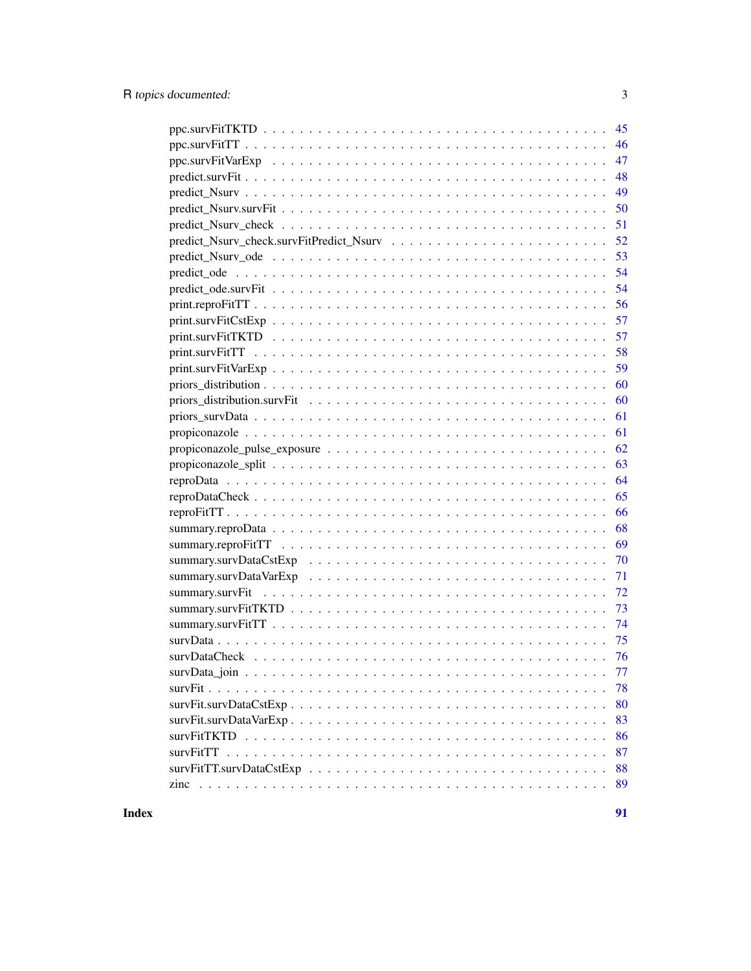| 45  |
|-----|
| 46  |
| 47  |
| 48  |
| 49  |
| 50  |
| 51  |
| 52  |
| 53  |
| 54  |
| 54  |
| 56  |
| 57  |
| 57  |
| 58  |
| 59  |
| 60  |
| 60  |
| 61  |
| 61  |
| 62  |
| 63  |
| 64  |
| 65  |
| 66  |
| 68  |
| 69  |
| 70  |
| 71  |
| -72 |
| 73  |
| 74  |
| 75  |
| 76  |
| 77  |
| 78  |
| 80  |
| 83  |
| 86  |
| 87  |
| 88  |
| 89  |
|     |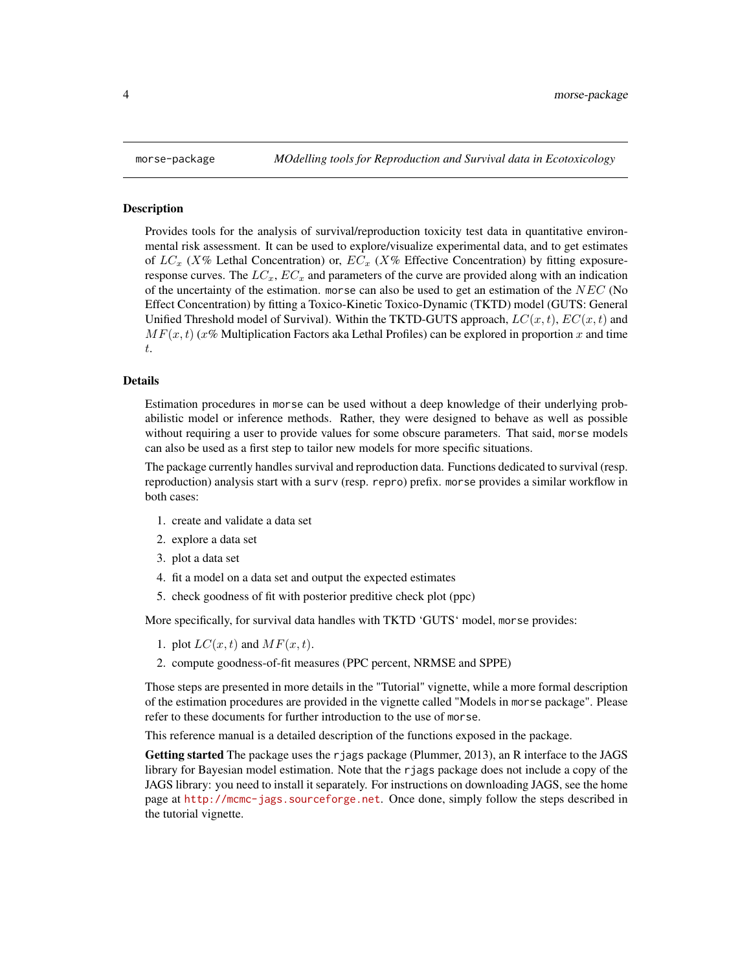<span id="page-3-0"></span>

#### Description

Provides tools for the analysis of survival/reproduction toxicity test data in quantitative environmental risk assessment. It can be used to explore/visualize experimental data, and to get estimates of  $LC_x$  (X% Lethal Concentration) or,  $EC_x$  (X% Effective Concentration) by fitting exposureresponse curves. The  $LC_x$ ,  $EC_x$  and parameters of the curve are provided along with an indication of the uncertainty of the estimation. morse can also be used to get an estimation of the  $NEC$  (No Effect Concentration) by fitting a Toxico-Kinetic Toxico-Dynamic (TKTD) model (GUTS: General Unified Threshold model of Survival). Within the TKTD-GUTS approach,  $LC(x, t)$ ,  $EC(x, t)$  and  $MF(x, t)$  (x% Multiplication Factors aka Lethal Profiles) can be explored in proportion x and time t.

#### Details

Estimation procedures in morse can be used without a deep knowledge of their underlying probabilistic model or inference methods. Rather, they were designed to behave as well as possible without requiring a user to provide values for some obscure parameters. That said, morse models can also be used as a first step to tailor new models for more specific situations.

The package currently handles survival and reproduction data. Functions dedicated to survival (resp. reproduction) analysis start with a surv (resp. repro) prefix. morse provides a similar workflow in both cases:

- 1. create and validate a data set
- 2. explore a data set
- 3. plot a data set
- 4. fit a model on a data set and output the expected estimates
- 5. check goodness of fit with posterior preditive check plot (ppc)

More specifically, for survival data handles with TKTD 'GUTS' model, morse provides:

- 1. plot  $LC(x, t)$  and  $MF(x, t)$ .
- 2. compute goodness-of-fit measures (PPC percent, NRMSE and SPPE)

Those steps are presented in more details in the "Tutorial" vignette, while a more formal description of the estimation procedures are provided in the vignette called "Models in morse package". Please refer to these documents for further introduction to the use of morse.

This reference manual is a detailed description of the functions exposed in the package.

Getting started The package uses the rjags package (Plummer, 2013), an R interface to the JAGS library for Bayesian model estimation. Note that the rjags package does not include a copy of the JAGS library: you need to install it separately. For instructions on downloading JAGS, see the home page at <http://mcmc-jags.sourceforge.net>. Once done, simply follow the steps described in the tutorial vignette.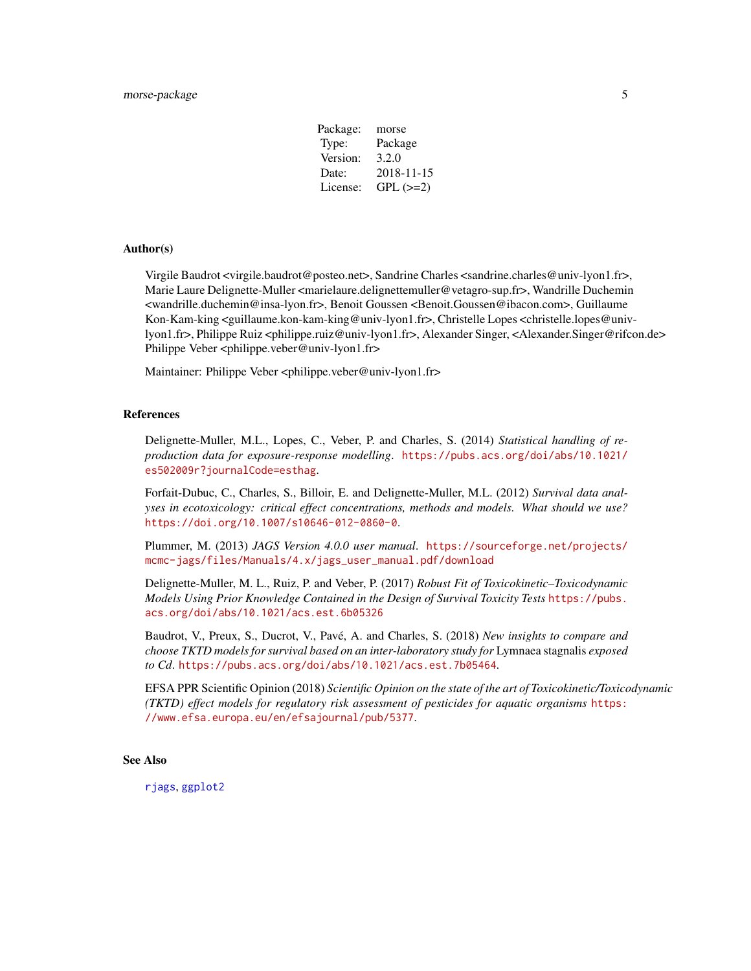| Package: | morse      |
|----------|------------|
| Type:    | Package    |
| Version: | 3.2.0      |
| Date:    | 2018-11-15 |
| License: | $GPL (=2)$ |
|          |            |

#### Author(s)

Virgile Baudrot <virgile.baudrot@posteo.net>, Sandrine Charles <sandrine.charles@univ-lyon1.fr>, Marie Laure Delignette-Muller <marielaure.delignettemuller@vetagro-sup.fr>, Wandrille Duchemin <wandrille.duchemin@insa-lyon.fr>, Benoit Goussen <Benoit.Goussen@ibacon.com>, Guillaume Kon-Kam-king <guillaume.kon-kam-king@univ-lyon1.fr>, Christelle Lopes <christelle.lopes@univlyon1.fr>, Philippe Ruiz <philippe.ruiz@univ-lyon1.fr>, Alexander Singer, <Alexander.Singer@rifcon.de> Philippe Veber <philippe.veber@univ-lyon1.fr>

Maintainer: Philippe Veber <philippe.veber@univ-lyon1.fr>

#### References

Delignette-Muller, M.L., Lopes, C., Veber, P. and Charles, S. (2014) *Statistical handling of reproduction data for exposure-response modelling*. [https://pubs.acs.org/doi/abs/10.1021/](https://pubs.acs.org/doi/abs/10.1021/es502009r?journalCode=esthag) [es502009r?journalCode=esthag](https://pubs.acs.org/doi/abs/10.1021/es502009r?journalCode=esthag).

Forfait-Dubuc, C., Charles, S., Billoir, E. and Delignette-Muller, M.L. (2012) *Survival data analyses in ecotoxicology: critical effect concentrations, methods and models. What should we use?* <https://doi.org/10.1007/s10646-012-0860-0>.

Plummer, M. (2013) *JAGS Version 4.0.0 user manual*. [https://sourceforge.net/projects/](https://sourceforge.net/projects/mcmc-jags/files/Manuals/4.x/jags_user_manual.pdf/download) [mcmc-jags/files/Manuals/4.x/jags\\_user\\_manual.pdf/download](https://sourceforge.net/projects/mcmc-jags/files/Manuals/4.x/jags_user_manual.pdf/download)

Delignette-Muller, M. L., Ruiz, P. and Veber, P. (2017) *Robust Fit of Toxicokinetic–Toxicodynamic Models Using Prior Knowledge Contained in the Design of Survival Toxicity Tests* [https://pubs.](https://pubs.acs.org/doi/abs/10.1021/acs.est.6b05326) [acs.org/doi/abs/10.1021/acs.est.6b05326](https://pubs.acs.org/doi/abs/10.1021/acs.est.6b05326)

Baudrot, V., Preux, S., Ducrot, V., Pavé, A. and Charles, S. (2018) *New insights to compare and choose TKTD models for survival based on an inter-laboratory study for* Lymnaea stagnalis *exposed to Cd*. <https://pubs.acs.org/doi/abs/10.1021/acs.est.7b05464>.

EFSA PPR Scientific Opinion (2018) *Scientific Opinion on the state of the art of Toxicokinetic/Toxicodynamic (TKTD) effect models for regulatory risk assessment of pesticides for aquatic organisms* [https:](https://www.efsa.europa.eu/en/efsajournal/pub/5377) [//www.efsa.europa.eu/en/efsajournal/pub/5377](https://www.efsa.europa.eu/en/efsajournal/pub/5377).

#### See Also

[rjags](#page-0-0), [ggplot2](#page-0-0)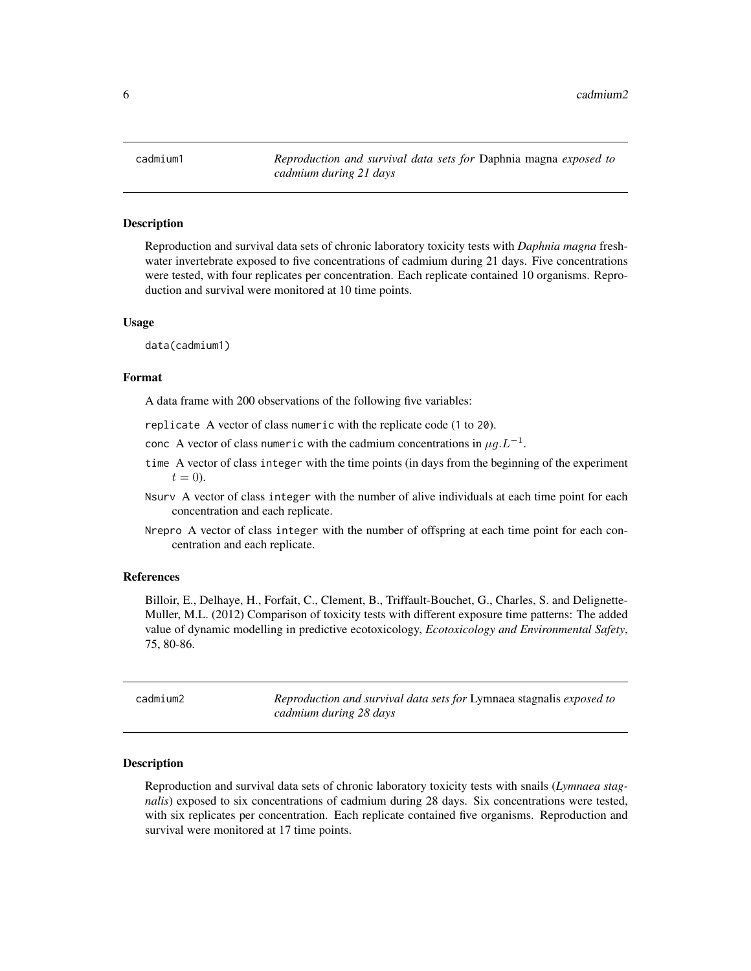<span id="page-5-0"></span>cadmium1 *Reproduction and survival data sets for* Daphnia magna *exposed to cadmium during 21 days*

# Description

Reproduction and survival data sets of chronic laboratory toxicity tests with *Daphnia magna* freshwater invertebrate exposed to five concentrations of cadmium during 21 days. Five concentrations were tested, with four replicates per concentration. Each replicate contained 10 organisms. Reproduction and survival were monitored at 10 time points.

# Usage

data(cadmium1)

#### Format

A data frame with 200 observations of the following five variables:

replicate A vector of class numeric with the replicate code (1 to 20).

- conc A vector of class numeric with the cadmium concentrations in  $\mu g . L^{-1}$ .
- time A vector of class integer with the time points (in days from the beginning of the experiment  $t=0$ ).
- Nsurv A vector of class integer with the number of alive individuals at each time point for each concentration and each replicate.
- Nrepro A vector of class integer with the number of offspring at each time point for each concentration and each replicate.

#### References

Billoir, E., Delhaye, H., Forfait, C., Clement, B., Triffault-Bouchet, G., Charles, S. and Delignette-Muller, M.L. (2012) Comparison of toxicity tests with different exposure time patterns: The added value of dynamic modelling in predictive ecotoxicology, *Ecotoxicology and Environmental Safety*, 75, 80-86.

| cadmium2 | Reproduction and survival data sets for Lymnaea stagnalis exposed to<br>cadmium during 28 days |
|----------|------------------------------------------------------------------------------------------------|
|          |                                                                                                |

# Description

Reproduction and survival data sets of chronic laboratory toxicity tests with snails (*Lymnaea stagnalis*) exposed to six concentrations of cadmium during 28 days. Six concentrations were tested, with six replicates per concentration. Each replicate contained five organisms. Reproduction and survival were monitored at 17 time points.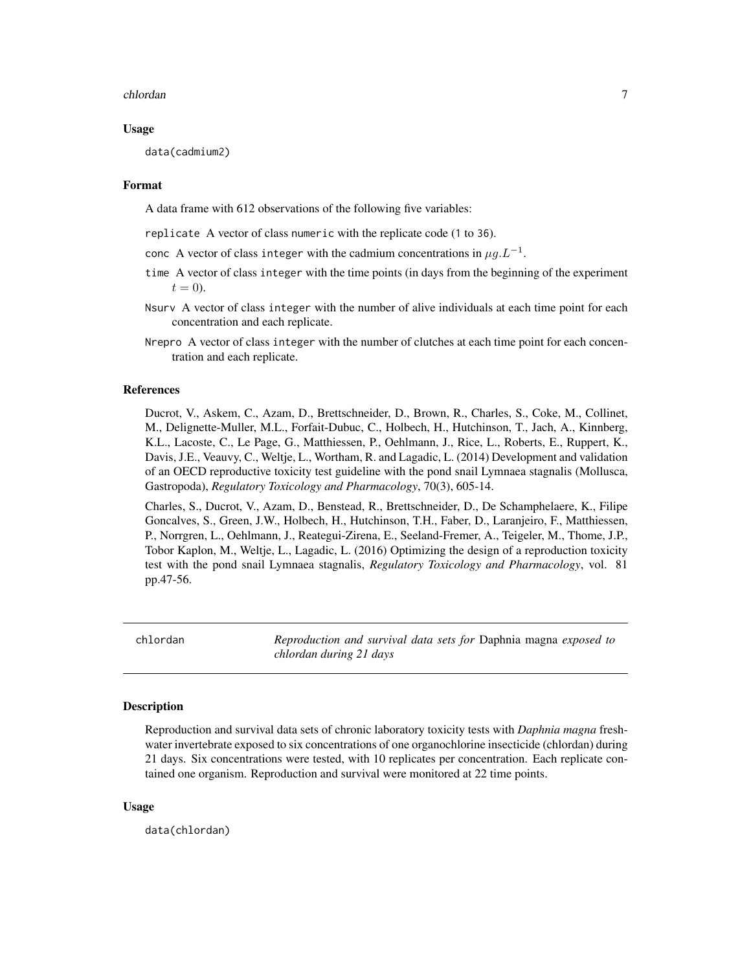#### <span id="page-6-0"></span>chlordan 7 and 7 and 7 and 7 and 7 and 7 and 7 and 7 and 7 and 7 and 7 and 7 and 7 and 7 and 7 and 7 and 7 and 7 and 7 and 7 and 7 and 7 and 7 and 7 and 7 and 7 and 7 and 7 and 7 and 7 and 7 and 7 and 7 and 7 and 7 and 7 a

# Usage

data(cadmium2)

# Format

A data frame with 612 observations of the following five variables:

replicate A vector of class numeric with the replicate code (1 to 36).

- conc A vector of class integer with the cadmium concentrations in  $\mu g . L^{-1}$ .
- time A vector of class integer with the time points (in days from the beginning of the experiment  $t = 0$ ).
- Nsurv A vector of class integer with the number of alive individuals at each time point for each concentration and each replicate.
- Nrepro A vector of class integer with the number of clutches at each time point for each concentration and each replicate.

# References

Ducrot, V., Askem, C., Azam, D., Brettschneider, D., Brown, R., Charles, S., Coke, M., Collinet, M., Delignette-Muller, M.L., Forfait-Dubuc, C., Holbech, H., Hutchinson, T., Jach, A., Kinnberg, K.L., Lacoste, C., Le Page, G., Matthiessen, P., Oehlmann, J., Rice, L., Roberts, E., Ruppert, K., Davis, J.E., Veauvy, C., Weltje, L., Wortham, R. and Lagadic, L. (2014) Development and validation of an OECD reproductive toxicity test guideline with the pond snail Lymnaea stagnalis (Mollusca, Gastropoda), *Regulatory Toxicology and Pharmacology*, 70(3), 605-14.

Charles, S., Ducrot, V., Azam, D., Benstead, R., Brettschneider, D., De Schamphelaere, K., Filipe Goncalves, S., Green, J.W., Holbech, H., Hutchinson, T.H., Faber, D., Laranjeiro, F., Matthiessen, P., Norrgren, L., Oehlmann, J., Reategui-Zirena, E., Seeland-Fremer, A., Teigeler, M., Thome, J.P., Tobor Kaplon, M., Weltje, L., Lagadic, L. (2016) Optimizing the design of a reproduction toxicity test with the pond snail Lymnaea stagnalis, *Regulatory Toxicology and Pharmacology*, vol. 81 pp.47-56.

chlordan *Reproduction and survival data sets for* Daphnia magna *exposed to chlordan during 21 days*

# Description

Reproduction and survival data sets of chronic laboratory toxicity tests with *Daphnia magna* freshwater invertebrate exposed to six concentrations of one organochlorine insecticide (chlordan) during 21 days. Six concentrations were tested, with 10 replicates per concentration. Each replicate contained one organism. Reproduction and survival were monitored at 22 time points.

# Usage

data(chlordan)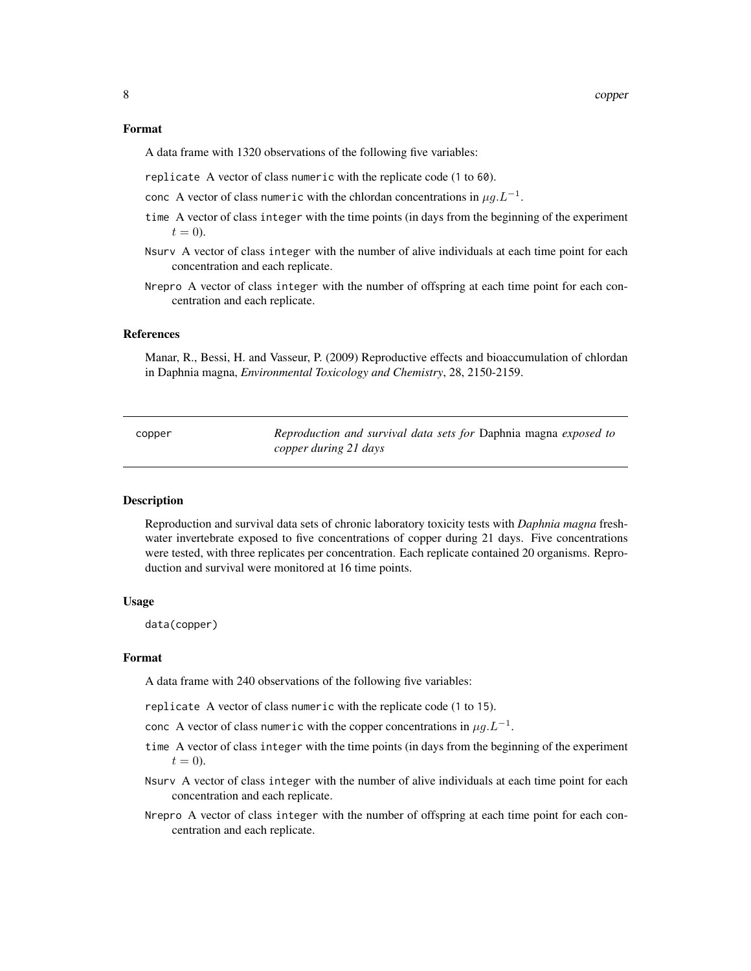#### <span id="page-7-0"></span>Format

A data frame with 1320 observations of the following five variables:

replicate A vector of class numeric with the replicate code (1 to 60).

conc A vector of class numeric with the chlordan concentrations in  $\mu g . L^{-1}$ .

- time A vector of class integer with the time points (in days from the beginning of the experiment  $t = 0$ ).
- Nsurv A vector of class integer with the number of alive individuals at each time point for each concentration and each replicate.
- Nrepro A vector of class integer with the number of offspring at each time point for each concentration and each replicate.

# References

Manar, R., Bessi, H. and Vasseur, P. (2009) Reproductive effects and bioaccumulation of chlordan in Daphnia magna, *Environmental Toxicology and Chemistry*, 28, 2150-2159.

copper *Reproduction and survival data sets for* Daphnia magna *exposed to copper during 21 days*

#### Description

Reproduction and survival data sets of chronic laboratory toxicity tests with *Daphnia magna* freshwater invertebrate exposed to five concentrations of copper during 21 days. Five concentrations were tested, with three replicates per concentration. Each replicate contained 20 organisms. Reproduction and survival were monitored at 16 time points.

# Usage

data(copper)

#### Format

A data frame with 240 observations of the following five variables:

- replicate A vector of class numeric with the replicate code (1 to 15).
- conc A vector of class numeric with the copper concentrations in  $\mu g . L^{-1}$ .
- time A vector of class integer with the time points (in days from the beginning of the experiment  $t = 0$ ).
- Nsurv A vector of class integer with the number of alive individuals at each time point for each concentration and each replicate.
- Nrepro A vector of class integer with the number of offspring at each time point for each concentration and each replicate.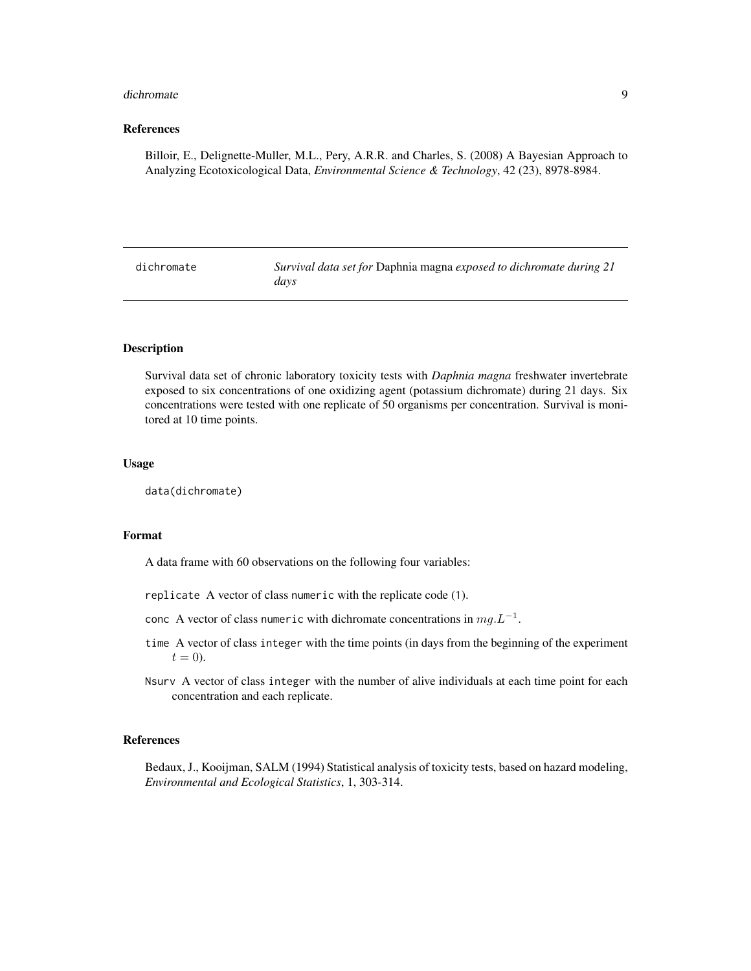#### <span id="page-8-0"></span>dichromate 9 and 9 and 9 and 9 and 9 and 9 and 9 and 9 and 9 and 9 and 9 and 9 and 9 and 9 and 9 and 9 and 9 and 9 and 9 and 9 and 9 and 9 and 9 and 9 and 9 and 9 and 9 and 9 and 9 and 9 and 9 and 9 and 9 and 9 and 9 and 9

#### References

Billoir, E., Delignette-Muller, M.L., Pery, A.R.R. and Charles, S. (2008) A Bayesian Approach to Analyzing Ecotoxicological Data, *Environmental Science & Technology*, 42 (23), 8978-8984.

| dichromate | Survival data set for Daphnia magna exposed to dichromate during 21 |
|------------|---------------------------------------------------------------------|
|            | davs                                                                |

#### Description

Survival data set of chronic laboratory toxicity tests with *Daphnia magna* freshwater invertebrate exposed to six concentrations of one oxidizing agent (potassium dichromate) during 21 days. Six concentrations were tested with one replicate of 50 organisms per concentration. Survival is monitored at 10 time points.

# Usage

data(dichromate)

# Format

A data frame with 60 observations on the following four variables:

- replicate A vector of class numeric with the replicate code (1).
- conc A vector of class numeric with dichromate concentrations in  $mg.L^{-1}$ .
- time A vector of class integer with the time points (in days from the beginning of the experiment  $t = 0$ ).
- Nsurv A vector of class integer with the number of alive individuals at each time point for each concentration and each replicate.

#### References

Bedaux, J., Kooijman, SALM (1994) Statistical analysis of toxicity tests, based on hazard modeling, *Environmental and Ecological Statistics*, 1, 303-314.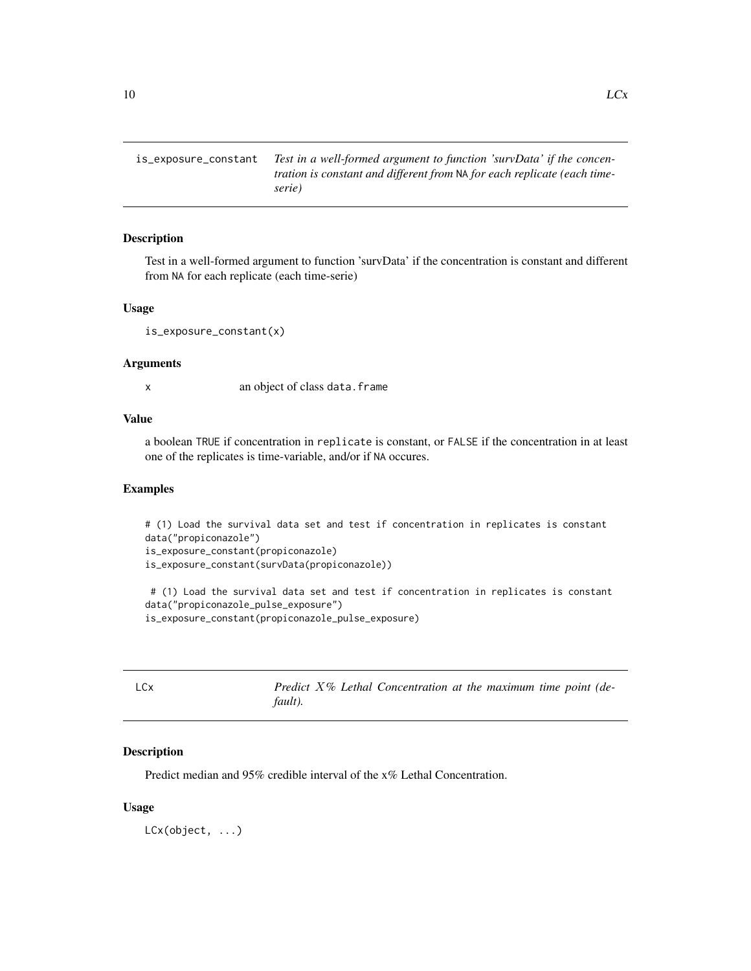<span id="page-9-0"></span>is\_exposure\_constant *Test in a well-formed argument to function 'survData' if the concentration is constant and different from* NA *for each replicate (each timeserie)*

#### Description

Test in a well-formed argument to function 'survData' if the concentration is constant and different from NA for each replicate (each time-serie)

# Usage

```
is_exposure_constant(x)
```
#### Arguments

x an object of class data.frame

# Value

a boolean TRUE if concentration in replicate is constant, or FALSE if the concentration in at least one of the replicates is time-variable, and/or if NA occures.

## Examples

```
# (1) Load the survival data set and test if concentration in replicates is constant
data("propiconazole")
is_exposure_constant(propiconazole)
is_exposure_constant(survData(propiconazole))
```

```
# (1) Load the survival data set and test if concentration in replicates is constant
data("propiconazole_pulse_exposure")
is_exposure_constant(propiconazole_pulse_exposure)
```

| LCx |         |  | Predict X% Lethal Concentration at the maximum time point (de- |  |  |  |
|-----|---------|--|----------------------------------------------------------------|--|--|--|
|     | fault). |  |                                                                |  |  |  |

# Description

Predict median and 95% credible interval of the x% Lethal Concentration.

#### Usage

LCx(object, ...)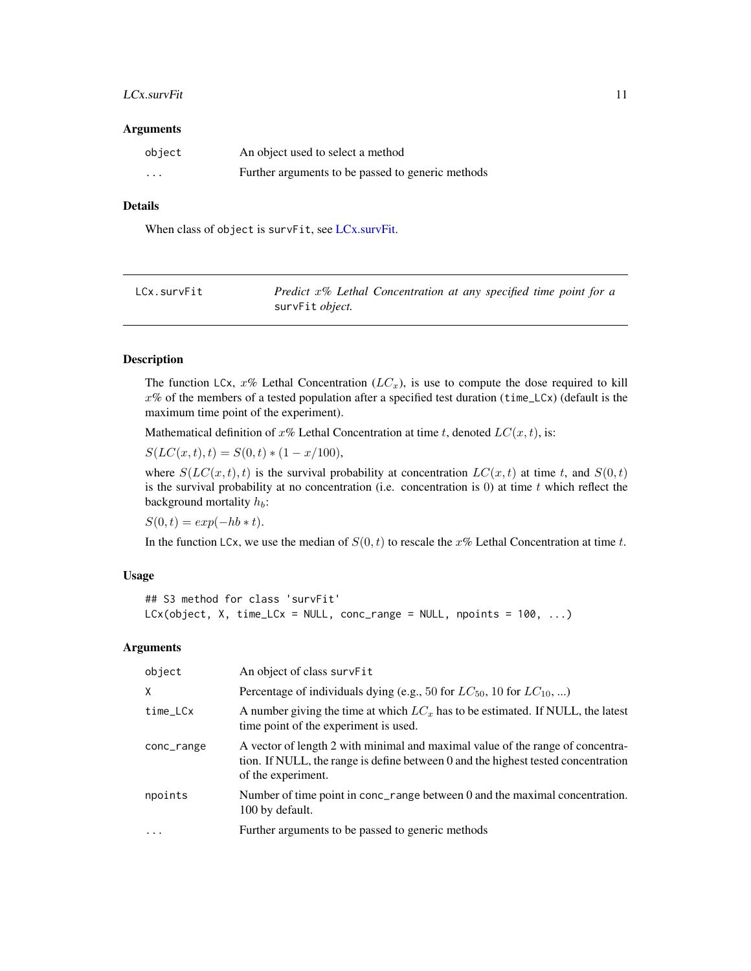# <span id="page-10-0"></span>LCx.survFit 11

#### Arguments

| object   | An object used to select a method                 |
|----------|---------------------------------------------------|
| $\cdots$ | Further arguments to be passed to generic methods |

# Details

When class of object is survFit, see [LCx.survFit.](#page-10-1)

<span id="page-10-1"></span>

| LCx.survFit | Predict $x\%$ Lethal Concentration at any specified time point for a |
|-------------|----------------------------------------------------------------------|
|             | survFit <i>object</i> .                                              |

# Description

The function LCx,  $x\%$  Lethal Concentration ( $LC_x$ ), is use to compute the dose required to kill  $x\%$  of the members of a tested population after a specified test duration (time\_LCx) (default is the maximum time point of the experiment).

Mathematical definition of x% Lethal Concentration at time t, denoted  $LC(x, t)$ , is:

 $S(LC(x, t), t) = S(0, t) * (1 - x/100),$ 

where  $S(LC(x, t), t)$  is the survival probability at concentration  $LC(x, t)$  at time t, and  $S(0, t)$ is the survival probability at no concentration (i.e. concentration is  $0$ ) at time t which reflect the background mortality  $h_b$ :

 $S(0, t) = exp(-hb * t).$ 

In the function LCx, we use the median of  $S(0, t)$  to rescale the x% Lethal Concentration at time t.

#### Usage

```
## S3 method for class 'survFit'
LCx(object, X, time_LCx = NULL, conc_range = NULL, npoints = 100, ...)
```

| object     | An object of class survFit                                                                                                                                                                |
|------------|-------------------------------------------------------------------------------------------------------------------------------------------------------------------------------------------|
| X          | Percentage of individuals dying (e.g., 50 for $LC_{50}$ , 10 for $LC_{10}$ , )                                                                                                            |
| time_LCx   | A number giving the time at which $LC_x$ has to be estimated. If NULL, the latest<br>time point of the experiment is used.                                                                |
| conc_range | A vector of length 2 with minimal and maximal value of the range of concentra-<br>tion. If NULL, the range is define between 0 and the highest tested concentration<br>of the experiment. |
| npoints    | Number of time point in conc_range between 0 and the maximal concentration.<br>100 by default.                                                                                            |
| $\ddotsc$  | Further arguments to be passed to generic methods                                                                                                                                         |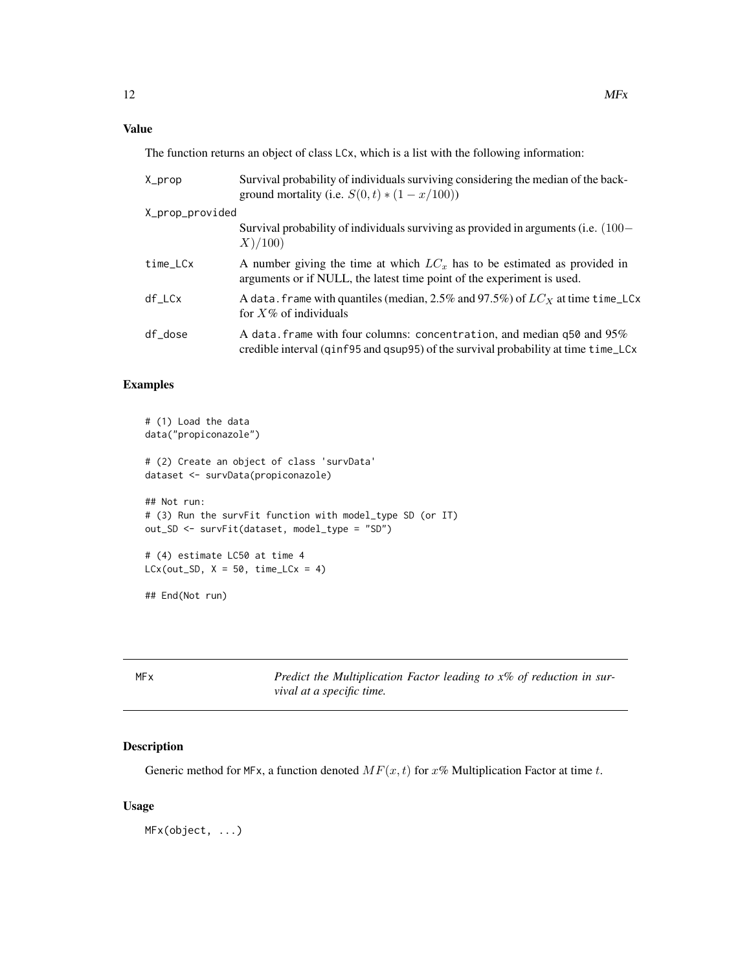# <span id="page-11-0"></span>Value

The function returns an object of class LCx, which is a list with the following information:

| X_prop          | Survival probability of individuals surviving considering the median of the back-<br>ground mortality (i.e. $S(0, t) * (1 - x/100)$ )                        |  |  |
|-----------------|--------------------------------------------------------------------------------------------------------------------------------------------------------------|--|--|
| X_prop_provided |                                                                                                                                                              |  |  |
|                 | Survival probability of individuals surviving as provided in arguments (i.e. $(100 -$<br>X)/100                                                              |  |  |
| time_LCx        | A number giving the time at which $LCx$ has to be estimated as provided in<br>arguments or if NULL, the latest time point of the experiment is used.         |  |  |
| df_LCx          | A data. frame with quantiles (median, 2.5% and 97.5%) of $LC_X$ at time time_LCx<br>for $X\%$ of individuals                                                 |  |  |
| df_dose         | A data. frame with four columns: concentration, and median q50 and 95%<br>credible interval (qinf95 and qsup95) of the survival probability at time time_LCx |  |  |

# Examples

```
# (1) Load the data
data("propiconazole")
# (2) Create an object of class 'survData'
dataset <- survData(propiconazole)
## Not run:
# (3) Run the survFit function with model_type SD (or IT)
out_SD <- survFit(dataset, model_type = "SD")
# (4) estimate LC50 at time 4
LCx(out_SD, X = 50, time_LCx = 4)## End(Not run)
```
MFx *Predict the Multiplication Factor leading to x% of reduction in survival at a specific time.*

# Description

Generic method for MFx, a function denoted  $MF(x, t)$  for  $x\%$  Multiplication Factor at time t.

#### Usage

MFx(object, ...)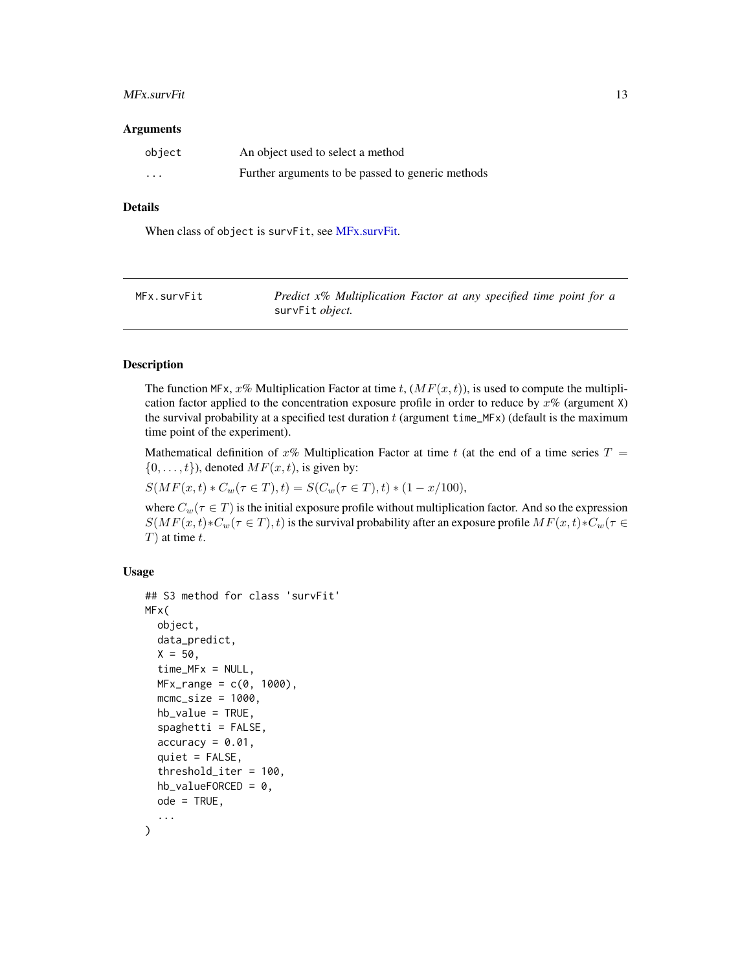#### <span id="page-12-0"></span>MFx.survFit 13

#### Arguments

| object   | An object used to select a method                 |
|----------|---------------------------------------------------|
| $\cdots$ | Further arguments to be passed to generic methods |

# Details

When class of object is survFit, see [MFx.survFit.](#page-12-1)

<span id="page-12-1"></span>

| MFx.survFit | Predict x% Multiplication Factor at any specified time point for a |
|-------------|--------------------------------------------------------------------|
|             | survFit <i>object</i> .                                            |

# Description

The function MFx, x% Multiplication Factor at time t,  $(MF(x, t))$ , is used to compute the multiplication factor applied to the concentration exposure profile in order to reduce by  $x\%$  (argument X) the survival probability at a specified test duration  $t$  (argument time\_MFx) (default is the maximum time point of the experiment).

Mathematical definition of x% Multiplication Factor at time t (at the end of a time series  $T =$  $\{0, \ldots, t\}$ , denoted  $MF(x, t)$ , is given by:

 $S(MF(x, t) * C_w(\tau \in T), t) = S(C_w(\tau \in T), t) * (1 - x/100),$ 

where  $C_w(\tau \in T)$  is the initial exposure profile without multiplication factor. And so the expression  $S(MF(x,t) * C_w(\tau \in T), t)$  is the survival probability after an exposure profile  $MF(x,t) * C_w(\tau \in T)$  $T$ ) at time t.

```
## S3 method for class 'survFit'
MFx(
  object,
  data_predict,
  X = 50,
  time_MFx = NULL,MFx_range = c(0, 1000),
  mcmc\_size = 1000,hb_value = TRUE,
  spaghetti = FALSE,accuracy = 0.01,quiet = FALSE,
  threshold_iter = 100,
  hb_valueFORCED = 0,
  ode = TRUE,
  ...
)
```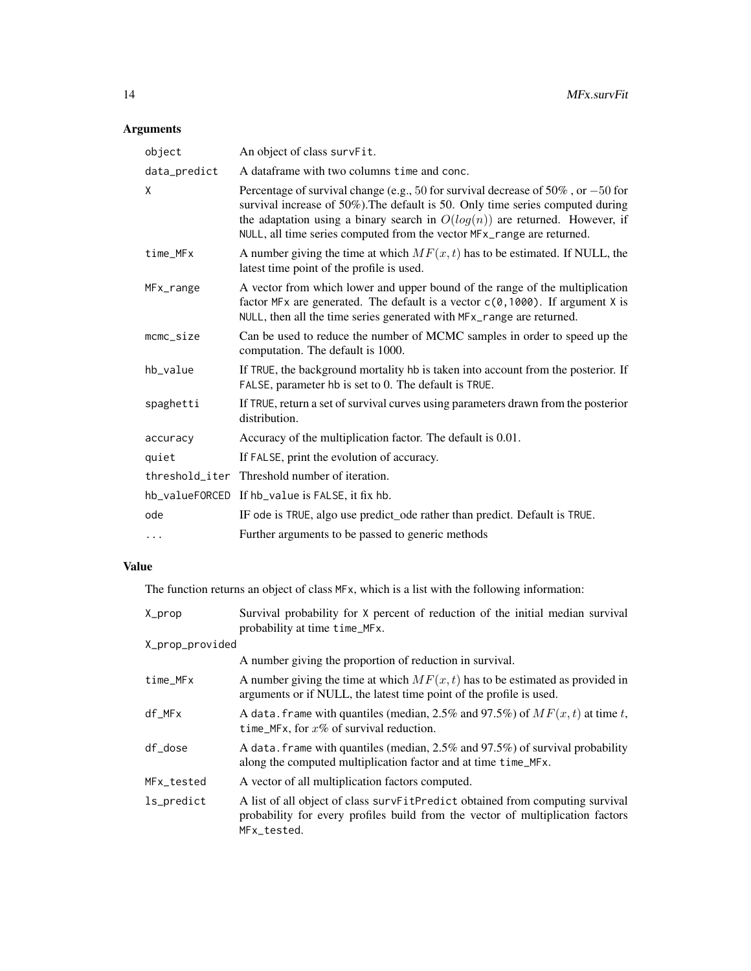| object              | An object of class survFit.                                                                                                                                                                                                                                                                                                         |
|---------------------|-------------------------------------------------------------------------------------------------------------------------------------------------------------------------------------------------------------------------------------------------------------------------------------------------------------------------------------|
| data_predict        | A dataframe with two columns time and conc.                                                                                                                                                                                                                                                                                         |
| X                   | Percentage of survival change (e.g., 50 for survival decrease of $50\%$ , or $-50$ for<br>survival increase of 50%). The default is 50. Only time series computed during<br>the adaptation using a binary search in $O(log(n))$ are returned. However, if<br>NULL, all time series computed from the vector MFx_range are returned. |
| time_MFx            | A number giving the time at which $MF(x, t)$ has to be estimated. If NULL, the<br>latest time point of the profile is used.                                                                                                                                                                                                         |
| MFx_range           | A vector from which lower and upper bound of the range of the multiplication<br>factor MFx are generated. The default is a vector $c(0, 1000)$ . If argument X is<br>NULL, then all the time series generated with MFx_range are returned.                                                                                          |
| $m$ c $m$ c $si$ ze | Can be used to reduce the number of MCMC samples in order to speed up the<br>computation. The default is 1000.                                                                                                                                                                                                                      |
| hb_value            | If TRUE, the background mortality hb is taken into account from the posterior. If<br>FALSE, parameter hb is set to 0. The default is TRUE.                                                                                                                                                                                          |
| spaghetti           | If TRUE, return a set of survival curves using parameters drawn from the posterior<br>distribution.                                                                                                                                                                                                                                 |
| accuracy            | Accuracy of the multiplication factor. The default is 0.01.                                                                                                                                                                                                                                                                         |
| quiet               | If FALSE, print the evolution of accuracy.                                                                                                                                                                                                                                                                                          |
|                     | threshold_iter Threshold number of iteration.                                                                                                                                                                                                                                                                                       |
|                     | hb_valueFORCED If hb_value is FALSE, it fix hb.                                                                                                                                                                                                                                                                                     |
| ode                 | IF ode is TRUE, algo use predict_ode rather than predict. Default is TRUE.                                                                                                                                                                                                                                                          |
| $\cdots$            | Further arguments to be passed to generic methods                                                                                                                                                                                                                                                                                   |

# Value

The function returns an object of class MFx, which is a list with the following information:

| X_prop          | Survival probability for X percent of reduction of the initial median survival<br>probability at time time_MFx.                                                                |
|-----------------|--------------------------------------------------------------------------------------------------------------------------------------------------------------------------------|
| X_prop_provided |                                                                                                                                                                                |
|                 | A number giving the proportion of reduction in survival.                                                                                                                       |
| time_MFx        | A number giving the time at which $MF(x, t)$ has to be estimated as provided in<br>arguments or if NULL, the latest time point of the profile is used.                         |
| $df_MFx$        | A data. frame with quantiles (median, 2.5% and 97.5%) of $MF(x, t)$ at time t,<br>time_MFx, for $x\%$ of survival reduction.                                                   |
| df_dose         | A data. frame with quantiles (median, 2.5% and 97.5%) of survival probability<br>along the computed multiplication factor and at time time_MFx.                                |
| MFx_tested      | A vector of all multiplication factors computed.                                                                                                                               |
| ls_predict      | A list of all object of class survFitPredict obtained from computing survival<br>probability for every profiles build from the vector of multiplication factors<br>MFx_tested. |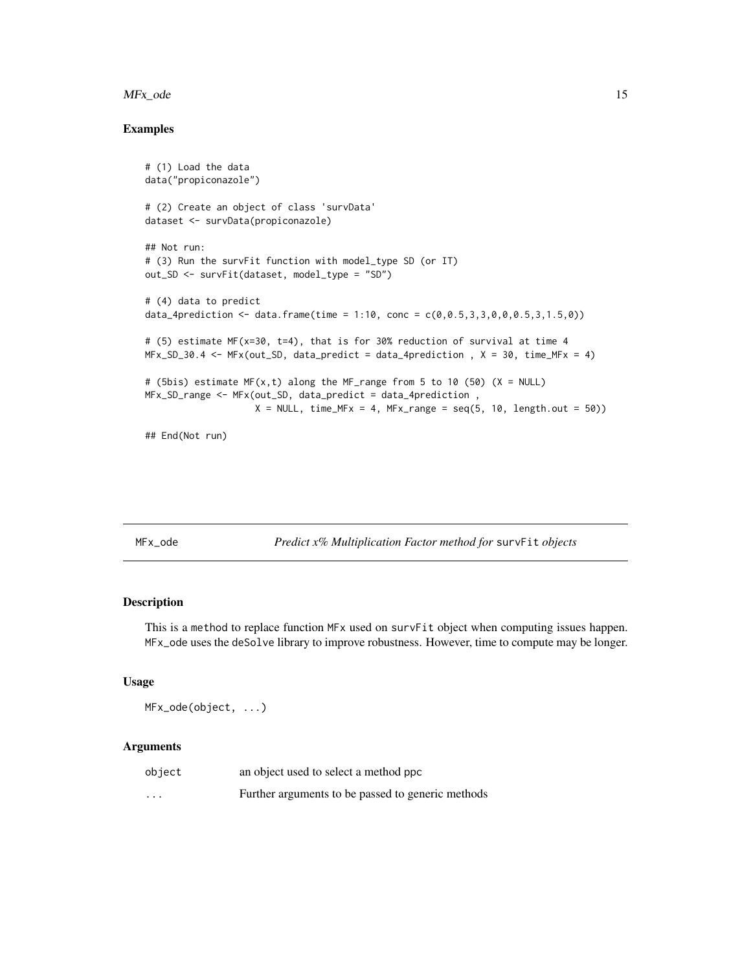#### <span id="page-14-0"></span>MFx\_ode 15

# Examples

```
# (1) Load the data
data("propiconazole")
# (2) Create an object of class 'survData'
dataset <- survData(propiconazole)
## Not run:
# (3) Run the survFit function with model_type SD (or IT)
out_SD <- survFit(dataset, model_type = "SD")
# (4) data to predict
data_4prediction <- data.frame(time = 1:10, conc = c(0, 0.5, 3, 3, 0, 0, 0.5, 3, 1.5, 0))
# (5) estimate MF(x=30, t=4), that is for 30% reduction of survival at time 4
MFx\_SD_30.4 \leq MFx(out\_SD, data_predict = data_4prediction , X = 30, time_MFx = 4)# (5bis) estimate MF(x, t) along the MF_range from 5 to 10 (50) (X = NULL)
MFx_SD_range <- MFx(out_SD, data_predict = data_4prediction ,
                    X = NULL, time_MFx = 4, MFx_range = seq(5, 10, length.out = 50))
## End(Not run)
```
MFx\_ode *Predict x% Multiplication Factor method for* survFit *objects*

# Description

This is a method to replace function MFx used on survFit object when computing issues happen. MFx\_ode uses the deSolve library to improve robustness. However, time to compute may be longer.

#### Usage

```
MFx_ode(object, ...)
```

| object   | an object used to select a method ppc             |
|----------|---------------------------------------------------|
| $\cdots$ | Further arguments to be passed to generic methods |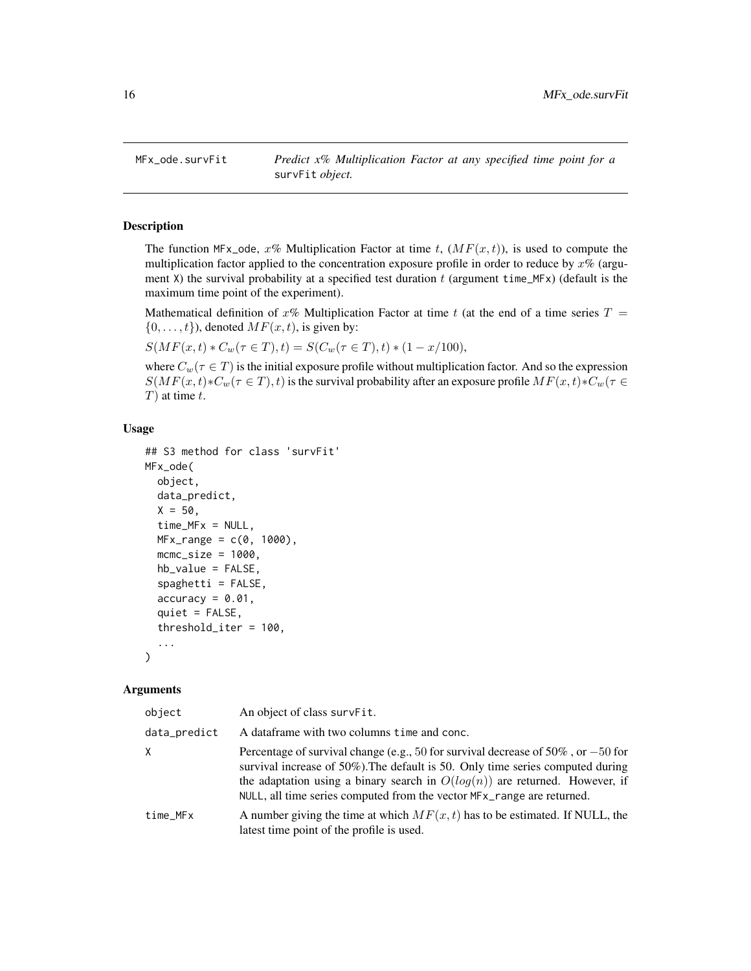<span id="page-15-0"></span>

# Description

The function MFx\_ode,  $x\%$  Multiplication Factor at time t,  $(MF(x,t))$ , is used to compute the multiplication factor applied to the concentration exposure profile in order to reduce by  $x\%$  (argument X) the survival probability at a specified test duration  $t$  (argument time\_MFx) (default is the maximum time point of the experiment).

Mathematical definition of x% Multiplication Factor at time t (at the end of a time series  $T =$  $\{0, \ldots, t\}$ , denoted  $MF(x, t)$ , is given by:

 $S(MF(x, t) * C_w(\tau \in T), t) = S(C_w(\tau \in T), t) * (1 - x/100),$ 

where  $C_w(\tau \in T)$  is the initial exposure profile without multiplication factor. And so the expression  $S(MF(x,t) * C_w(\tau \in T), t)$  is the survival probability after an exposure profile  $MF(x,t) * C_w(\tau \in T)$  $T$ ) at time  $t$ .

# Usage

```
## S3 method for class 'survFit'
MFx_ode(
  object,
  data_predict,
  X = 50,
  time_MFx = NULL,
  MFx_range = c(0, 1000),
  mcmc_size = 1000,
  hb_value = FALSE,
  spaghetti = FALSE,
  accuracy = 0.01,quiet = FALSE,
  threshold_iter = 100,
  ...
)
```

| object       | An object of class survFit.                                                                                                                                                                                                                                                                                                         |
|--------------|-------------------------------------------------------------------------------------------------------------------------------------------------------------------------------------------------------------------------------------------------------------------------------------------------------------------------------------|
| data_predict | A dataframe with two columns time and conc.                                                                                                                                                                                                                                                                                         |
| X            | Percentage of survival change (e.g., 50 for survival decrease of $50\%$ , or $-50$ for<br>survival increase of 50%). The default is 50. Only time series computed during<br>the adaptation using a binary search in $O(log(n))$ are returned. However, if<br>NULL, all time series computed from the vector MFx_range are returned. |
| time_MFx     | A number giving the time at which $MF(x, t)$ has to be estimated. If NULL, the<br>latest time point of the profile is used.                                                                                                                                                                                                         |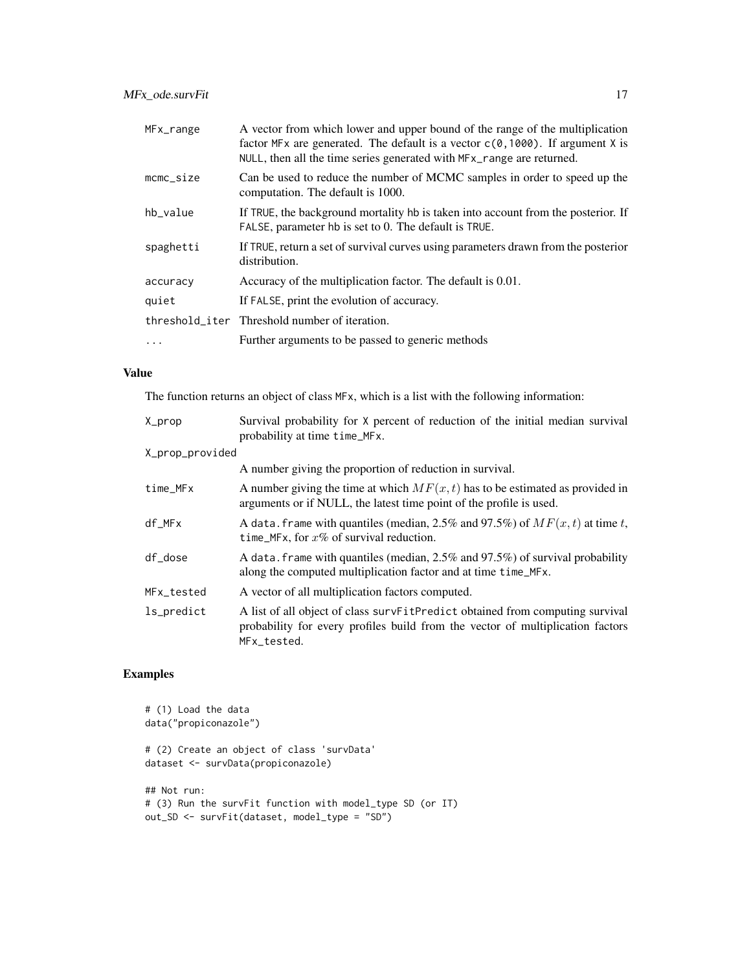| MFx_range           | A vector from which lower and upper bound of the range of the multiplication<br>factor MFx are generated. The default is a vector $c(0, 1000)$ . If argument X is<br>NULL, then all the time series generated with MF x_range are returned. |
|---------------------|---------------------------------------------------------------------------------------------------------------------------------------------------------------------------------------------------------------------------------------------|
| $m$ c $m$ c $si$ ze | Can be used to reduce the number of MCMC samples in order to speed up the<br>computation. The default is 1000.                                                                                                                              |
| hb_value            | If TRUE, the background mortality hb is taken into account from the posterior. If<br>FALSE, parameter hb is set to 0. The default is TRUE.                                                                                                  |
| spaghetti           | If TRUE, return a set of survival curves using parameters drawn from the posterior<br>distribution.                                                                                                                                         |
| accuracy            | Accuracy of the multiplication factor. The default is 0.01.                                                                                                                                                                                 |
| quiet               | If FALSE, print the evolution of accuracy.                                                                                                                                                                                                  |
|                     | threshold iter Threshold number of iteration.                                                                                                                                                                                               |
| $\ddotsc$           | Further arguments to be passed to generic methods                                                                                                                                                                                           |

# Value

The function returns an object of class MFx, which is a list with the following information:

| X_prop          | Survival probability for X percent of reduction of the initial median survival<br>probability at time time_MFx.                                                                |
|-----------------|--------------------------------------------------------------------------------------------------------------------------------------------------------------------------------|
| X_prop_provided |                                                                                                                                                                                |
|                 | A number giving the proportion of reduction in survival.                                                                                                                       |
| time_MFx        | A number giving the time at which $MF(x, t)$ has to be estimated as provided in<br>arguments or if NULL, the latest time point of the profile is used.                         |
| $df_MFx$        | A data. frame with quantiles (median, 2.5% and 97.5%) of $MF(x, t)$ at time t,<br>time_MFx, for $x\%$ of survival reduction.                                                   |
| df_dose         | A data. frame with quantiles (median, $2.5\%$ and $97.5\%$ ) of survival probability<br>along the computed multiplication factor and at time time_MFx.                         |
| MFx_tested      | A vector of all multiplication factors computed.                                                                                                                               |
| ls_predict      | A list of all object of class survFitPredict obtained from computing survival<br>probability for every profiles build from the vector of multiplication factors<br>MFx tested. |

```
# (1) Load the data
data("propiconazole")
# (2) Create an object of class 'survData'
dataset <- survData(propiconazole)
## Not run:
# (3) Run the survFit function with model_type SD (or IT)
out_SD <- survFit(dataset, model_type = "SD")
```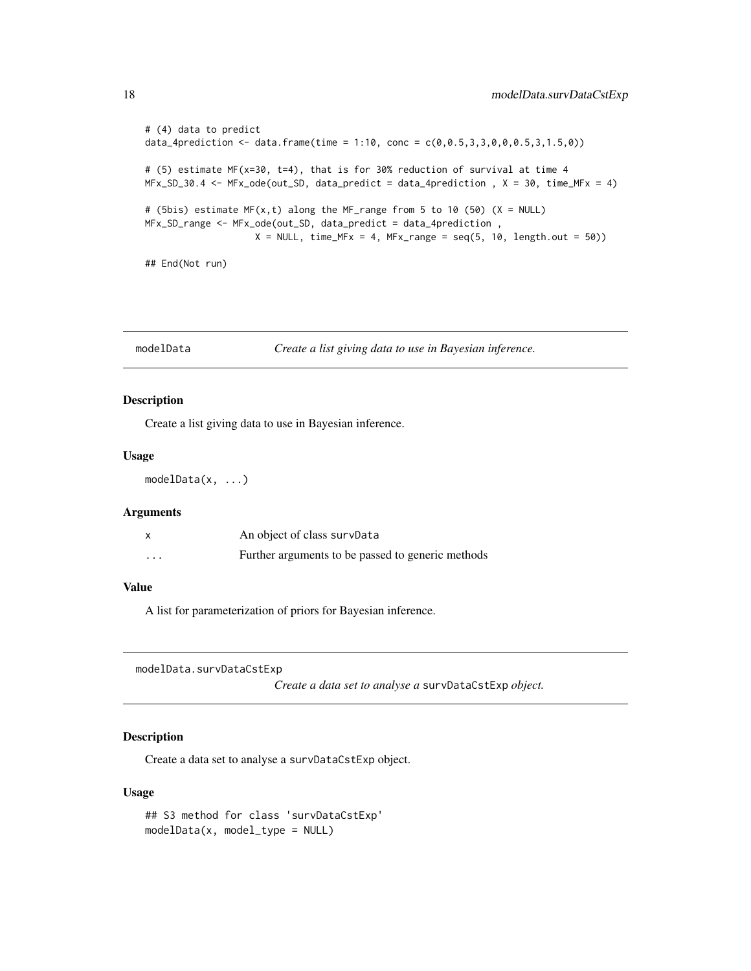```
# (4) data to predict
data_4prediction <- data.frame(time = 1:10, conc = c(\emptyset, \emptyset.5, 3, 3, \emptyset, \emptyset, \emptyset.5, 3, 1.5, \emptyset))
# (5) estimate MF(x=30, t=4), that is for 30% reduction of survival at time 4
MFx\_SD_30.4 \leq MFx\_ode(out\_SD, data_predict = data_4prediction , X = 30, time\_MFx = 4)# (5bis) estimate MF(x,t) along the MF_range from 5 to 10 (50) (X = NULL)
MFx_SD_range <- MFx_ode(out_SD, data_predict = data_4prediction ,
                      X = NULL, time_MFx = 4, MFx_range = seq(5, 10, length.out = 50))
## End(Not run)
```
modelData *Create a list giving data to use in Bayesian inference.*

#### Description

Create a list giving data to use in Bayesian inference.

#### Usage

modelData(x, ...)

# Arguments

|                         | An object of class survData                       |
|-------------------------|---------------------------------------------------|
| $\cdot$ $\cdot$ $\cdot$ | Further arguments to be passed to generic methods |

# Value

A list for parameterization of priors for Bayesian inference.

modelData.survDataCstExp

*Create a data set to analyse a* survDataCstExp *object.*

# Description

Create a data set to analyse a survDataCstExp object.

```
## S3 method for class 'survDataCstExp'
modelData(x, model_type = NULL)
```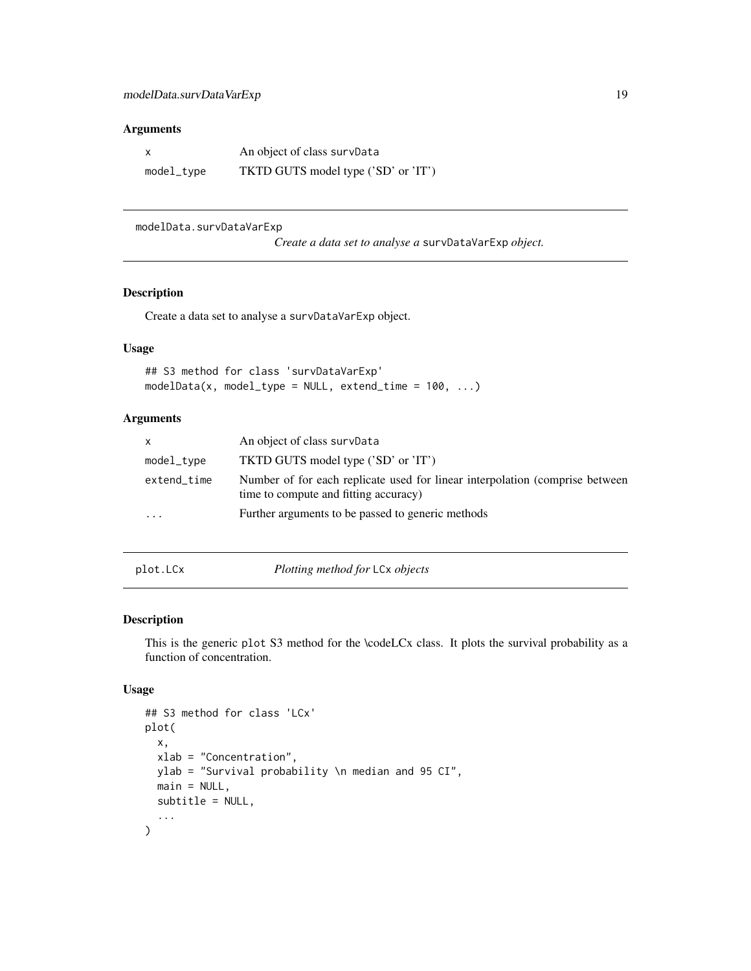<span id="page-18-0"></span>

|            | An object of class survData         |
|------------|-------------------------------------|
| model_type | TKTD GUTS model type ('SD' or 'IT') |

modelData.survDataVarExp

*Create a data set to analyse a* survDataVarExp *object.*

# Description

Create a data set to analyse a survDataVarExp object.

# Usage

## S3 method for class 'survDataVarExp'  $modelData(x, model_type = NULL, extend_time = 100, ...)$ 

# Arguments

| $\mathsf{x}$            | An object of class survData                                                                                           |
|-------------------------|-----------------------------------------------------------------------------------------------------------------------|
| model_type              | TKTD GUTS model type ('SD' or 'IT')                                                                                   |
| extend_time             | Number of for each replicate used for linear interpolation (comprise between<br>time to compute and fitting accuracy) |
| $\cdot$ $\cdot$ $\cdot$ | Further arguments to be passed to generic methods                                                                     |
|                         |                                                                                                                       |

plot.LCx *Plotting method for* LCx *objects*

# Description

This is the generic plot S3 method for the \codeLCx class. It plots the survival probability as a function of concentration.

```
## S3 method for class 'LCx'
plot(
  x,
  xlab = "Concentration",
 ylab = "Survival probability \n median and 95 CI",
 main = NULL,
  subtitle = NULL,
  ...
)
```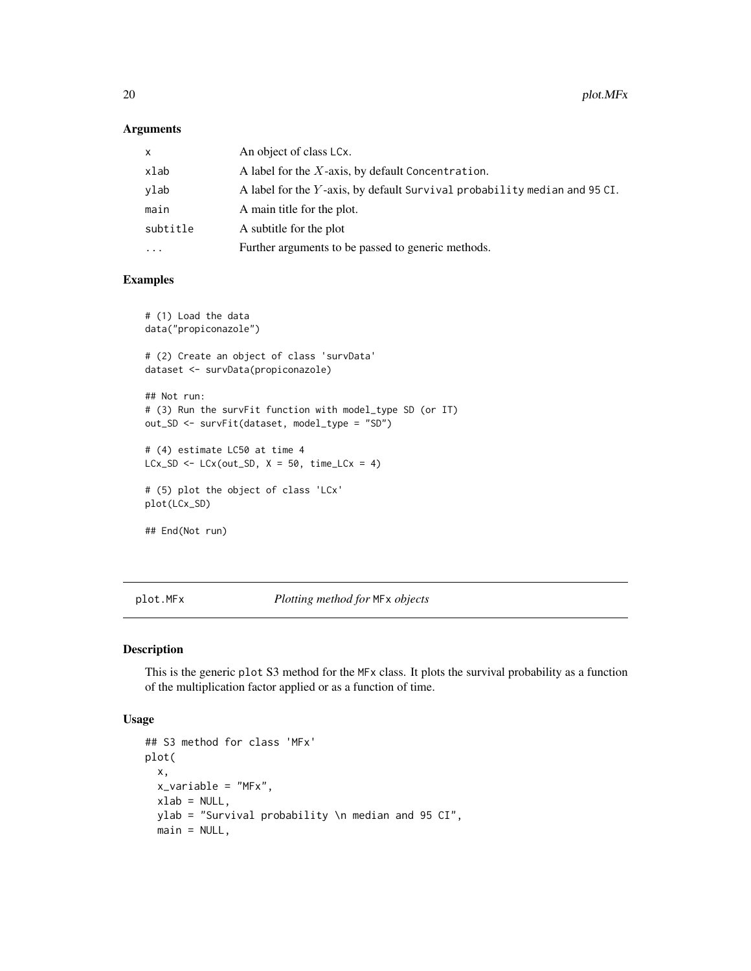| x        | An object of class LCx.                                                   |
|----------|---------------------------------------------------------------------------|
| xlab     | A label for the $X$ -axis, by default Concentration.                      |
| vlab     | A label for the Y-axis, by default Survival probability median and 95 CI. |
| main     | A main title for the plot.                                                |
| subtitle | A subtitle for the plot                                                   |
| $\cdots$ | Further arguments to be passed to generic methods.                        |

# Examples

```
# (1) Load the data
data("propiconazole")
# (2) Create an object of class 'survData'
dataset <- survData(propiconazole)
## Not run:
# (3) Run the survFit function with model_type SD (or IT)
out_SD <- survFit(dataset, model_type = "SD")
# (4) estimate LC50 at time 4
LCx_SD <- LCx(out_SD, X = 50, time_LCx = 4)# (5) plot the object of class 'LCx'
plot(LCx_SD)
## End(Not run)
```
plot.MFx *Plotting method for* MFx *objects*

#### Description

This is the generic plot S3 method for the MFx class. It plots the survival probability as a function of the multiplication factor applied or as a function of time.

```
## S3 method for class 'MFx'
plot(
 x,
 x_variable = "MFx",
 xlab = NULL,
 ylab = "Survival probability \n median and 95 CI",
 main = NULL,
```
<span id="page-19-0"></span>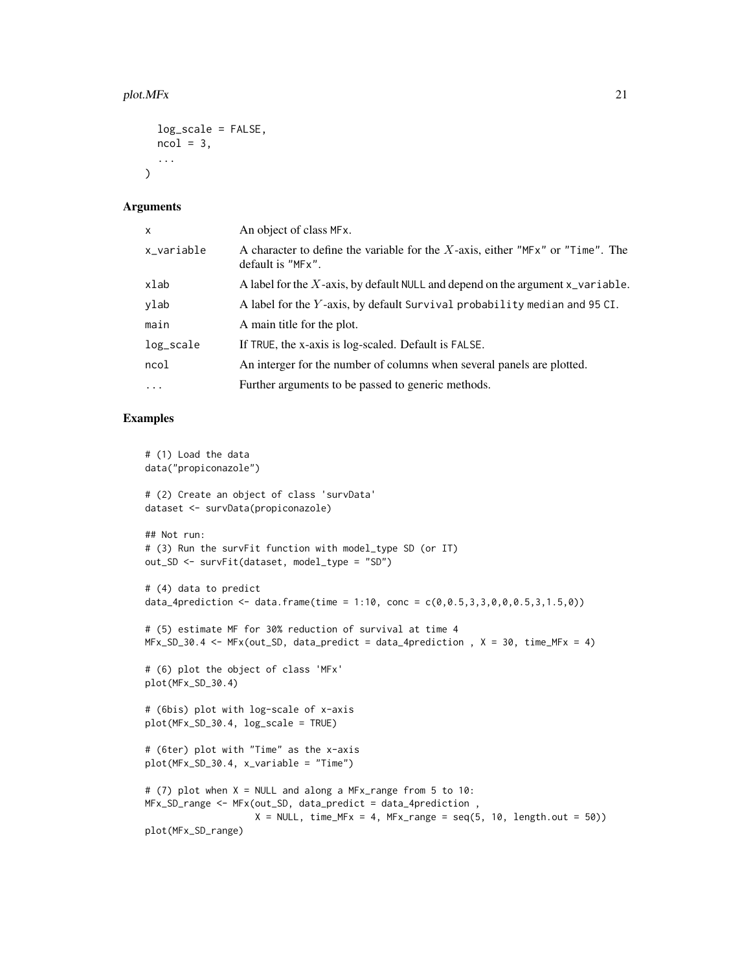```
log_scale = FALSE,
  ncol = 3,
  ...
\mathcal{L}
```

| X          | An object of class MF <sub>x</sub> .                                                                                    |
|------------|-------------------------------------------------------------------------------------------------------------------------|
| x_variable | A character to define the variable for the $X$ -axis, either "MF $x$ " or "Time". The<br>default is "MF <sub>x</sub> ". |
| xlab       | A label for the $X$ -axis, by default NULL and depend on the argument $x$ -variable.                                    |
| ylab       | A label for the Y-axis, by default Survival probability median and 95 CI.                                               |
| main       | A main title for the plot.                                                                                              |
| log_scale  | If TRUE, the x-axis is log-scaled. Default is FALSE.                                                                    |
| ncol       | An interger for the number of columns when several panels are plotted.                                                  |
| $\cdots$   | Further arguments to be passed to generic methods.                                                                      |

```
# (1) Load the data
data("propiconazole")
# (2) Create an object of class 'survData'
dataset <- survData(propiconazole)
## Not run:
# (3) Run the survFit function with model_type SD (or IT)
out_SD <- survFit(dataset, model_type = "SD")
# (4) data to predict
data_4prediction <- data.frame(time = 1:10, conc = c(0, 0.5, 3, 3, 0, 0, 0.5, 3, 1.5, 0))
# (5) estimate MF for 30% reduction of survival at time 4
MFx\_SD_30.4 \leq MFx(out\_SD, data_predict = data_4prediction , X = 30, time_MFx = 4)# (6) plot the object of class 'MFx'
plot(MFx_SD_30.4)
# (6bis) plot with log-scale of x-axis
plot(MFx_SD_30.4, log_scale = TRUE)
# (6ter) plot with "Time" as the x-axis
plot(MFx_SD_30.4, x_variable = "Time")
# (7) plot when X = NULL and along a MFx_range from 5 to 10:
MFx_SD_range <- MFx(out_SD, data_predict = data_4prediction ,
                    X = NULL, time_MFx = 4, MFx_range = seq(5, 10, length.out = 50))
plot(MFx_SD_range)
```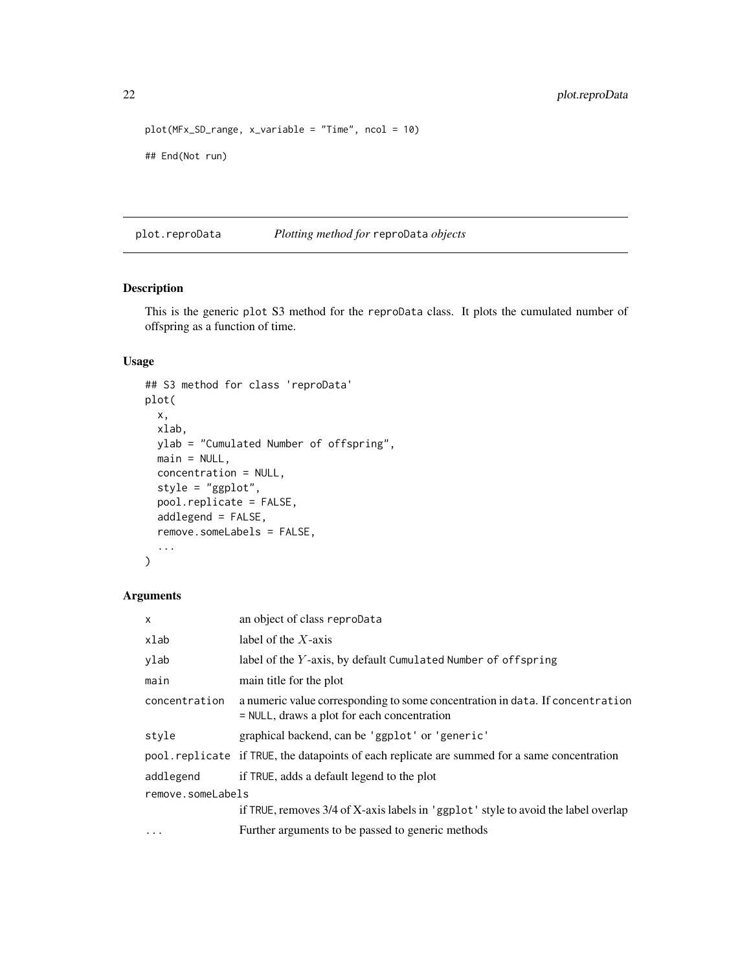```
plot(MFx_SD_range, x_variable = "Time", ncol = 10)
## End(Not run)
```
plot.reproData *Plotting method for* reproData *objects*

# Description

This is the generic plot S3 method for the reproData class. It plots the cumulated number of offspring as a function of time.

# Usage

```
## S3 method for class 'reproData'
plot(
  x,
 xlab,
 ylab = "Cumulated Number of offspring",
 main = NULL,concentration = NULL,
  style = "ggplot",
 pool.replicate = FALSE,
  addlegend = FALSE,
  remove.someLabels = FALSE,
  ...
\mathcal{L}
```

| $\mathsf{x}$      | an object of class reproData                                                                                                   |  |
|-------------------|--------------------------------------------------------------------------------------------------------------------------------|--|
| xlab              | label of the $X$ -axis                                                                                                         |  |
| ylab              | label of the Y-axis, by default Cumulated Number of offspring                                                                  |  |
| main              | main title for the plot                                                                                                        |  |
| concentration     | a numeric value corresponding to some concentration in data. If concentration<br>$=$ NULL, draws a plot for each concentration |  |
| style             | graphical backend, can be 'ggplot' or 'generic'                                                                                |  |
|                   | pool replicate if TRUE, the datapoints of each replicate are summed for a same concentration                                   |  |
| addlegend         | if TRUE, adds a default legend to the plot                                                                                     |  |
| remove.someLabels |                                                                                                                                |  |
|                   | if TRUE, removes 3/4 of X-axis labels in 'ggplot' style to avoid the label overlap                                             |  |
| $\ddots$          | Further arguments to be passed to generic methods                                                                              |  |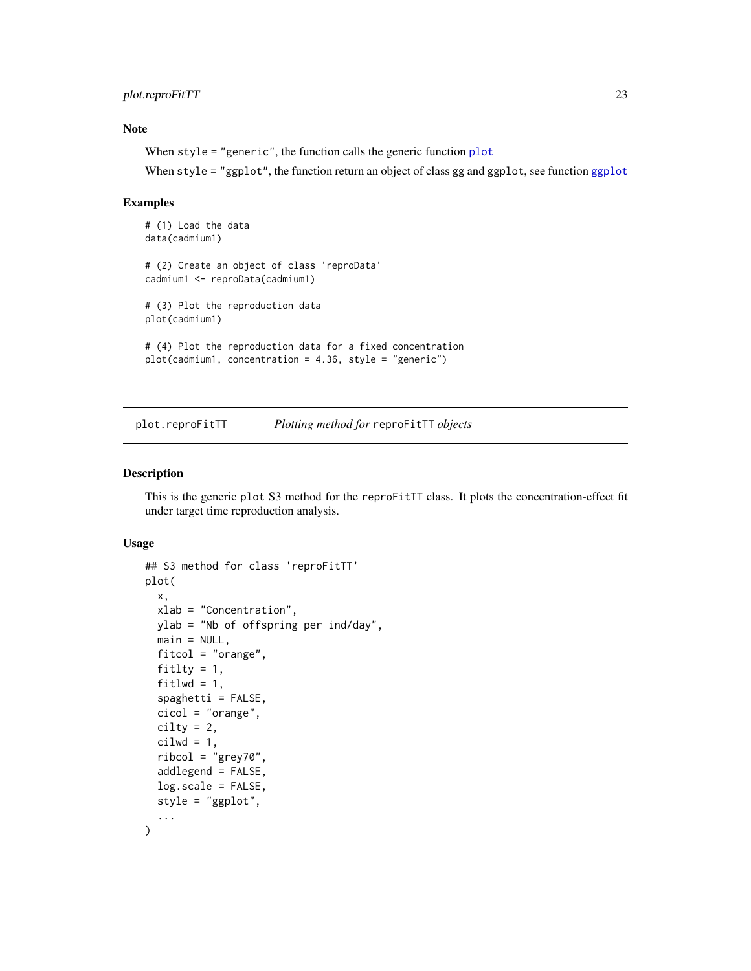# <span id="page-22-0"></span>plot.reproFitTT 23

# Note

When style = "generic", the function calls the generic function [plot](#page-0-0)

When style = "[ggplot](#page-0-0)", the function return an object of class gg and ggplot, see function ggplot

#### Examples

```
# (1) Load the data
data(cadmium1)
# (2) Create an object of class 'reproData'
cadmium1 <- reproData(cadmium1)
# (3) Plot the reproduction data
plot(cadmium1)
# (4) Plot the reproduction data for a fixed concentration
plot(cadmium1, concentration = 4.36, style = "generic")
```
plot.reproFitTT *Plotting method for* reproFitTT *objects*

# Description

This is the generic plot S3 method for the reproFitTT class. It plots the concentration-effect fit under target time reproduction analysis.

```
## S3 method for class 'reproFitTT'
plot(
  x,
  xlab = "Concentration",
 ylab = "Nb of offspring per ind/day",
 main = NULL,fitcol = "orange",
  fitlty = 1,
  fitlwd = 1,
  spaghetti = FALSE,
  cicol = "orange",
  cility = 2,cilwd = 1,
  ribcol = "grey70",
  addlegend = FALSE,
  log.scale = FALSE,
  style = "ggplot",
  ...
)
```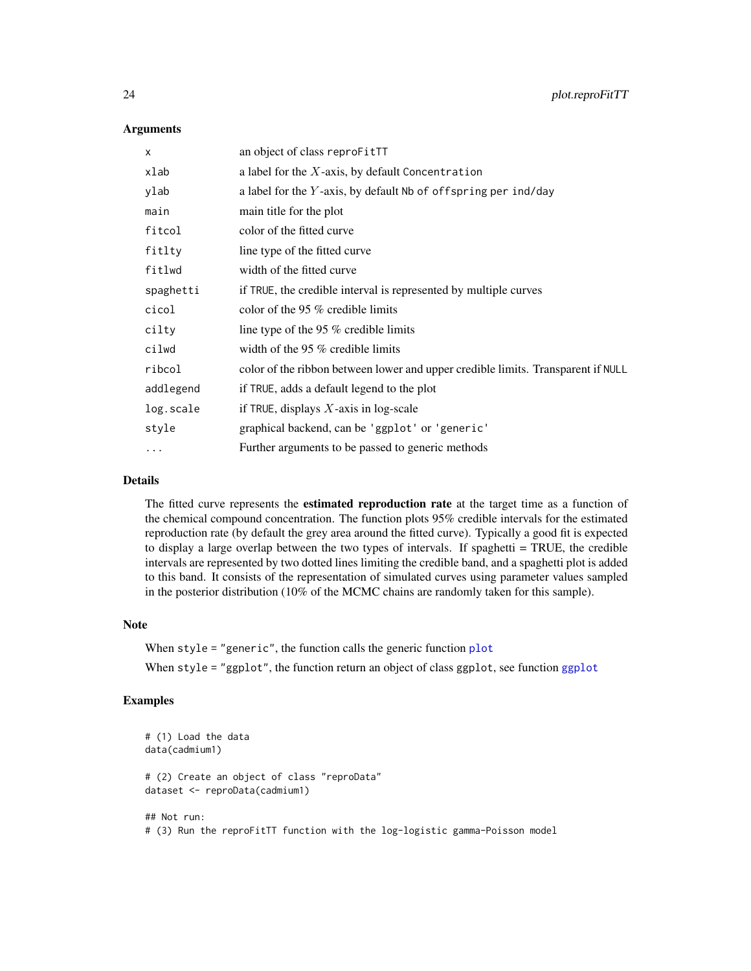| X         | an object of class reproFitTT                                                    |
|-----------|----------------------------------------------------------------------------------|
| xlab      | a label for the $X$ -axis, by default Concentration                              |
| ylab      | a label for the $Y$ -axis, by default Nb of offspring per ind/day                |
| main      | main title for the plot                                                          |
| fitcol    | color of the fitted curve                                                        |
| fitlty    | line type of the fitted curve.                                                   |
| fitlwd    | width of the fitted curve                                                        |
| spaghetti | if TRUE, the credible interval is represented by multiple curves                 |
| cicol     | color of the 95 $%$ credible limits                                              |
| cilty     | line type of the 95 % credible limits                                            |
| cilwd     | width of the 95 $%$ credible limits                                              |
| ribcol    | color of the ribbon between lower and upper credible limits. Transparent if NULL |
| addlegend | if TRUE, adds a default legend to the plot                                       |
| log.scale | if TRUE, displays $X$ -axis in log-scale                                         |
| style     | graphical backend, can be 'ggplot' or 'generic'                                  |
| $\cdots$  | Further arguments to be passed to generic methods                                |

# Details

The fitted curve represents the **estimated reproduction rate** at the target time as a function of the chemical compound concentration. The function plots 95% credible intervals for the estimated reproduction rate (by default the grey area around the fitted curve). Typically a good fit is expected to display a large overlap between the two types of intervals. If spaghetti = TRUE, the credible intervals are represented by two dotted lines limiting the credible band, and a spaghetti plot is added to this band. It consists of the representation of simulated curves using parameter values sampled in the posterior distribution (10% of the MCMC chains are randomly taken for this sample).

#### Note

When style = "generic", the function calls the generic function [plot](#page-0-0) When style = "[ggplot](#page-0-0)", the function return an object of class ggplot, see function ggplot

```
# (1) Load the data
data(cadmium1)
# (2) Create an object of class "reproData"
dataset <- reproData(cadmium1)
## Not run:
# (3) Run the reproFitTT function with the log-logistic gamma-Poisson model
```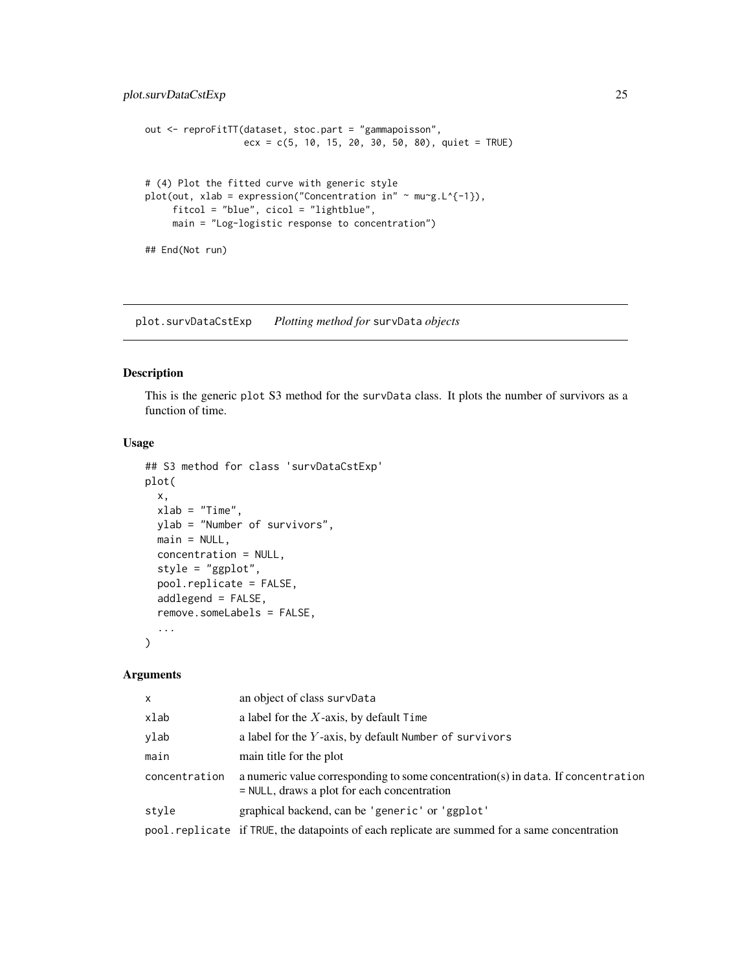```
out <- reproFitTT(dataset, stoc.part = "gammapoisson",
                  exc = c(5, 10, 15, 20, 30, 50, 80), quiet = TRUE)
# (4) Plot the fitted curve with generic style
plot(out, xlab = expression("Concentration in" ~ mu~g.L^{-1}),
     fitcol = "blue", cicol = "lightblue",
     main = "Log-logistic response to concentration")
## End(Not run)
```
plot.survDataCstExp *Plotting method for* survData *objects*

# Description

This is the generic plot S3 method for the survData class. It plots the number of survivors as a function of time.

#### Usage

```
## S3 method for class 'survDataCstExp'
plot(
  x,
  xlab = "Time",ylab = "Number of survivors",
 main = NULL,concentration = NULL,
  style = "ggplot",
  pool.replicate = FALSE,
  addlegend = FALSE,
  remove.someLabels = FALSE,
  ...
)
```

| $\mathsf{x}$  | an object of class survData                                                                                                       |
|---------------|-----------------------------------------------------------------------------------------------------------------------------------|
| xlab          | a label for the $X$ -axis, by default Time                                                                                        |
| ylab          | a label for the $Y$ -axis, by default Number of survivors                                                                         |
| main          | main title for the plot                                                                                                           |
| concentration | a numeric value corresponding to some concentration(s) in data. If concentration<br>$=$ NULL, draws a plot for each concentration |
| style         | graphical backend, can be 'generic' or 'ggplot'                                                                                   |
|               | pool. replicate if TRUE, the datapoints of each replicate are summed for a same concentration                                     |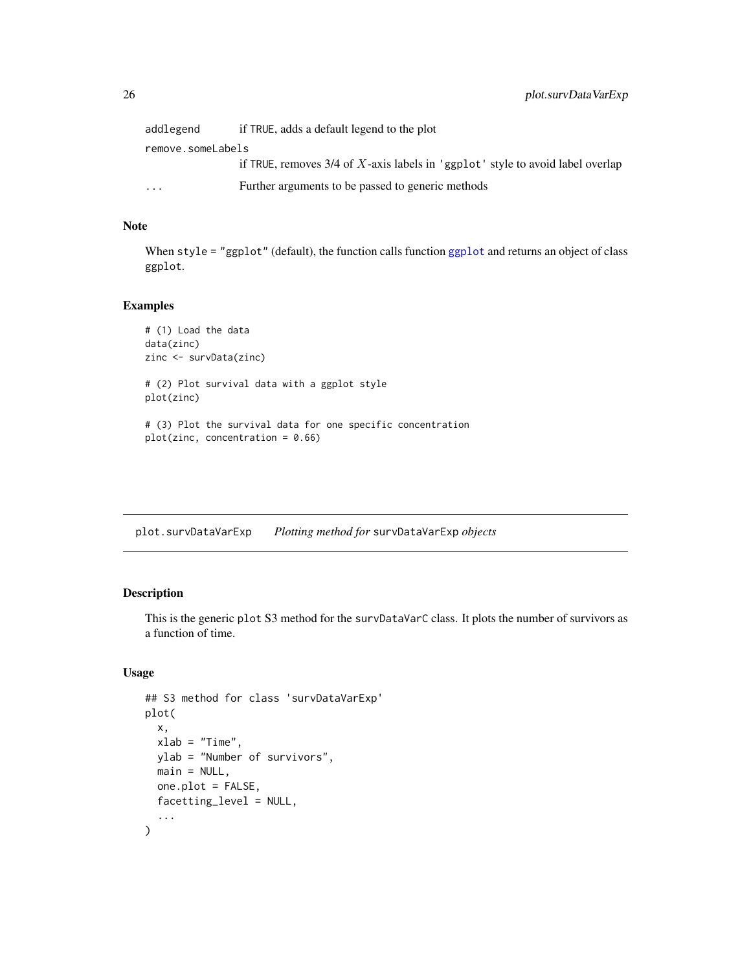<span id="page-25-0"></span>

| addlegend         | if TRUE, adds a default legend to the plot                                       |  |
|-------------------|----------------------------------------------------------------------------------|--|
| remove.someLabels |                                                                                  |  |
|                   | if TRUE, removes $3/4$ of X-axis labels in 'ggplot' style to avoid label overlap |  |
| $\ddotsc$         | Further arguments to be passed to generic methods                                |  |

# Note

When style = "ggplot" (default), the function calls function [ggplot](#page-0-0) and returns an object of class ggplot.

# Examples

```
# (1) Load the data
data(zinc)
zinc <- survData(zinc)
# (2) Plot survival data with a ggplot style
plot(zinc)
# (3) Plot the survival data for one specific concentration
plot(zinc, concentration = 0.66)
```
plot.survDataVarExp *Plotting method for* survDataVarExp *objects*

# Description

This is the generic plot S3 method for the survDataVarC class. It plots the number of survivors as a function of time.

```
## S3 method for class 'survDataVarExp'
plot(
 x,
 xlab = "Time",ylab = "Number of survivors",
 main = NULL,one.plot = FALSE,
 facetting_level = NULL,
  ...
)
```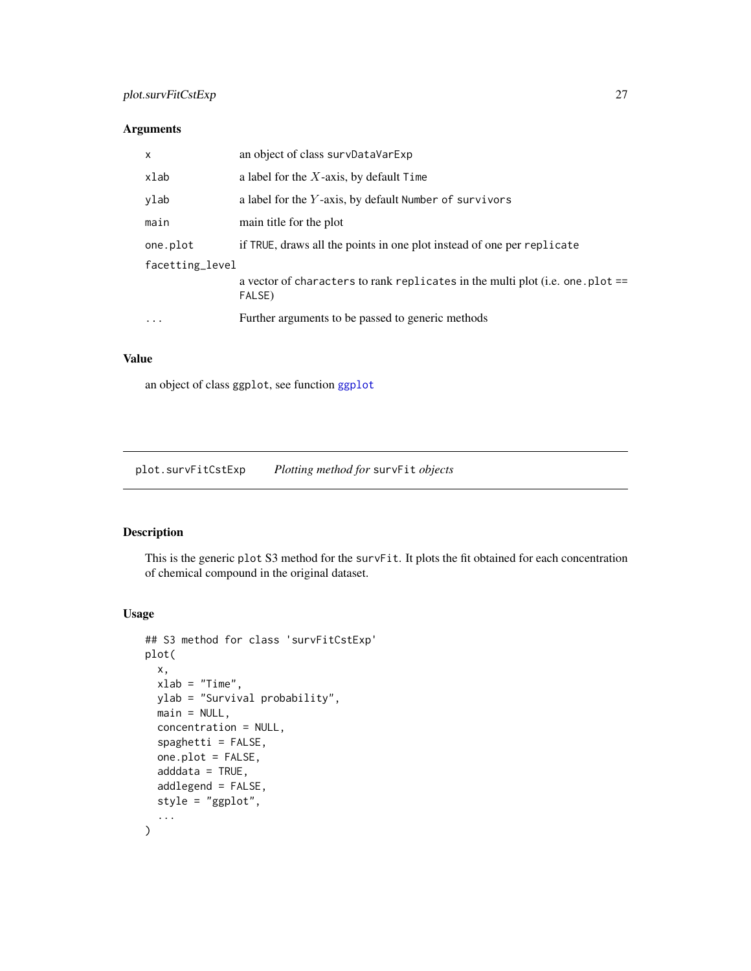# <span id="page-26-0"></span>plot.survFitCstExp 27

# Arguments

| $\mathsf{x}$    | an object of class survDataVarExp                                                        |  |
|-----------------|------------------------------------------------------------------------------------------|--|
| xlab            | a label for the $X$ -axis, by default $Time$                                             |  |
| ylab            | a label for the $Y$ -axis, by default Number of survivors                                |  |
| main            | main title for the plot                                                                  |  |
| one.plot        | if TRUE, draws all the points in one plot instead of one per replicate                   |  |
| facetting_level |                                                                                          |  |
|                 | a vector of characters to rank replicates in the multi plot (i.e. one .plot ==<br>FALSE) |  |
| $\cdot$         | Further arguments to be passed to generic methods                                        |  |
|                 |                                                                                          |  |

# Value

an object of class ggplot, see function [ggplot](#page-0-0)

plot.survFitCstExp *Plotting method for* survFit *objects*

# Description

This is the generic plot S3 method for the survFit. It plots the fit obtained for each concentration of chemical compound in the original dataset.

```
## S3 method for class 'survFitCstExp'
plot(
 x,
 xlab = "Time",
 ylab = "Survival probability",
 main = NULL,
  concentration = NULL,
  spaghetti = FALSE,
  one.plot = FALSE,
  adddata = TRUE,
  addlegend = FALSE,
  style = "ggplot",
  ...
)
```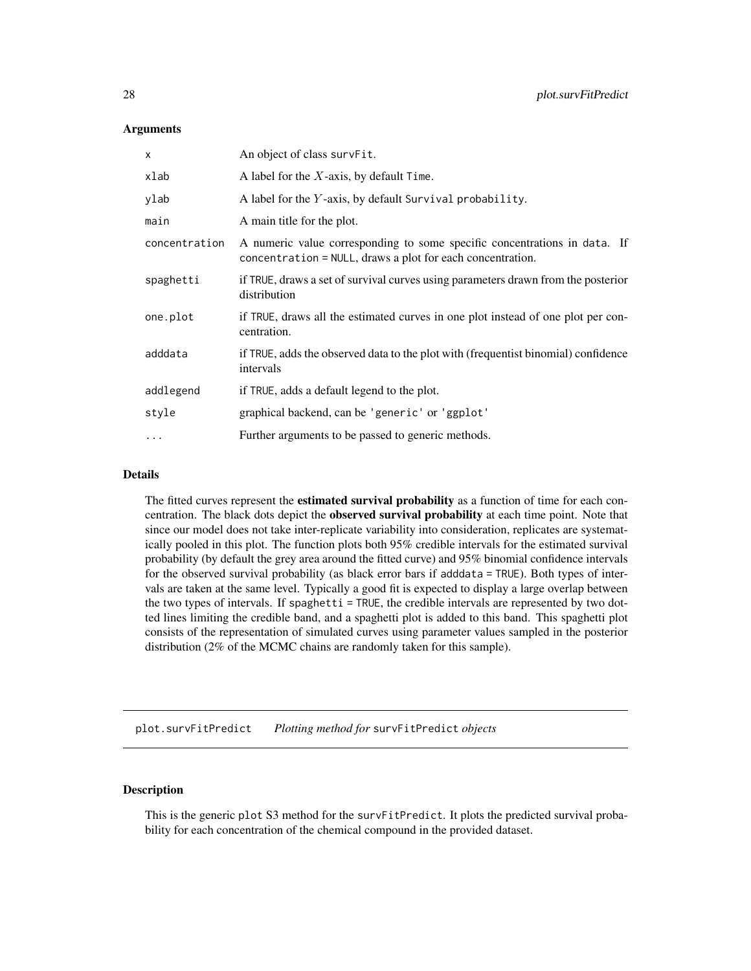<span id="page-27-0"></span>

| $\mathsf{x}$  | An object of class survFit.                                                                                                             |
|---------------|-----------------------------------------------------------------------------------------------------------------------------------------|
| xlab          | A label for the $X$ -axis, by default Time.                                                                                             |
| ylab          | A label for the Y-axis, by default Survival probability.                                                                                |
| main          | A main title for the plot.                                                                                                              |
| concentration | A numeric value corresponding to some specific concentrations in data. If<br>concentration = NULL, draws a plot for each concentration. |
| spaghetti     | if TRUE, draws a set of survival curves using parameters drawn from the posterior<br>distribution                                       |
| one.plot      | if TRUE, draws all the estimated curves in one plot instead of one plot per con-<br>centration.                                         |
| adddata       | if TRUE, adds the observed data to the plot with (frequentist binomial) confidence<br>intervals                                         |
| addlegend     | if TRUE, adds a default legend to the plot.                                                                                             |
| style         | graphical backend, can be 'generic' or 'ggplot'                                                                                         |
| $\cdots$      | Further arguments to be passed to generic methods.                                                                                      |

# Details

The fitted curves represent the estimated survival probability as a function of time for each concentration. The black dots depict the **observed survival probability** at each time point. Note that since our model does not take inter-replicate variability into consideration, replicates are systematically pooled in this plot. The function plots both 95% credible intervals for the estimated survival probability (by default the grey area around the fitted curve) and 95% binomial confidence intervals for the observed survival probability (as black error bars if adddata = TRUE). Both types of intervals are taken at the same level. Typically a good fit is expected to display a large overlap between the two types of intervals. If spaghetti = TRUE, the credible intervals are represented by two dotted lines limiting the credible band, and a spaghetti plot is added to this band. This spaghetti plot consists of the representation of simulated curves using parameter values sampled in the posterior distribution (2% of the MCMC chains are randomly taken for this sample).

plot.survFitPredict *Plotting method for* survFitPredict *objects*

# Description

This is the generic plot S3 method for the survFitPredict. It plots the predicted survival probability for each concentration of the chemical compound in the provided dataset.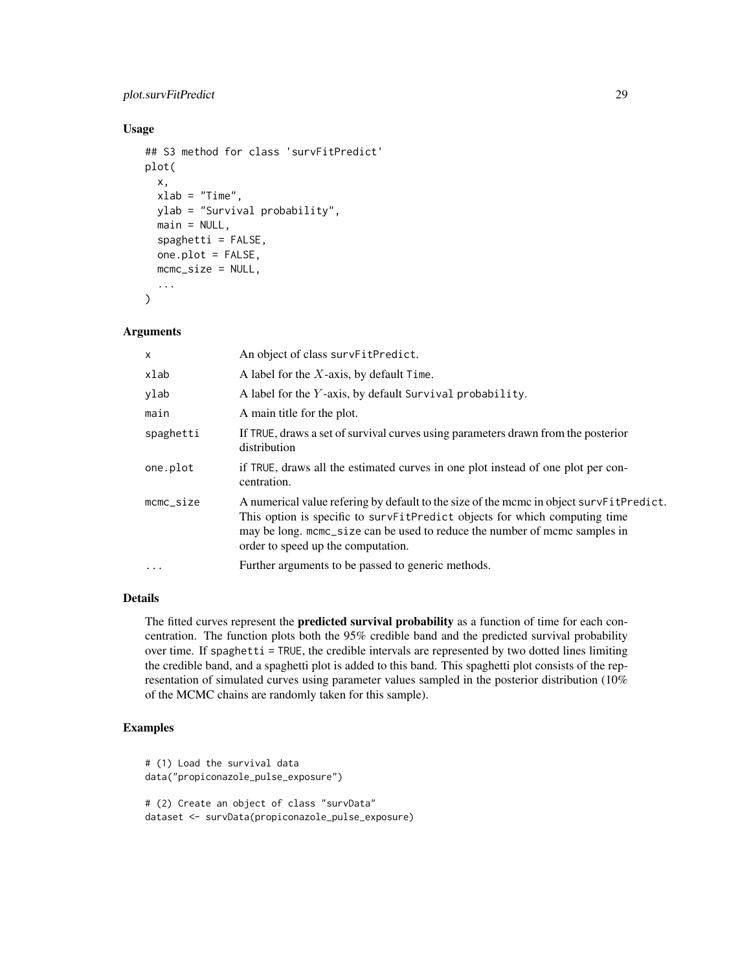# plot.survFitPredict 29

# Usage

```
## S3 method for class 'survFitPredict'
plot(
  x,
  xlab = "Time",
 ylab = "Survival probability",
 main = NULL,spaghetti = FALSE,one.plot = FALSE,
 mcmc_size = NULL,
  ...
)
```
#### Arguments

| $\times$  | An object of class survFitPredict.                                                                                                                                                                                                                                                        |
|-----------|-------------------------------------------------------------------------------------------------------------------------------------------------------------------------------------------------------------------------------------------------------------------------------------------|
| xlab      | A label for the $X$ -axis, by default Time.                                                                                                                                                                                                                                               |
| ylab      | A label for the <i>Y</i> -axis, by default Survival probability.                                                                                                                                                                                                                          |
| main      | A main title for the plot.                                                                                                                                                                                                                                                                |
| spaghetti | If TRUE, draws a set of survival curves using parameters drawn from the posterior<br>distribution                                                                                                                                                                                         |
| one.plot  | if TRUE, draws all the estimated curves in one plot instead of one plot per con-<br>centration.                                                                                                                                                                                           |
| mcmc_size | A numerical value refering by default to the size of the mcmc in object survFitPredict.<br>This option is specific to survFitPredict objects for which computing time<br>may be long, mome_size can be used to reduce the number of mome samples in<br>order to speed up the computation. |
| $\ddotsc$ | Further arguments to be passed to generic methods.                                                                                                                                                                                                                                        |

#### Details

The fitted curves represent the **predicted survival probability** as a function of time for each concentration. The function plots both the 95% credible band and the predicted survival probability over time. If spaghetti = TRUE, the credible intervals are represented by two dotted lines limiting the credible band, and a spaghetti plot is added to this band. This spaghetti plot consists of the representation of simulated curves using parameter values sampled in the posterior distribution (10% of the MCMC chains are randomly taken for this sample).

```
# (1) Load the survival data
data("propiconazole_pulse_exposure")
# (2) Create an object of class "survData"
dataset <- survData(propiconazole_pulse_exposure)
```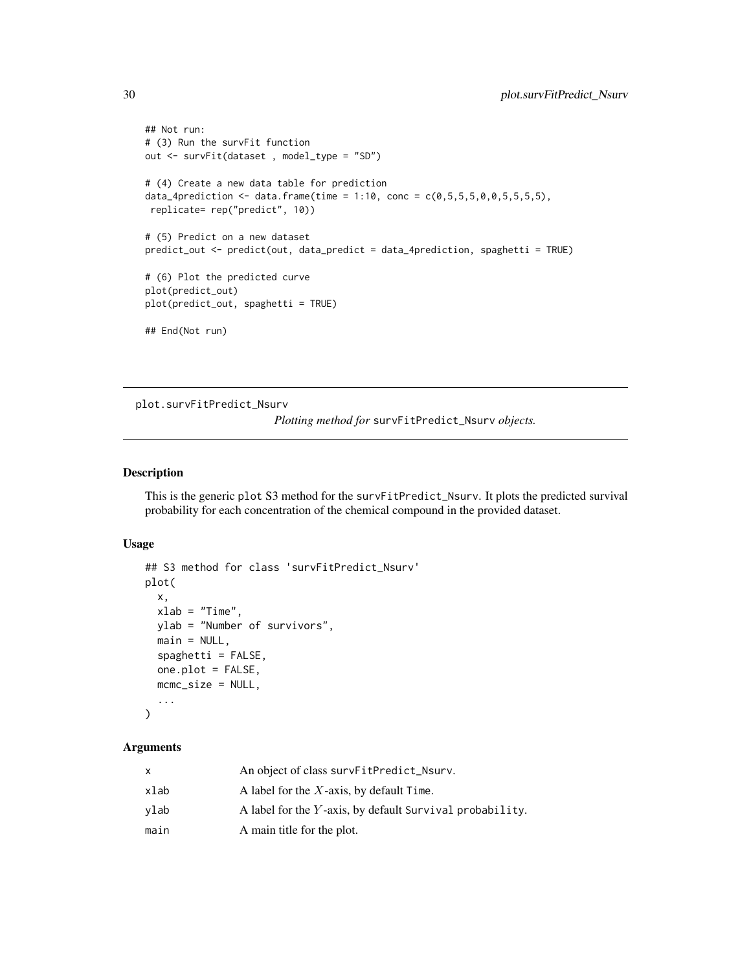```
## Not run:
# (3) Run the survFit function
out <- survFit(dataset , model_type = "SD")
# (4) Create a new data table for prediction
data_4prediction <- data.frame(time = 1:10, conc = c(0, 5, 5, 5, 0, 0, 5, 5, 5, 5),
replicate= rep("predict", 10))
# (5) Predict on a new dataset
predict_out <- predict(out, data_predict = data_4prediction, spaghetti = TRUE)
# (6) Plot the predicted curve
plot(predict_out)
plot(predict_out, spaghetti = TRUE)
## End(Not run)
```
plot.survFitPredict\_Nsurv

*Plotting method for* survFitPredict\_Nsurv *objects.*

# Description

This is the generic plot S3 method for the survFitPredict\_Nsurv. It plots the predicted survival probability for each concentration of the chemical compound in the provided dataset.

#### Usage

```
## S3 method for class 'survFitPredict_Nsurv'
plot(
  x,
  xlab = "Time",
 ylab = "Number of survivors",
  main = NULL,spaghetti = FALSE,one.plot = FALSE,
 mcmc_size = NULL,
  ...
\mathcal{L}
```

| x    | An object of class survFitPredict_Nsurv.                 |
|------|----------------------------------------------------------|
| xlab | A label for the $X$ -axis, by default Time.              |
| vlab | A label for the Y-axis, by default Survival probability. |
| main | A main title for the plot.                               |

<span id="page-29-0"></span>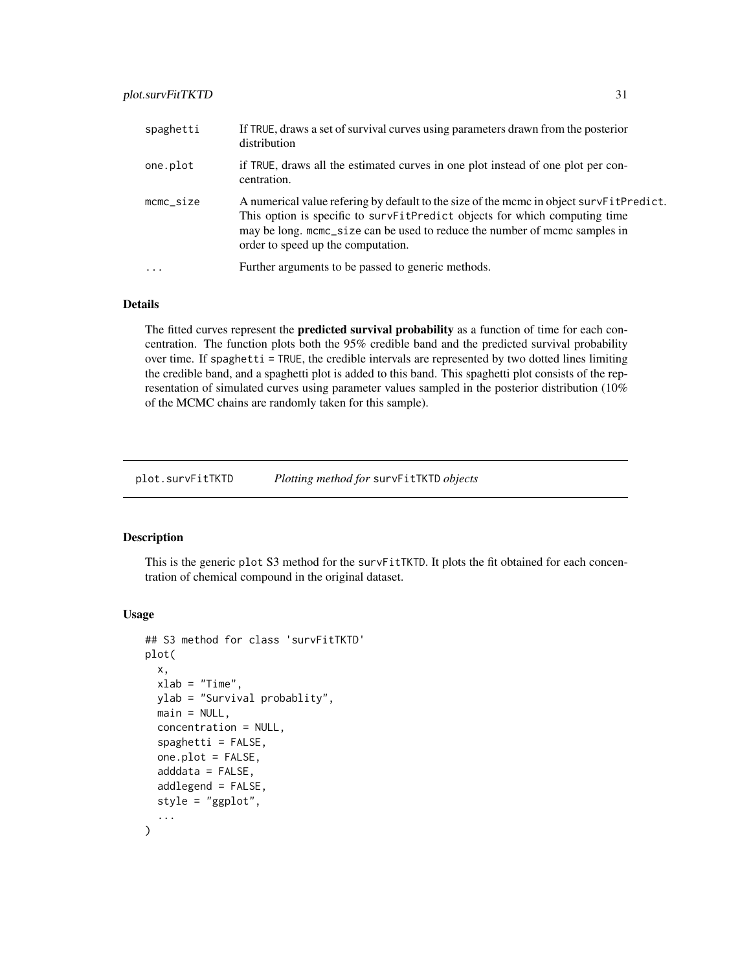<span id="page-30-0"></span>

| spaghetti           | If TRUE, draws a set of survival curves using parameters drawn from the posterior<br>distribution                                                                                                                                                                                         |
|---------------------|-------------------------------------------------------------------------------------------------------------------------------------------------------------------------------------------------------------------------------------------------------------------------------------------|
| one.plot            | if TRUE, draws all the estimated curves in one plot instead of one plot per con-<br>centration.                                                                                                                                                                                           |
| $m$ c $m$ c $si$ ze | A numerical value refering by default to the size of the mcmc in object survFitPredict.<br>This option is specific to survFitPredict objects for which computing time<br>may be long. mcmc_size can be used to reduce the number of mcmc samples in<br>order to speed up the computation. |
| $\ddotsc$           | Further arguments to be passed to generic methods.                                                                                                                                                                                                                                        |

# Details

The fitted curves represent the **predicted survival probability** as a function of time for each concentration. The function plots both the 95% credible band and the predicted survival probability over time. If spaghetti = TRUE, the credible intervals are represented by two dotted lines limiting the credible band, and a spaghetti plot is added to this band. This spaghetti plot consists of the representation of simulated curves using parameter values sampled in the posterior distribution (10% of the MCMC chains are randomly taken for this sample).

plot.survFitTKTD *Plotting method for* survFitTKTD *objects*

#### Description

This is the generic plot S3 method for the survFitTKTD. It plots the fit obtained for each concentration of chemical compound in the original dataset.

```
## S3 method for class 'survFitTKTD'
plot(
 x,
 xlab = "Time",
 ylab = "Survival probablity",
 main = NULL,concentration = NULL,
  spaghetti = FALSE,
  one.plot = FALSE,
  adddata = FALSE,
  addlegend = FALSE,
  style = "ggplot",
  ...
)
```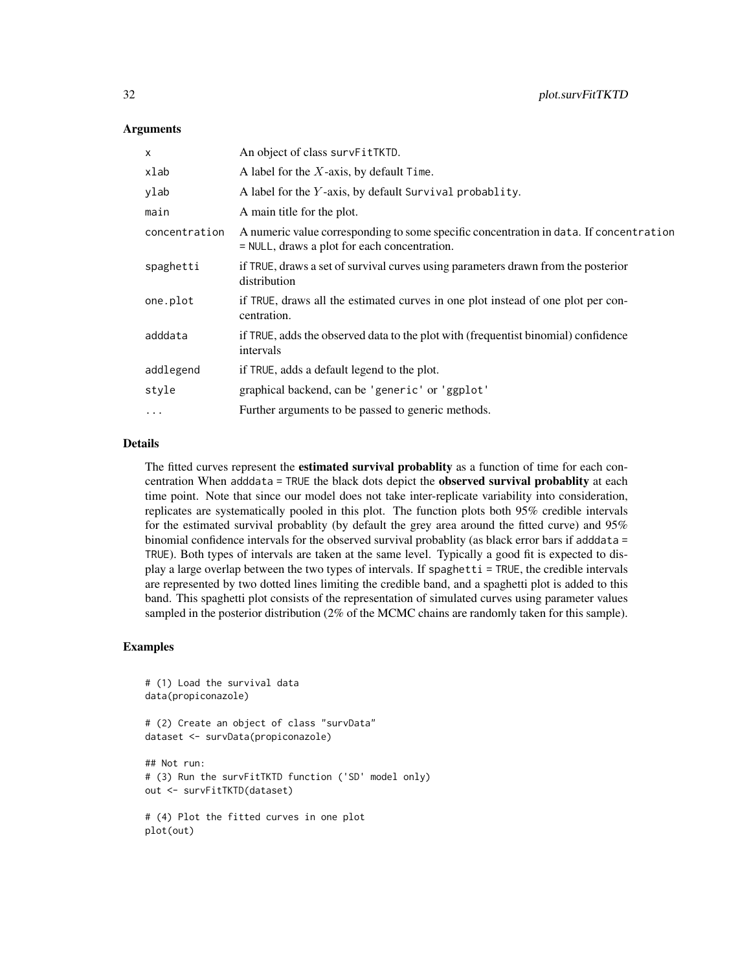| X             | An object of class survFitTKTD.                                                                                                        |
|---------------|----------------------------------------------------------------------------------------------------------------------------------------|
| xlab          | A label for the $X$ -axis, by default Time.                                                                                            |
| ylab          | A label for the Y-axis, by default Survival probablity.                                                                                |
| main          | A main title for the plot.                                                                                                             |
| concentration | A numeric value corresponding to some specific concentration in data. If concentration<br>= NULL, draws a plot for each concentration. |
| spaghetti     | if TRUE, draws a set of survival curves using parameters drawn from the posterior<br>distribution                                      |
| one.plot      | if TRUE, draws all the estimated curves in one plot instead of one plot per con-<br>centration.                                        |
| adddata       | if TRUE, adds the observed data to the plot with (frequentist binomial) confidence<br>intervals                                        |
| addlegend     | if TRUE, adds a default legend to the plot.                                                                                            |
| style         | graphical backend, can be 'generic' or 'ggplot'                                                                                        |
| $\cdots$      | Further arguments to be passed to generic methods.                                                                                     |

# Details

The fitted curves represent the **estimated survival probablity** as a function of time for each concentration When adddata = TRUE the black dots depict the **observed survival probablity** at each time point. Note that since our model does not take inter-replicate variability into consideration, replicates are systematically pooled in this plot. The function plots both 95% credible intervals for the estimated survival probablity (by default the grey area around the fitted curve) and 95% binomial confidence intervals for the observed survival probablity (as black error bars if adddata = TRUE). Both types of intervals are taken at the same level. Typically a good fit is expected to display a large overlap between the two types of intervals. If spaghetti = TRUE, the credible intervals are represented by two dotted lines limiting the credible band, and a spaghetti plot is added to this band. This spaghetti plot consists of the representation of simulated curves using parameter values sampled in the posterior distribution (2% of the MCMC chains are randomly taken for this sample).

```
# (1) Load the survival data
data(propiconazole)
# (2) Create an object of class "survData"
dataset <- survData(propiconazole)
## Not run:
# (3) Run the survFitTKTD function ('SD' model only)
out <- survFitTKTD(dataset)
# (4) Plot the fitted curves in one plot
plot(out)
```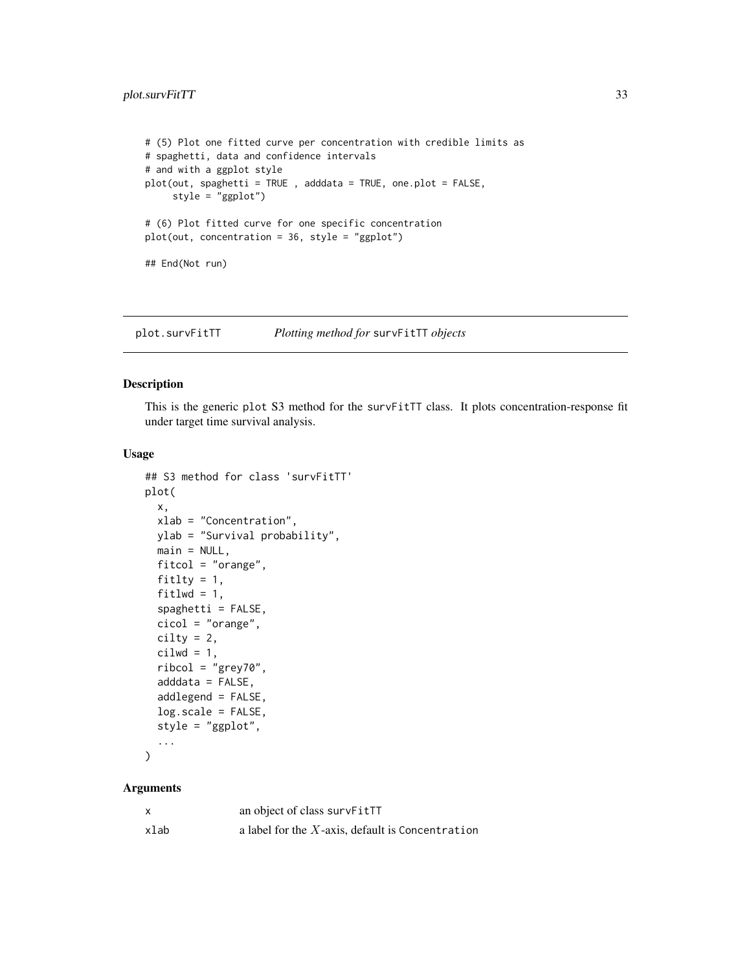```
# (5) Plot one fitted curve per concentration with credible limits as
# spaghetti, data and confidence intervals
# and with a ggplot style
plot(out, spaghetti = TRUE , adddata = TRUE, one.plot = FALSE,
     style = "ggplot")
# (6) Plot fitted curve for one specific concentration
plot(out, concentration = 36, style = "ggplot")## End(Not run)
```
plot.survFitTT *Plotting method for* survFitTT *objects*

# Description

This is the generic plot S3 method for the survFitTT class. It plots concentration-response fit under target time survival analysis.

# Usage

```
## S3 method for class 'survFitTT'
plot(
  x,
  xlab = "Concentration",
 ylab = "Survival probability",
 main = NULL,
  fitcol = "orange",
  fitlty = 1,
  fitlwd = 1,
  spaghetti = FALSE,
  cicol = "orange",
  cility = 2,cilwd = 1,
  ribcol = "grey70",
  adddata = FALSE,addlegend = FALSE,
  log.scale = FALSE,
  style = "ggplot",
  ...
```

```
\mathcal{L}
```

| X    | an object of class survFitTT                        |
|------|-----------------------------------------------------|
| xlab | a label for the $X$ -axis, default is Concentration |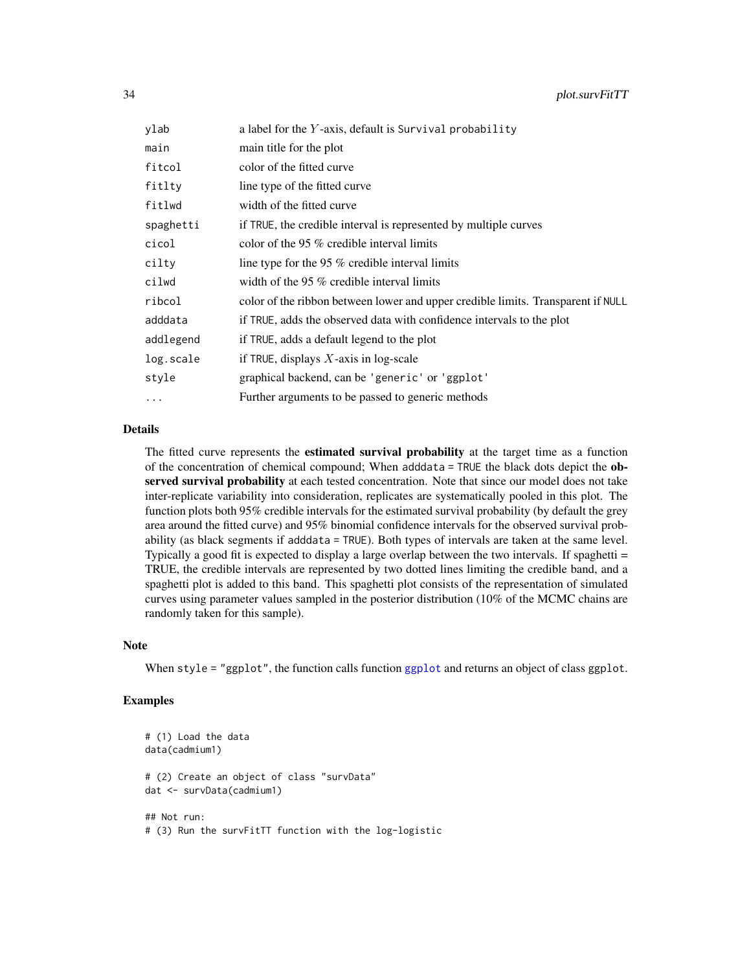| ylab      | a label for the $Y$ -axis, default is Survival probability                       |
|-----------|----------------------------------------------------------------------------------|
| main      | main title for the plot                                                          |
| fitcol    | color of the fitted curve                                                        |
| fitlty    | line type of the fitted curve                                                    |
| fitlwd    | width of the fitted curve                                                        |
| spaghetti | if TRUE, the credible interval is represented by multiple curves                 |
| cicol     | color of the 95 $%$ credible interval limits                                     |
| cilty     | line type for the 95 % credible interval limits                                  |
| cilwd     | width of the 95 $%$ credible interval limits                                     |
| ribcol    | color of the ribbon between lower and upper credible limits. Transparent if NULL |
| adddata   | if TRUE, adds the observed data with confidence intervals to the plot            |
| addlegend | if TRUE, adds a default legend to the plot                                       |
| log.scale | if TRUE, displays $X$ -axis in log-scale                                         |
| style     | graphical backend, can be 'generic' or 'ggplot'                                  |
| $\ddots$  | Further arguments to be passed to generic methods                                |
|           |                                                                                  |

# Details

The fitted curve represents the **estimated survival probability** at the target time as a function of the concentration of chemical compound; When adddata = TRUE the black dots depict the observed survival probability at each tested concentration. Note that since our model does not take inter-replicate variability into consideration, replicates are systematically pooled in this plot. The function plots both 95% credible intervals for the estimated survival probability (by default the grey area around the fitted curve) and 95% binomial confidence intervals for the observed survival probability (as black segments if adddata = TRUE). Both types of intervals are taken at the same level. Typically a good fit is expected to display a large overlap between the two intervals. If spaghetti = TRUE, the credible intervals are represented by two dotted lines limiting the credible band, and a spaghetti plot is added to this band. This spaghetti plot consists of the representation of simulated curves using parameter values sampled in the posterior distribution (10% of the MCMC chains are randomly taken for this sample).

# Note

When style = "[ggplot](#page-0-0)", the function calls function ggplot and returns an object of class ggplot.

```
# (1) Load the data
data(cadmium1)
# (2) Create an object of class "survData"
dat <- survData(cadmium1)
## Not run:
# (3) Run the survFitTT function with the log-logistic
```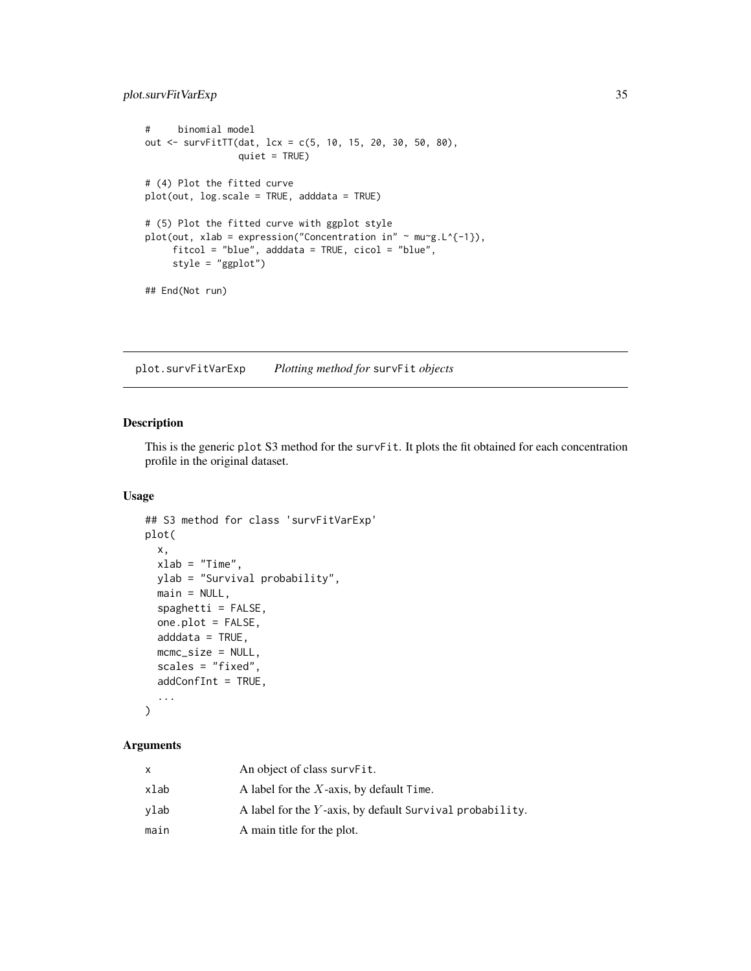# <span id="page-34-0"></span>plot.survFitVarExp 35

```
# binomial model
out <- survFitTT(dat, lcx = c(5, 10, 15, 20, 30, 50, 80),
                 quiet = TRUE)
# (4) Plot the fitted curve
plot(out, log.scale = TRUE, adddata = TRUE)
# (5) Plot the fitted curve with ggplot style
plot(out, xlab = expression("Concentration in" \sim mu\simg.L\{-1\}),
     fitcol = "blue", adddata = TRUE, cicol = "blue",
     style = "ggplot")
## End(Not run)
```
plot.survFitVarExp *Plotting method for* survFit *objects*

# Description

This is the generic plot S3 method for the survFit. It plots the fit obtained for each concentration profile in the original dataset.

# Usage

```
## S3 method for class 'survFitVarExp'
plot(
  x,
  xlab = "Time",ylab = "Survival probability",
 main = NULL,
  spaghetti = FALSE,
  one.plot = FALSE,
  adddata = TRUE,mcmc_size = NULL,
  scales = "fixed",
  addConfInt = TRUE,
  ...
)
```

| x    | An object of class survFit.                                 |
|------|-------------------------------------------------------------|
| xlab | A label for the $X$ -axis, by default Time.                 |
| vlab | A label for the $Y$ -axis, by default Survival probability. |
| main | A main title for the plot.                                  |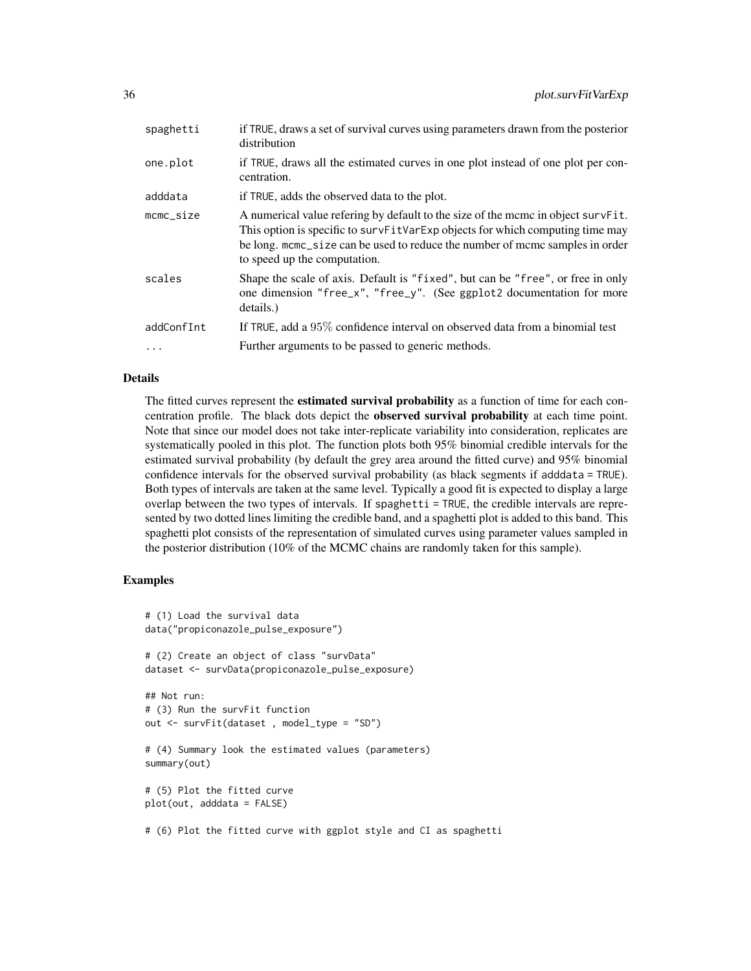| spaghetti           | if TRUE, draws a set of survival curves using parameters drawn from the posterior<br>distribution                                                                                                                                                                                 |
|---------------------|-----------------------------------------------------------------------------------------------------------------------------------------------------------------------------------------------------------------------------------------------------------------------------------|
| one.plot            | if TRUE, draws all the estimated curves in one plot instead of one plot per con-<br>centration.                                                                                                                                                                                   |
| adddata             | if TRUE, adds the observed data to the plot.                                                                                                                                                                                                                                      |
| $m$ c $m$ c $si$ ze | A numerical value refering by default to the size of the mcmc in object survFit.<br>This option is specific to survFitVarExp objects for which computing time may<br>be long, mome_size can be used to reduce the number of mome samples in order<br>to speed up the computation. |
| scales              | Shape the scale of axis. Default is "fixed", but can be "free", or free in only<br>one dimension "free_x", "free_y". (See ggplot2 documentation for more<br>details.                                                                                                              |
| addConfInt          | If TRUE, add a 95% confidence interval on observed data from a binomial test                                                                                                                                                                                                      |
|                     | Further arguments to be passed to generic methods.                                                                                                                                                                                                                                |

# Details

The fitted curves represent the **estimated survival probability** as a function of time for each concentration profile. The black dots depict the **observed survival probability** at each time point. Note that since our model does not take inter-replicate variability into consideration, replicates are systematically pooled in this plot. The function plots both 95% binomial credible intervals for the estimated survival probability (by default the grey area around the fitted curve) and 95% binomial confidence intervals for the observed survival probability (as black segments if adddata = TRUE). Both types of intervals are taken at the same level. Typically a good fit is expected to display a large overlap between the two types of intervals. If spaghetti = TRUE, the credible intervals are represented by two dotted lines limiting the credible band, and a spaghetti plot is added to this band. This spaghetti plot consists of the representation of simulated curves using parameter values sampled in the posterior distribution (10% of the MCMC chains are randomly taken for this sample).

```
# (1) Load the survival data
data("propiconazole_pulse_exposure")
# (2) Create an object of class "survData"
dataset <- survData(propiconazole_pulse_exposure)
## Not run:
# (3) Run the survFit function
out <- survFit(dataset , model_type = "SD")
# (4) Summary look the estimated values (parameters)
summary(out)
# (5) Plot the fitted curve
plot(out, adddata = FALSE)
# (6) Plot the fitted curve with ggplot style and CI as spaghetti
```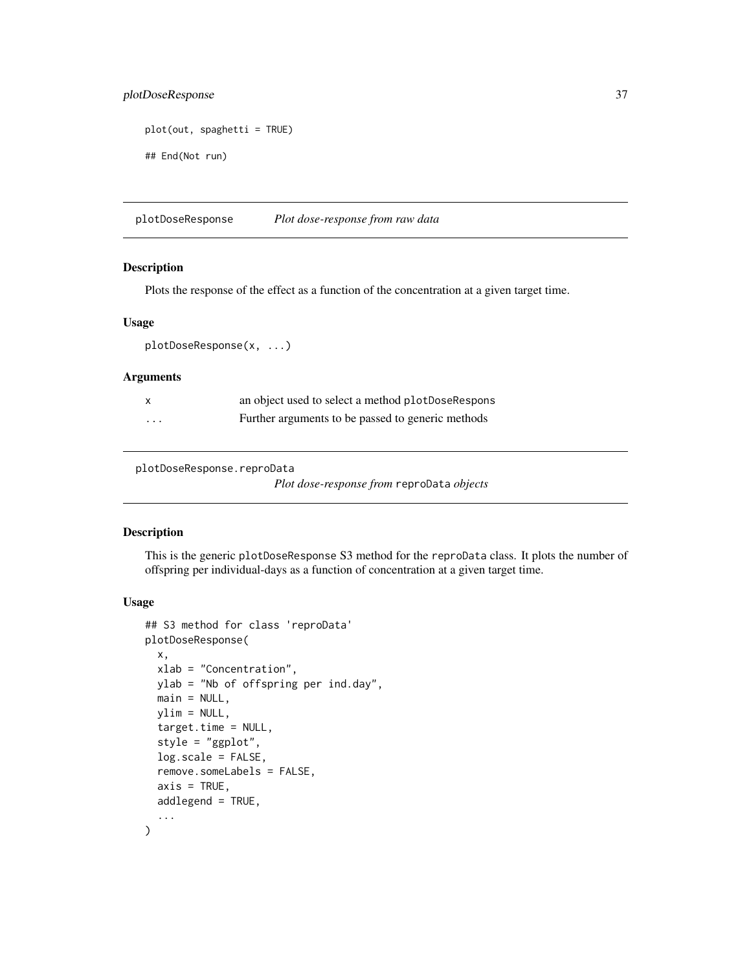# plotDoseResponse 37

```
plot(out, spaghetti = TRUE)
## End(Not run)
```
plotDoseResponse *Plot dose-response from raw data*

# Description

Plots the response of the effect as a function of the concentration at a given target time.

# Usage

plotDoseResponse(x, ...)

# Arguments

|          | an object used to select a method plotDoseRespons |
|----------|---------------------------------------------------|
| $\cdots$ | Further arguments to be passed to generic methods |

plotDoseResponse.reproData

*Plot dose-response from* reproData *objects*

## Description

This is the generic plotDoseResponse S3 method for the reproData class. It plots the number of offspring per individual-days as a function of concentration at a given target time.

### Usage

```
## S3 method for class 'reproData'
plotDoseResponse(
 x,
 xlab = "Concentration",
 ylab = "Nb of offspring per ind.day",
 main = NULL,ylim = NULL,
  target.time = NULL,
  style = "ggplot",
  log.scale = FALSE,
  remove.someLabels = FALSE,
  axis = TRUE,addlegend = TRUE,
  ...
)
```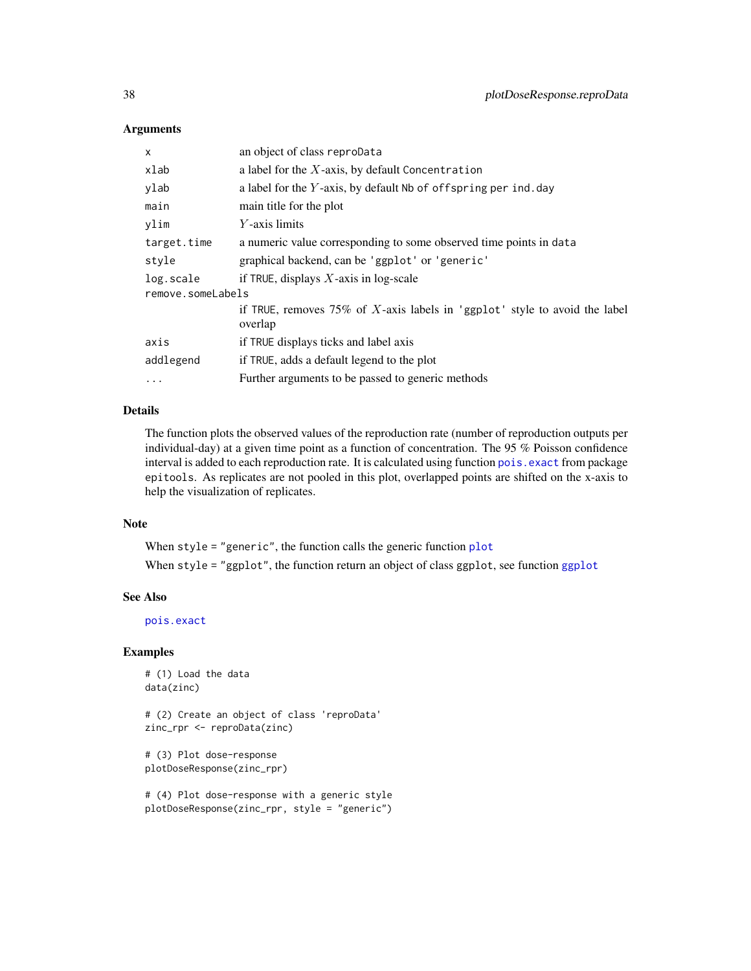## **Arguments**

| x                 | an object of class reproData                                               |  |
|-------------------|----------------------------------------------------------------------------|--|
| xlab              | a label for the $X$ -axis, by default Concentration                        |  |
| ylab              | a label for the Y-axis, by default Nb of offspring per ind. day            |  |
| main              | main title for the plot                                                    |  |
| ylim              | $Y$ -axis limits                                                           |  |
| target.time       | a numeric value corresponding to some observed time points in data         |  |
| style             | graphical backend, can be 'ggplot' or 'generic'                            |  |
| log.scale         | if TRUE, displays $X$ -axis in log-scale                                   |  |
| remove.someLabels |                                                                            |  |
|                   | if TRUE, removes 75% of X-axis labels in 'ggplot' style to avoid the label |  |
|                   | overlap                                                                    |  |
| axis              | if TRUE displays ticks and label axis                                      |  |
| addlegend         | if TRUE, adds a default legend to the plot                                 |  |
| .                 | Further arguments to be passed to generic methods                          |  |
|                   |                                                                            |  |

# Details

The function plots the observed values of the reproduction rate (number of reproduction outputs per individual-day) at a given time point as a function of concentration. The 95 % Poisson confidence interval is added to each reproduction rate. It is calculated using function pois. exact from package epitools. As replicates are not pooled in this plot, overlapped points are shifted on the x-axis to help the visualization of replicates.

## Note

When style = "generic", the function calls the generic function [plot](#page-0-0) When style = "[ggplot](#page-0-0)", the function return an object of class ggplot, see function ggplot

## See Also

[pois.exact](#page-0-0)

### Examples

```
# (1) Load the data
data(zinc)
```
# (2) Create an object of class 'reproData' zinc\_rpr <- reproData(zinc)

```
# (3) Plot dose-response
plotDoseResponse(zinc_rpr)
```

```
# (4) Plot dose-response with a generic style
plotDoseResponse(zinc_rpr, style = "generic")
```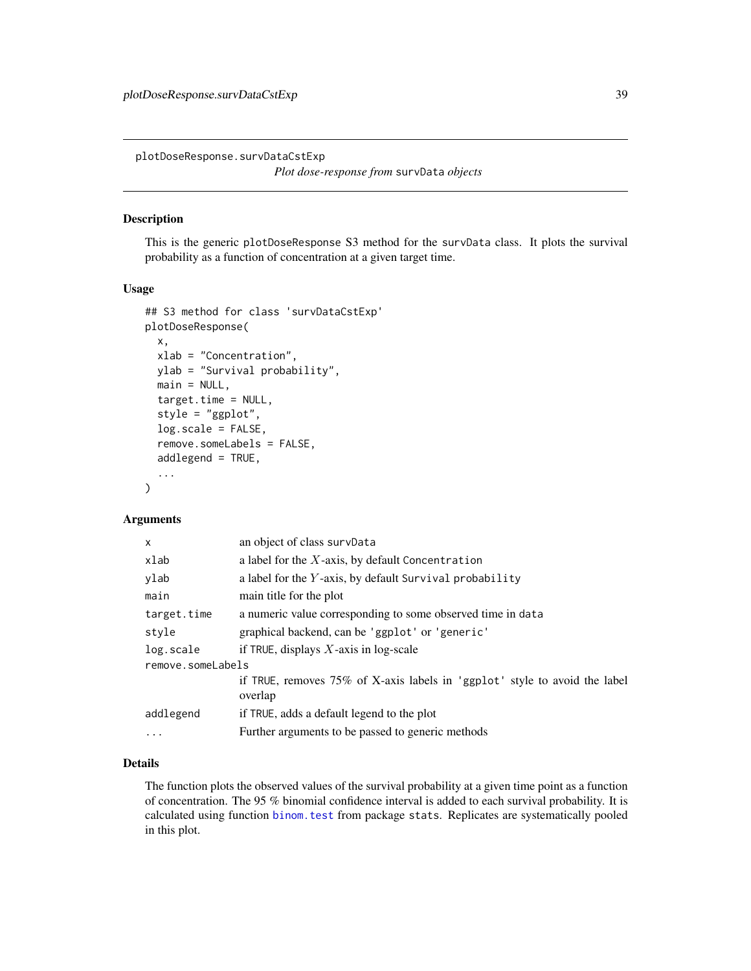plotDoseResponse.survDataCstExp

```
Plot dose-response from survData objects
```
### Description

This is the generic plotDoseResponse S3 method for the survData class. It plots the survival probability as a function of concentration at a given target time.

## Usage

```
## S3 method for class 'survDataCstExp'
plotDoseResponse(
  x,
  xlab = "Concentration",
 ylab = "Survival probability",
 main = NULL,target.time = NULL,
  style = "ggplot",
  log.scale = FALSE,
  remove.someLabels = FALSE,
  addlegend = TRUE,
  ...
\mathcal{L}
```
## Arguments

| X                 | an object of class survData                                                           |
|-------------------|---------------------------------------------------------------------------------------|
| xlab              | a label for the $X$ -axis, by default Concentration                                   |
| ylab              | a label for the $Y$ -axis, by default Survival probability                            |
| main              | main title for the plot                                                               |
| target.time       | a numeric value corresponding to some observed time in data                           |
| style             | graphical backend, can be 'ggplot' or 'generic'                                       |
| log.scale         | if TRUE, displays $X$ -axis in log-scale                                              |
| remove.someLabels |                                                                                       |
|                   | if TRUE, removes 75% of X-axis labels in 'ggplot' style to avoid the label<br>overlap |
| addlegend         | if TRUE, adds a default legend to the plot                                            |
| .                 | Further arguments to be passed to generic methods                                     |
|                   |                                                                                       |

## Details

The function plots the observed values of the survival probability at a given time point as a function of concentration. The 95 % binomial confidence interval is added to each survival probability. It is calculated using function [binom.test](#page-0-0) from package stats. Replicates are systematically pooled in this plot.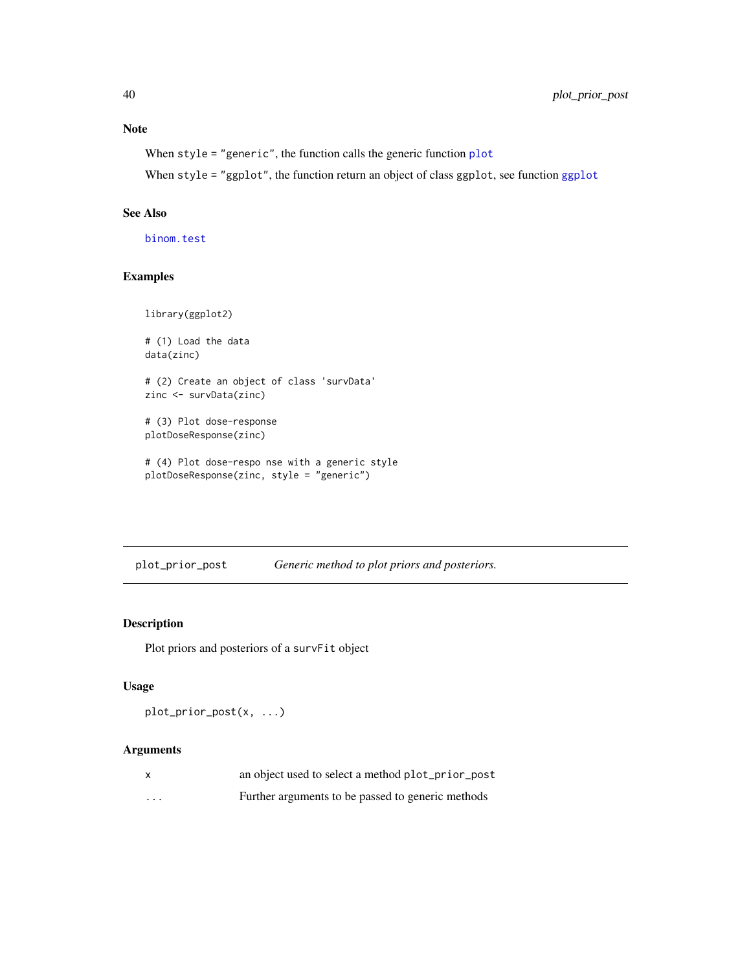# Note

```
When style = "generic", the function calls the generic function plot
```
When style = "ggplot", the function return an object of class ggplot, see function [ggplot](#page-0-0)

### See Also

[binom.test](#page-0-0)

# Examples

```
library(ggplot2)
# (1) Load the data
data(zinc)
# (2) Create an object of class 'survData'
zinc <- survData(zinc)
# (3) Plot dose-response
plotDoseResponse(zinc)
# (4) Plot dose-respo nse with a generic style
plotDoseResponse(zinc, style = "generic")
```
plot\_prior\_post *Generic method to plot priors and posteriors.*

## Description

Plot priors and posteriors of a survFit object

# Usage

```
plot_prior_post(x, ...)
```
# Arguments

|          | an object used to select a method plot_prior_post |
|----------|---------------------------------------------------|
| $\cdots$ | Further arguments to be passed to generic methods |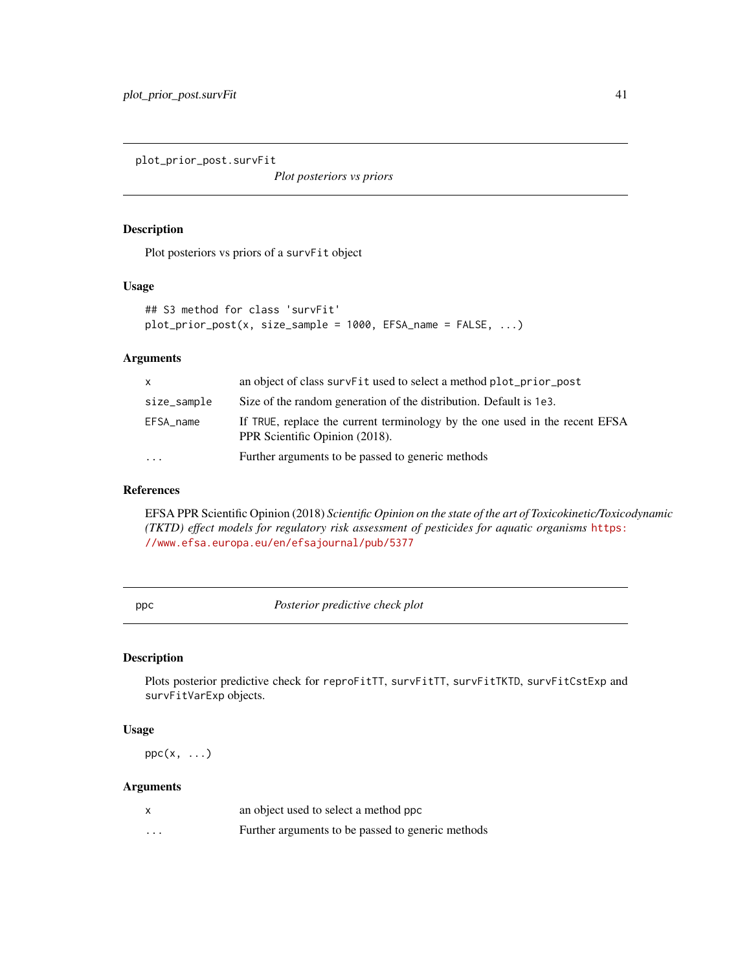plot\_prior\_post.survFit

*Plot posteriors vs priors*

# Description

Plot posteriors vs priors of a survFit object

### Usage

```
## S3 method for class 'survFit'
plot\_prior\_post(x, size\_sample = 1000, EFSA_name = FALSE, ...)
```
# Arguments

| $\mathsf{x}$ | an object of class surve it used to select a method plot_prior_post                                           |
|--------------|---------------------------------------------------------------------------------------------------------------|
| size_sample  | Size of the random generation of the distribution. Default is 1e3.                                            |
| EFSA_name    | If TRUE, replace the current terminology by the one used in the recent EFSA<br>PPR Scientific Opinion (2018). |
| $\cdots$     | Further arguments to be passed to generic methods                                                             |

## References

EFSA PPR Scientific Opinion (2018) *Scientific Opinion on the state of the art of Toxicokinetic/Toxicodynamic (TKTD) effect models for regulatory risk assessment of pesticides for aquatic organisms* [https:](https://www.efsa.europa.eu/en/efsajournal/pub/5377) [//www.efsa.europa.eu/en/efsajournal/pub/5377](https://www.efsa.europa.eu/en/efsajournal/pub/5377)

ppc *Posterior predictive check plot*

# Description

Plots posterior predictive check for reproFitTT, survFitTT, survFitTKTD, survFitCstExp and survFitVarExp objects.

# Usage

 $ppc(x, \ldots)$ 

### Arguments

|          | an object used to select a method ppc             |
|----------|---------------------------------------------------|
| $\cdots$ | Further arguments to be passed to generic methods |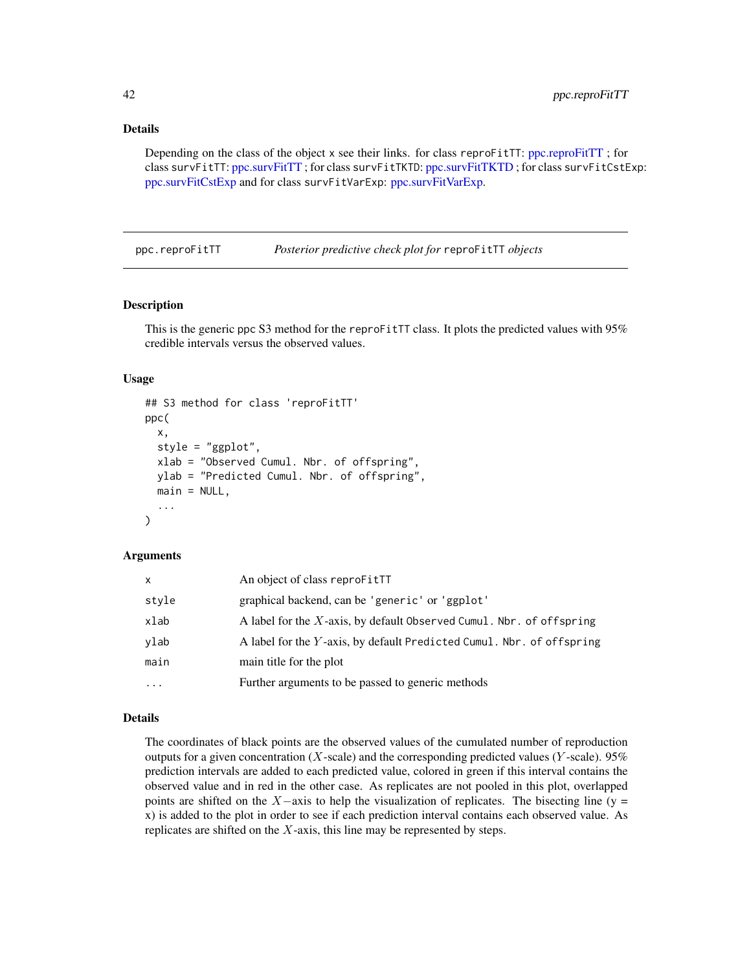# Details

Depending on the class of the object x see their links. for class reproFitTT: [ppc.reproFitTT](#page-41-0) ; for class survFitTT: [ppc.survFitTT](#page-45-0) ; for class survFitTKTD: [ppc.survFitTKTD](#page-44-0) ; for class survFitCstExp: [ppc.survFitCstExp](#page-42-0) and for class survFitVarExp: [ppc.survFitVarExp.](#page-46-0)

<span id="page-41-0"></span>ppc.reproFitTT *Posterior predictive check plot for* reproFitTT *objects*

# **Description**

This is the generic ppc S3 method for the reproFitTT class. It plots the predicted values with 95% credible intervals versus the observed values.

### Usage

```
## S3 method for class 'reproFitTT'
ppc(
  x,
  style = "ggplot",
  xlab = "Observed Cumul. Nbr. of offspring",
 ylab = "Predicted Cumul. Nbr. of offspring",
 main = NULL,...
)
```
#### Arguments

| An object of class reproFitTT<br>X                                            |  |
|-------------------------------------------------------------------------------|--|
| graphical backend, can be 'generic' or 'ggplot'<br>style                      |  |
| xlab<br>A label for the X-axis, by default Observed Cumul. Nbr. of offspring  |  |
| A label for the Y-axis, by default Predicted Cumul. Nbr. of offspring<br>ylab |  |
| main<br>main title for the plot                                               |  |
| Further arguments to be passed to generic methods<br>$\cdots$                 |  |

## Details

The coordinates of black points are the observed values of the cumulated number of reproduction outputs for a given concentration (X-scale) and the corresponding predicted values (Y-scale). 95% prediction intervals are added to each predicted value, colored in green if this interval contains the observed value and in red in the other case. As replicates are not pooled in this plot, overlapped points are shifted on the  $X$ -axis to help the visualization of replicates. The bisecting line (y = x) is added to the plot in order to see if each prediction interval contains each observed value. As replicates are shifted on the  $X$ -axis, this line may be represented by steps.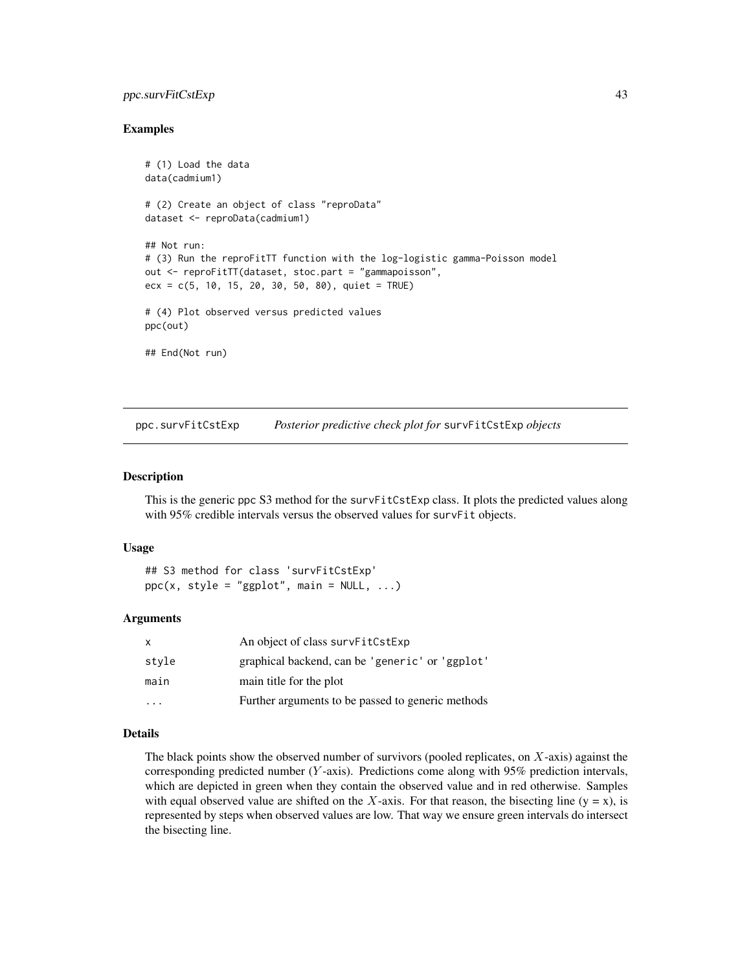# ppc.survFitCstExp 43

## Examples

```
# (1) Load the data
data(cadmium1)
# (2) Create an object of class "reproData"
dataset <- reproData(cadmium1)
## Not run:
# (3) Run the reproFitTT function with the log-logistic gamma-Poisson model
out <- reproFitTT(dataset, stoc.part = "gammapoisson",
ecx = c(5, 10, 15, 20, 30, 50, 80), quiet = TRUE)
# (4) Plot observed versus predicted values
ppc(out)
## End(Not run)
```
<span id="page-42-0"></span>ppc.survFitCstExp *Posterior predictive check plot for* survFitCstExp *objects*

### Description

This is the generic ppc S3 method for the survFitCstExp class. It plots the predicted values along with 95% credible intervals versus the observed values for survFit objects.

## Usage

```
## S3 method for class 'survFitCstExp'
ppc(x, style = "ggplot", main = NULL, ...)
```
### Arguments

| X     | An object of class survFitCstExp                  |
|-------|---------------------------------------------------|
| style | graphical backend, can be 'generic' or 'ggplot'   |
| main  | main title for the plot                           |
|       | Further arguments to be passed to generic methods |

### Details

The black points show the observed number of survivors (pooled replicates, on  $X$ -axis) against the corresponding predicted number (Y -axis). Predictions come along with 95% prediction intervals, which are depicted in green when they contain the observed value and in red otherwise. Samples with equal observed value are shifted on the X-axis. For that reason, the bisecting line ( $y = x$ ), is represented by steps when observed values are low. That way we ensure green intervals do intersect the bisecting line.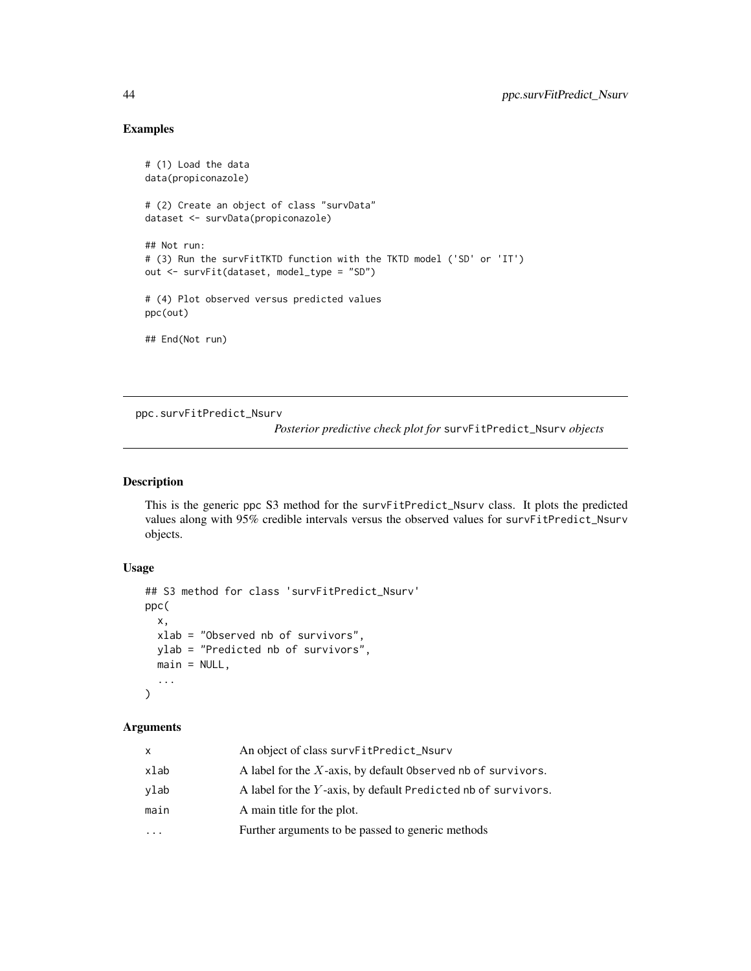# Examples

```
# (1) Load the data
data(propiconazole)
# (2) Create an object of class "survData"
dataset <- survData(propiconazole)
## Not run:
# (3) Run the survFitTKTD function with the TKTD model ('SD' or 'IT')
out <- survFit(dataset, model_type = "SD")
# (4) Plot observed versus predicted values
ppc(out)
## End(Not run)
```
ppc.survFitPredict\_Nsurv

*Posterior predictive check plot for* survFitPredict\_Nsurv *objects*

## Description

This is the generic ppc S3 method for the survFitPredict\_Nsurv class. It plots the predicted values along with 95% credible intervals versus the observed values for survFitPredict\_Nsurv objects.

# Usage

```
## S3 method for class 'survFitPredict_Nsurv'
ppc(
  x,
 xlab = "Observed nb of survivors",
 ylab = "Predicted nb of survivors",
 main = NULL,...
)
```
# Arguments

| x    | An object of class survFitPredict_Nsurv                         |
|------|-----------------------------------------------------------------|
| xlab | A label for the $X$ -axis, by default 0bserved nb of survivors. |
| vlab | A label for the Y-axis, by default Predicted nb of survivors.   |
| main | A main title for the plot.                                      |
| .    | Further arguments to be passed to generic methods               |
|      |                                                                 |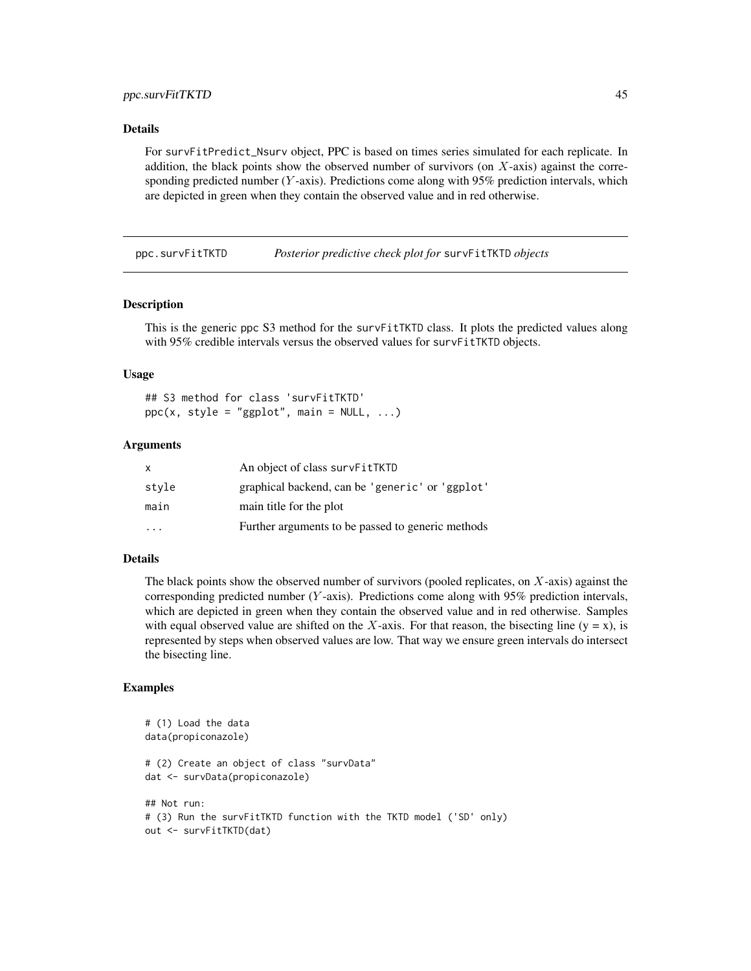# ppc.survFitTKTD 45

### Details

For survFitPredict\_Nsurv object, PPC is based on times series simulated for each replicate. In addition, the black points show the observed number of survivors (on  $X$ -axis) against the corresponding predicted number ( $Y$ -axis). Predictions come along with 95% prediction intervals, which are depicted in green when they contain the observed value and in red otherwise.

<span id="page-44-0"></span>ppc.survFitTKTD *Posterior predictive check plot for* survFitTKTD *objects*

## Description

This is the generic ppc S3 method for the survFitTKTD class. It plots the predicted values along with 95% credible intervals versus the observed values for survFitTKTD objects.

### Usage

## S3 method for class 'survFitTKTD'  $ppc(x, style = "ggplot", main = NULL, ...)$ 

## Arguments

| x                       | An object of class survFitTKTD                    |
|-------------------------|---------------------------------------------------|
| stvle                   | graphical backend, can be 'generic' or 'ggplot'   |
| main                    | main title for the plot                           |
| $\cdot$ $\cdot$ $\cdot$ | Further arguments to be passed to generic methods |

### Details

The black points show the observed number of survivors (pooled replicates, on  $X$ -axis) against the corresponding predicted number (Y -axis). Predictions come along with 95% prediction intervals, which are depicted in green when they contain the observed value and in red otherwise. Samples with equal observed value are shifted on the X-axis. For that reason, the bisecting line ( $y = x$ ), is represented by steps when observed values are low. That way we ensure green intervals do intersect the bisecting line.

```
# (1) Load the data
data(propiconazole)
# (2) Create an object of class "survData"
dat <- survData(propiconazole)
## Not run:
# (3) Run the survFitTKTD function with the TKTD model ('SD' only)
out <- survFitTKTD(dat)
```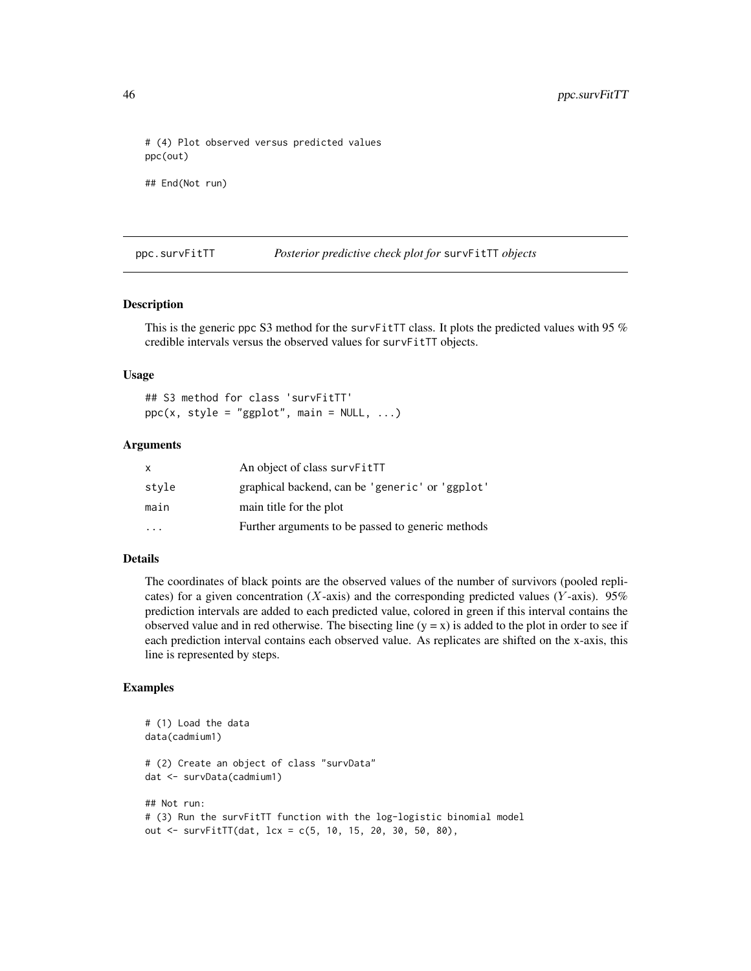# (4) Plot observed versus predicted values ppc(out) ## End(Not run)

<span id="page-45-0"></span>ppc.survFitTT *Posterior predictive check plot for* survFitTT *objects*

## Description

This is the generic ppc S3 method for the survFitTT class. It plots the predicted values with 95  $%$ credible intervals versus the observed values for survFitTT objects.

### Usage

## S3 method for class 'survFitTT'  $ppc(x, style = "ggplot", main = NULL, ...)$ 

# Arguments

| x                       | An object of class survFitTT                      |
|-------------------------|---------------------------------------------------|
| stvle                   | graphical backend, can be 'generic' or 'ggplot'   |
| main                    | main title for the plot                           |
| $\cdot$ $\cdot$ $\cdot$ | Further arguments to be passed to generic methods |

## Details

The coordinates of black points are the observed values of the number of survivors (pooled replicates) for a given concentration (X-axis) and the corresponding predicted values (Y-axis). 95% prediction intervals are added to each predicted value, colored in green if this interval contains the observed value and in red otherwise. The bisecting line  $(y = x)$  is added to the plot in order to see if each prediction interval contains each observed value. As replicates are shifted on the x-axis, this line is represented by steps.

```
# (1) Load the data
data(cadmium1)
# (2) Create an object of class "survData"
dat <- survData(cadmium1)
## Not run:
# (3) Run the survFitTT function with the log-logistic binomial model
out <- survFitTT(dat, lcx = c(5, 10, 15, 20, 30, 50, 80),
```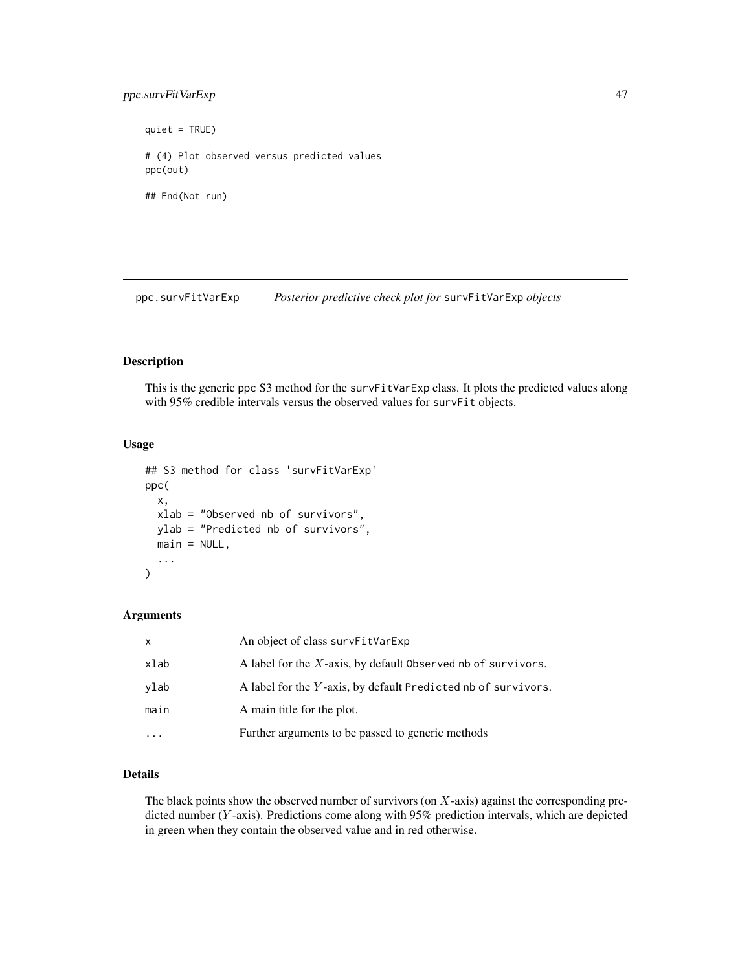# ppc.survFitVarExp 47

quiet = TRUE) # (4) Plot observed versus predicted values ppc(out) ## End(Not run)

<span id="page-46-0"></span>ppc.survFitVarExp *Posterior predictive check plot for* survFitVarExp *objects*

### Description

This is the generic ppc S3 method for the survFitVarExp class. It plots the predicted values along with 95% credible intervals versus the observed values for survFit objects.

# Usage

```
## S3 method for class 'survFitVarExp'
ppc(
 x,
 xlab = "Observed nb of survivors",
 ylab = "Predicted nb of survivors",
 main = NULL,
  ...
)
```
### Arguments

| $\mathsf{x}$ | An object of class survFitVarExp                                |
|--------------|-----------------------------------------------------------------|
| xlab         | A label for the $X$ -axis, by default 0bserved nb of survivors. |
| ylab         | A label for the Y-axis, by default Predicted nb of survivors.   |
| main         | A main title for the plot.                                      |
|              | Further arguments to be passed to generic methods               |

# Details

The black points show the observed number of survivors (on  $X$ -axis) against the corresponding predicted number (Y-axis). Predictions come along with 95% prediction intervals, which are depicted in green when they contain the observed value and in red otherwise.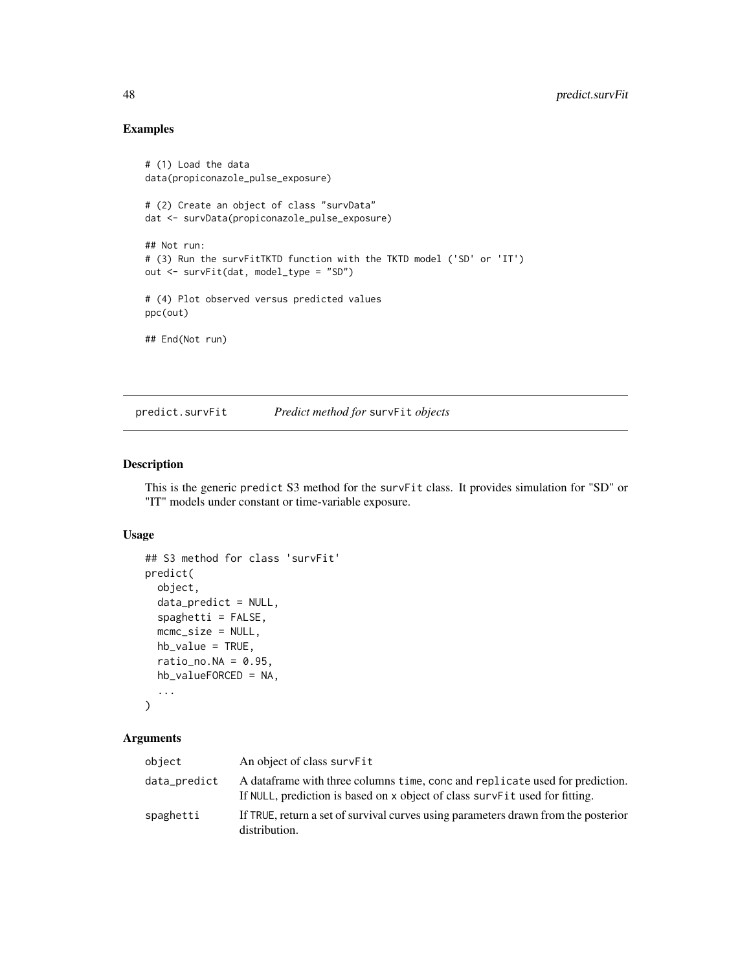# Examples

```
# (1) Load the data
data(propiconazole_pulse_exposure)
# (2) Create an object of class "survData"
dat <- survData(propiconazole_pulse_exposure)
## Not run:
# (3) Run the survFitTKTD function with the TKTD model ('SD' or 'IT')
out <- survFit(dat, model_type = "SD")
# (4) Plot observed versus predicted values
ppc(out)
## End(Not run)
```
predict.survFit *Predict method for* survFit *objects*

# Description

This is the generic predict S3 method for the survFit class. It provides simulation for "SD" or "IT" models under constant or time-variable exposure.

### Usage

```
## S3 method for class 'survFit'
predict(
  object,
  data_predict = NULL,
  spaghetti = FALSE,
 mcmc_size = NULL,
 hb_value = TRUE,
  ratio_no.NA = 0.95,
 hb_valueFORCED = NA,
  ...
)
```
### Arguments

| object       | An object of class survFit                                                                                                                                     |
|--------------|----------------------------------------------------------------------------------------------------------------------------------------------------------------|
| data_predict | A dataframe with three columns time, conc and replicate used for prediction.<br>If NULL, prediction is based on x object of class survers it used for fitting. |
| spaghetti    | If TRUE, return a set of survival curves using parameters drawn from the posterior<br>distribution.                                                            |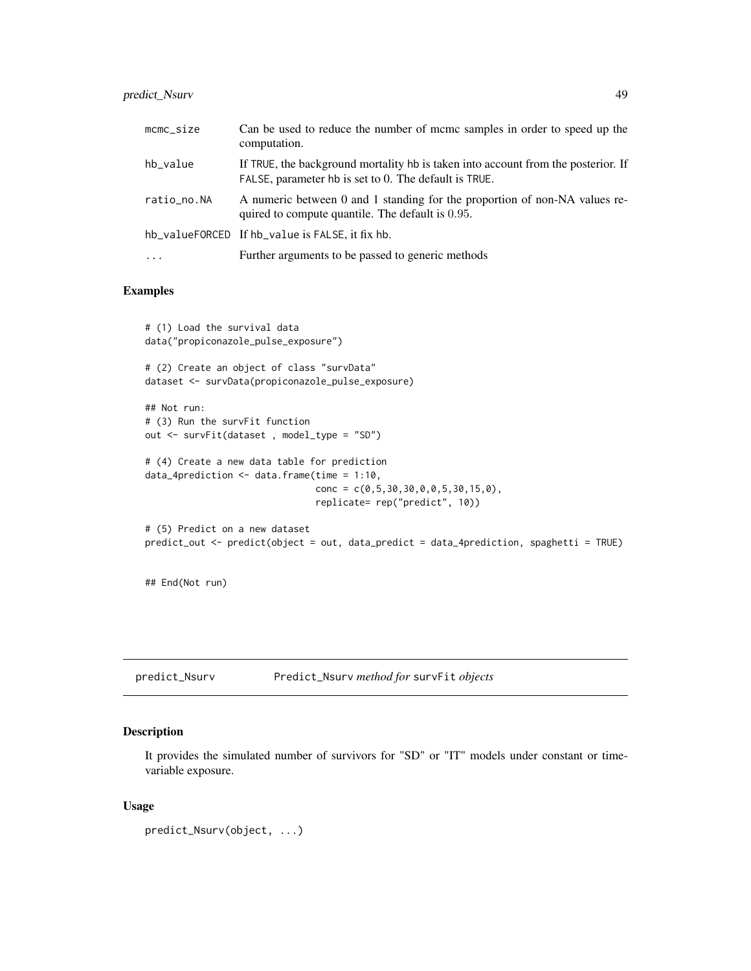# predict\_Nsurv 49

| mcmc_size   | Can be used to reduce the number of mcmc samples in order to speed up the<br>computation.                                                  |
|-------------|--------------------------------------------------------------------------------------------------------------------------------------------|
| hb_value    | If TRUE, the background mortality hb is taken into account from the posterior. If<br>FALSE, parameter hb is set to 0. The default is TRUE. |
| ratio_no.NA | A numeric between 0 and 1 standing for the proportion of non-NA values re-<br>quired to compute quantile. The default is 0.95.             |
|             | hb_valueFORCED If hb_value is FALSE, it fix hb.                                                                                            |
| $\cdots$    | Further arguments to be passed to generic methods                                                                                          |

## Examples

```
# (1) Load the survival data
data("propiconazole_pulse_exposure")
# (2) Create an object of class "survData"
dataset <- survData(propiconazole_pulse_exposure)
## Not run:
# (3) Run the survFit function
out <- survFit(dataset , model_type = "SD")
# (4) Create a new data table for prediction
data_4prediction \leq data.frame(time = 1:10,
                                conc = c(0, 5, 30, 30, 0, 0, 5, 30, 15, 0),
                                replicate= rep("predict", 10))
# (5) Predict on a new dataset
predict_out <- predict(object = out, data_predict = data_4prediction, spaghetti = TRUE)
## End(Not run)
```
predict\_Nsurv Predict\_Nsurv *method for* survFit *objects*

## Description

It provides the simulated number of survivors for "SD" or "IT" models under constant or timevariable exposure.

## Usage

predict\_Nsurv(object, ...)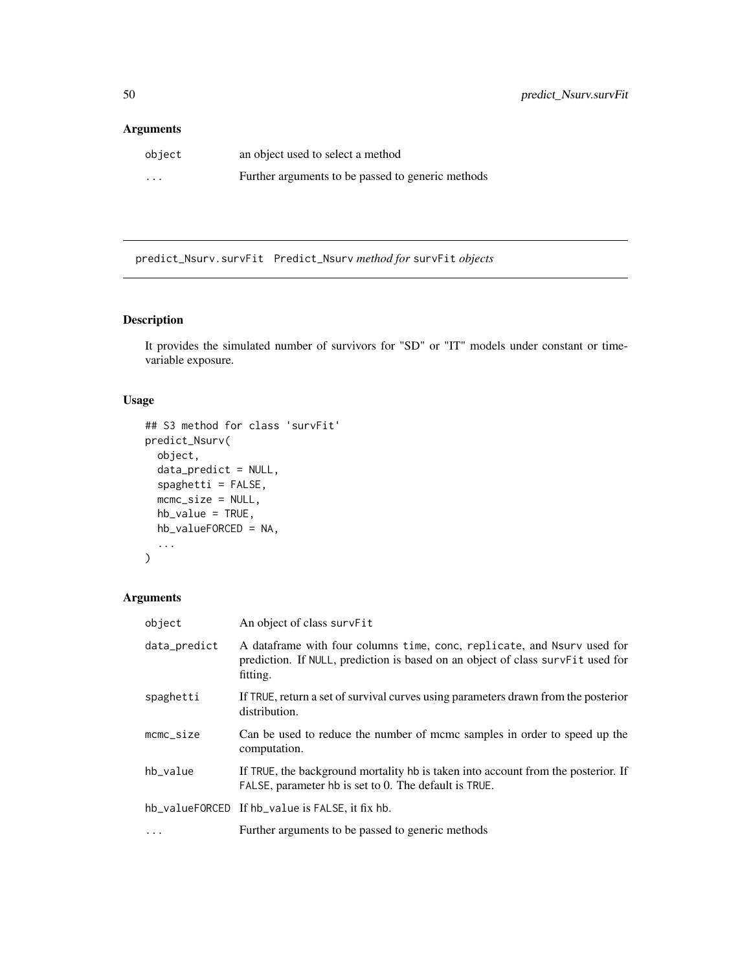# Arguments

| object                  | an object used to select a method                 |
|-------------------------|---------------------------------------------------|
| $\cdot$ $\cdot$ $\cdot$ | Further arguments to be passed to generic methods |

predict\_Nsurv.survFit Predict\_Nsurv *method for* survFit *objects*

# Description

It provides the simulated number of survivors for "SD" or "IT" models under constant or timevariable exposure.

# Usage

```
## S3 method for class 'survFit'
predict_Nsurv(
 object,
  data_predict = NULL,
  spaghetti = FALSE,
 mcmc_size = NULL,
 hb_value = TRUE,
 hb_valueFORCED = NA,
  ...
)
```
# Arguments

| object              | An object of class survFit                                                                                                                                              |
|---------------------|-------------------------------------------------------------------------------------------------------------------------------------------------------------------------|
| data_predict        | A data frame with four columns time, conc, replicate, and Nsurv used for<br>prediction. If NULL, prediction is based on an object of class survFit used for<br>fitting. |
| spaghetti           | If TRUE, return a set of survival curves using parameters drawn from the posterior<br>distribution.                                                                     |
| $m$ c $m$ c $si$ ze | Can be used to reduce the number of mcmc samples in order to speed up the<br>computation.                                                                               |
| hb_value            | If TRUE, the background mortality hb is taken into account from the posterior. If<br>FALSE, parameter hb is set to 0. The default is TRUE.                              |
|                     | hb_valueFORCED If hb_value is FALSE, it fix hb.                                                                                                                         |
| $\cdots$            | Further arguments to be passed to generic methods                                                                                                                       |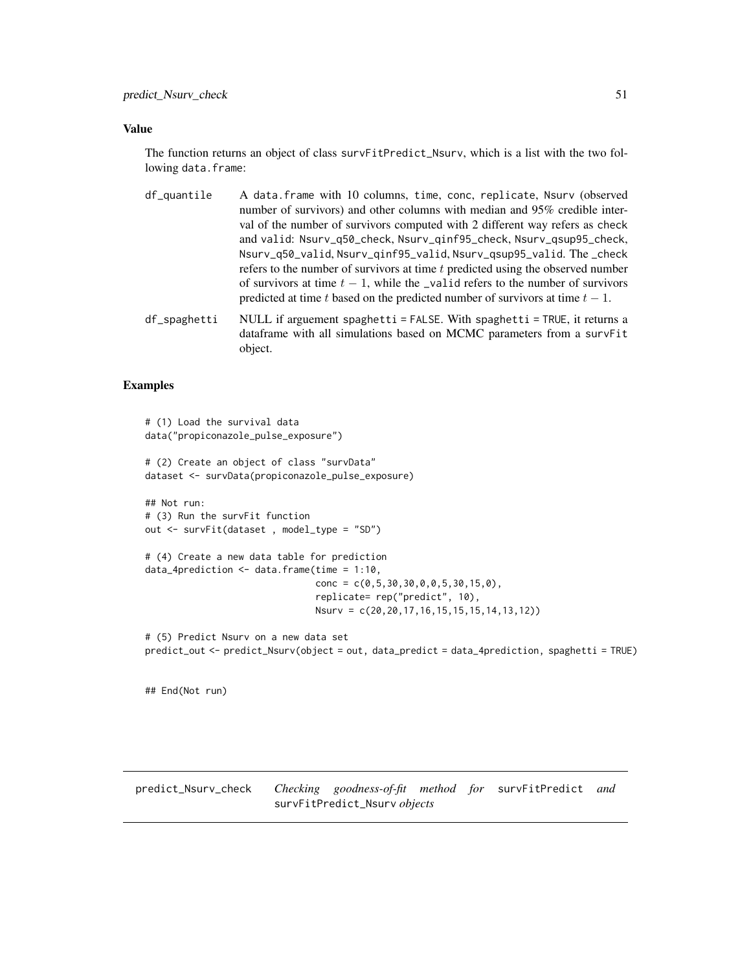## Value

The function returns an object of class survFitPredict\_Nsurv, which is a list with the two following data.frame:

- df\_quantile A data.frame with 10 columns, time, conc, replicate, Nsurv (observed number of survivors) and other columns with median and 95% credible interval of the number of survivors computed with 2 different way refers as check and valid: Nsurv\_q50\_check, Nsurv\_qinf95\_check, Nsurv\_qsup95\_check, Nsurv\_q50\_valid, Nsurv\_qinf95\_valid, Nsurv\_qsup95\_valid. The \_check refers to the number of survivors at time  $t$  predicted using the observed number of survivors at time  $t - 1$ , while the \_valid refers to the number of survivors predicted at time t based on the predicted number of survivors at time  $t - 1$ .
- df\_spaghetti NULL if arguement spaghetti = FALSE. With spaghetti = TRUE, it returns a dataframe with all simulations based on MCMC parameters from a survFit object.

# Examples

```
# (1) Load the survival data
data("propiconazole_pulse_exposure")
# (2) Create an object of class "survData"
dataset <- survData(propiconazole_pulse_exposure)
## Not run:
# (3) Run the survFit function
out <- survFit(dataset , model_type = "SD")
# (4) Create a new data table for prediction
data_4prediction <- data.frame(time = 1:10,
                               conc = c(0, 5, 30, 30, 0, 0, 5, 30, 15, 0),
                                replicate= rep("predict", 10),
                               Nsurv = c(20,20,17,16,15,15,15,14,13,12))
# (5) Predict Nsurv on a new data set
predict_out <- predict_Nsurv(object = out, data_predict = data_4prediction, spaghetti = TRUE)
```
## End(Not run)

predict\_Nsurv\_check *Checking goodness-of-fit method for* survFitPredict *and* survFitPredict\_Nsurv *objects*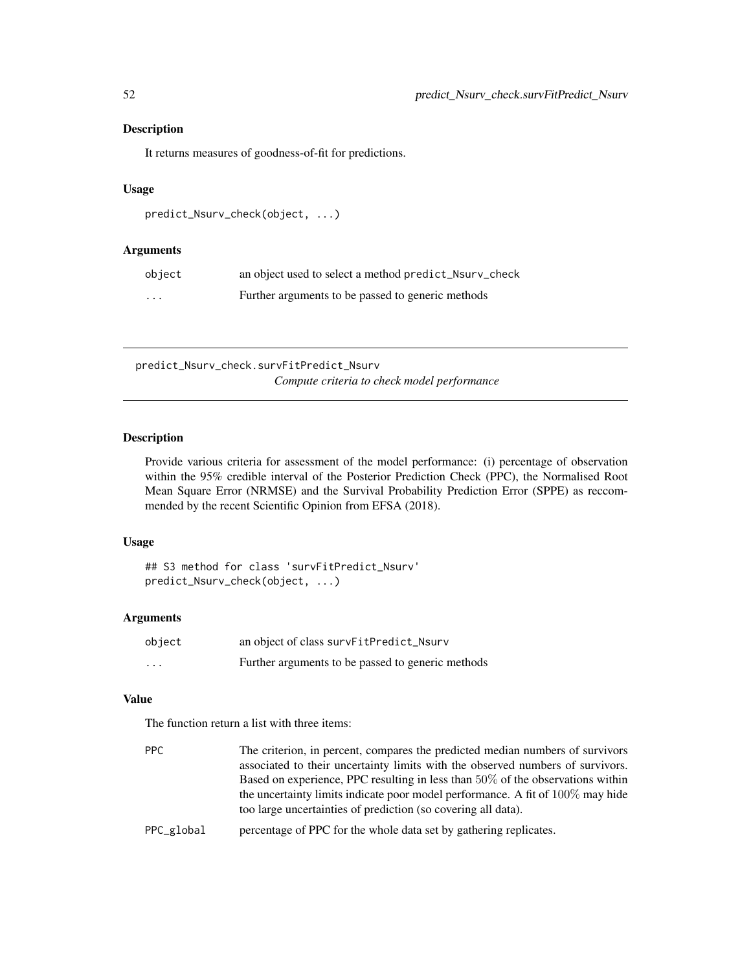## Description

It returns measures of goodness-of-fit for predictions.

# Usage

```
predict_Nsurv_check(object, ...)
```
## Arguments

| object                  | an object used to select a method predict_Nsurv_check |
|-------------------------|-------------------------------------------------------|
| $\cdot$ $\cdot$ $\cdot$ | Further arguments to be passed to generic methods     |

predict\_Nsurv\_check.survFitPredict\_Nsurv *Compute criteria to check model performance*

# Description

Provide various criteria for assessment of the model performance: (i) percentage of observation within the 95% credible interval of the Posterior Prediction Check (PPC), the Normalised Root Mean Square Error (NRMSE) and the Survival Probability Prediction Error (SPPE) as reccommended by the recent Scientific Opinion from EFSA (2018).

## Usage

## S3 method for class 'survFitPredict\_Nsurv' predict\_Nsurv\_check(object, ...)

## Arguments

| object   | an object of class survFitPredict_Nsurv           |
|----------|---------------------------------------------------|
| $\cdots$ | Further arguments to be passed to generic methods |

#### Value

The function return a list with three items:

| PPC        | The criterion, in percent, compares the predicted median numbers of survivors     |
|------------|-----------------------------------------------------------------------------------|
|            | associated to their uncertainty limits with the observed numbers of survivors.    |
|            | Based on experience, PPC resulting in less than $50\%$ of the observations within |
|            | the uncertainty limits indicate poor model performance. A fit of $100\%$ may hide |
|            | too large uncertainties of prediction (so covering all data).                     |
| PPC_global | percentage of PPC for the whole data set by gathering replicates.                 |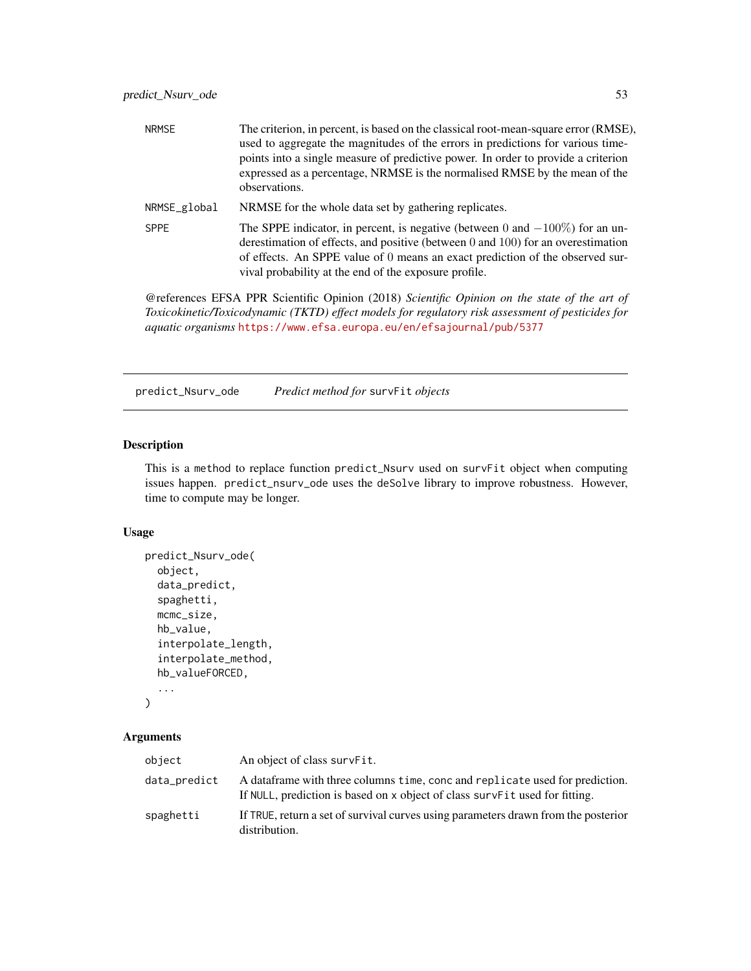| <b>NRMSE</b> | The criterion, in percent, is based on the classical root-mean-square error (RMSE),<br>used to aggregate the magnitudes of the errors in predictions for various time-<br>points into a single measure of predictive power. In order to provide a criterion<br>expressed as a percentage, NRMSE is the normalised RMSE by the mean of the<br>observations. |
|--------------|------------------------------------------------------------------------------------------------------------------------------------------------------------------------------------------------------------------------------------------------------------------------------------------------------------------------------------------------------------|
| NRMSE_global | NRMSE for the whole data set by gathering replicates.                                                                                                                                                                                                                                                                                                      |
| <b>SPPE</b>  | The SPPE indicator, in percent, is negative (between 0 and $-100\%$ ) for an un-<br>derestimation of effects, and positive (between $0$ and $100$ ) for an overestimation<br>of effects. An SPPE value of 0 means an exact prediction of the observed sur-<br>vival probability at the end of the exposure profile.                                        |

@references EFSA PPR Scientific Opinion (2018) *Scientific Opinion on the state of the art of Toxicokinetic/Toxicodynamic (TKTD) effect models for regulatory risk assessment of pesticides for aquatic organisms* <https://www.efsa.europa.eu/en/efsajournal/pub/5377>

predict\_Nsurv\_ode *Predict method for* survFit *objects*

# Description

This is a method to replace function predict\_Nsurv used on survFit object when computing issues happen. predict\_nsurv\_ode uses the deSolve library to improve robustness. However, time to compute may be longer.

## Usage

```
predict_Nsurv_ode(
  object,
  data_predict,
  spaghetti,
 mcmc_size,
 hb_value,
  interpolate_length,
  interpolate_method,
  hb_valueFORCED,
```
...  $\mathcal{L}$ 

## Arguments

| object       | An object of class survert.                                                                                                                                    |
|--------------|----------------------------------------------------------------------------------------------------------------------------------------------------------------|
| data_predict | A data frame with three columns time, conc and replicate used for prediction.<br>If NULL, prediction is based on x object of class surve Fit used for fitting. |
| spaghetti    | If TRUE, return a set of survival curves using parameters drawn from the posterior<br>distribution.                                                            |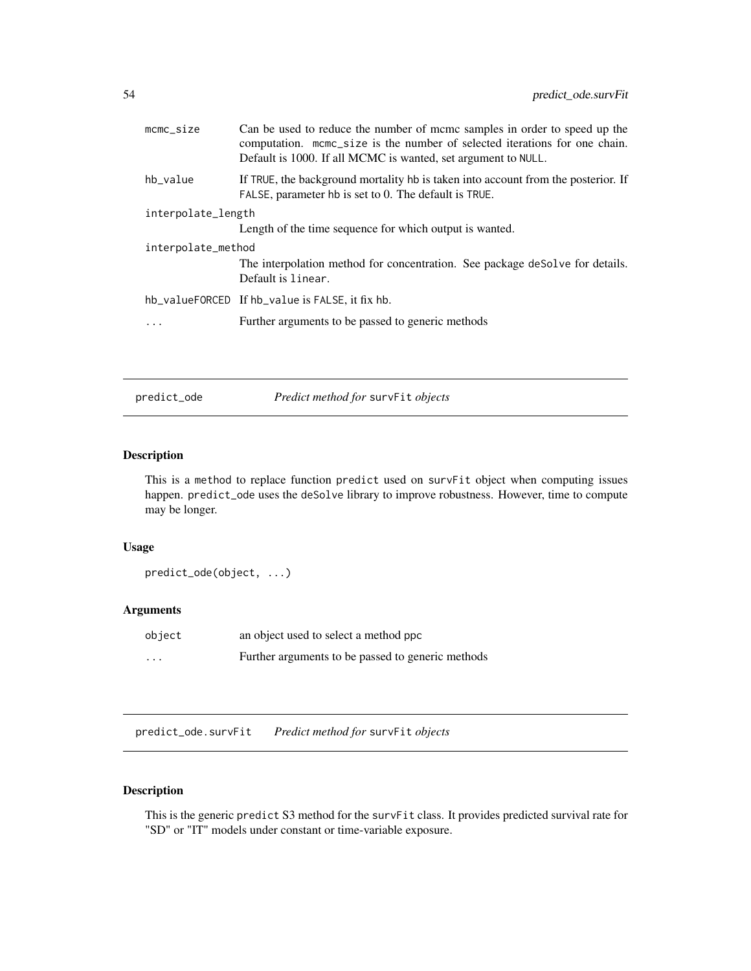| $m$ c $m$ c $si$ ze | Can be used to reduce the number of mome samples in order to speed up the<br>computation. mcmc_size is the number of selected iterations for one chain.<br>Default is 1000. If all MCMC is wanted, set argument to NULL. |
|---------------------|--------------------------------------------------------------------------------------------------------------------------------------------------------------------------------------------------------------------------|
| hb_value            | If TRUE, the background mortality hb is taken into account from the posterior. If<br>FALSE, parameter hb is set to 0. The default is TRUE.                                                                               |
| interpolate_length  |                                                                                                                                                                                                                          |
|                     | Length of the time sequence for which output is wanted.                                                                                                                                                                  |
| interpolate_method  |                                                                                                                                                                                                                          |
|                     | The interpolation method for concentration. See package desolve for details.<br>Default is linear.                                                                                                                       |
|                     | hb_valueFORCED If hb_value is FALSE, it fix hb.                                                                                                                                                                          |
|                     | Further arguments to be passed to generic methods                                                                                                                                                                        |
|                     |                                                                                                                                                                                                                          |

predict\_ode *Predict method for* survFit *objects*

# Description

This is a method to replace function predict used on survFit object when computing issues happen. predict\_ode uses the deSolve library to improve robustness. However, time to compute may be longer.

# Usage

predict\_ode(object, ...)

## Arguments

| object   | an object used to select a method ppc             |
|----------|---------------------------------------------------|
| $\cdots$ | Further arguments to be passed to generic methods |

predict\_ode.survFit *Predict method for* survFit *objects*

# Description

This is the generic predict S3 method for the survFit class. It provides predicted survival rate for "SD" or "IT" models under constant or time-variable exposure.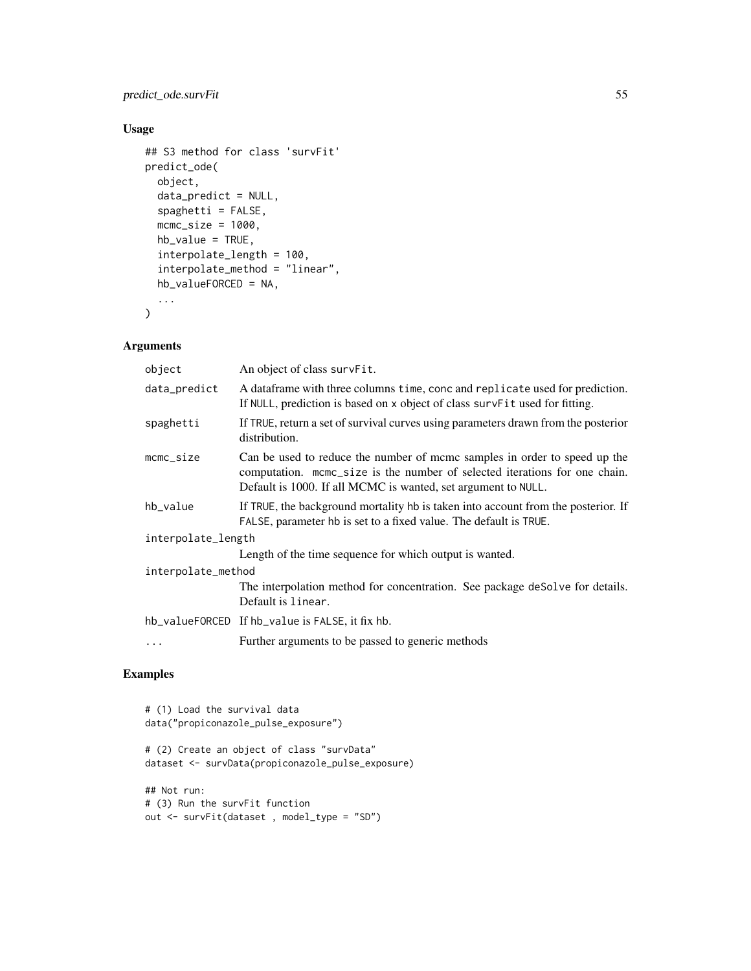# predict\_ode.survFit 55

# Usage

```
## S3 method for class 'survFit'
predict_ode(
  object,
  data_predict = NULL,
  spaghetti = FALSE,
 mcmc_size = 1000,
 hb_value = TRUE,interpolate_length = 100,
  interpolate_method = "linear",
 hb_valueFORCED = NA,
  ...
\mathcal{L}
```
# Arguments

| object              | An object of class survFit.                                                                                                                                                                                              |  |
|---------------------|--------------------------------------------------------------------------------------------------------------------------------------------------------------------------------------------------------------------------|--|
| data_predict        | A dataframe with three columns time, conc and replicate used for prediction.<br>If NULL, prediction is based on x object of class survFit used for fitting.                                                              |  |
| spaghetti           | If TRUE, return a set of survival curves using parameters drawn from the posterior<br>distribution.                                                                                                                      |  |
| $m$ c $m$ c $si$ ze | Can be used to reduce the number of mcmc samples in order to speed up the<br>computation. mcmc_size is the number of selected iterations for one chain.<br>Default is 1000. If all MCMC is wanted, set argument to NULL. |  |
| hb_value            | If TRUE, the background mortality hb is taken into account from the posterior. If<br>FALSE, parameter hb is set to a fixed value. The default is TRUE.                                                                   |  |
| interpolate_length  |                                                                                                                                                                                                                          |  |
|                     | Length of the time sequence for which output is wanted.                                                                                                                                                                  |  |
| interpolate_method  |                                                                                                                                                                                                                          |  |
|                     | The interpolation method for concentration. See package deSolve for details.<br>Default is linear.                                                                                                                       |  |
|                     | hb_valueFORCED If hb_value is FALSE, it fix hb.                                                                                                                                                                          |  |
| .                   | Further arguments to be passed to generic methods                                                                                                                                                                        |  |

```
# (1) Load the survival data
data("propiconazole_pulse_exposure")
# (2) Create an object of class "survData"
dataset <- survData(propiconazole_pulse_exposure)
## Not run:
# (3) Run the survFit function
out <- survFit(dataset , model_type = "SD")
```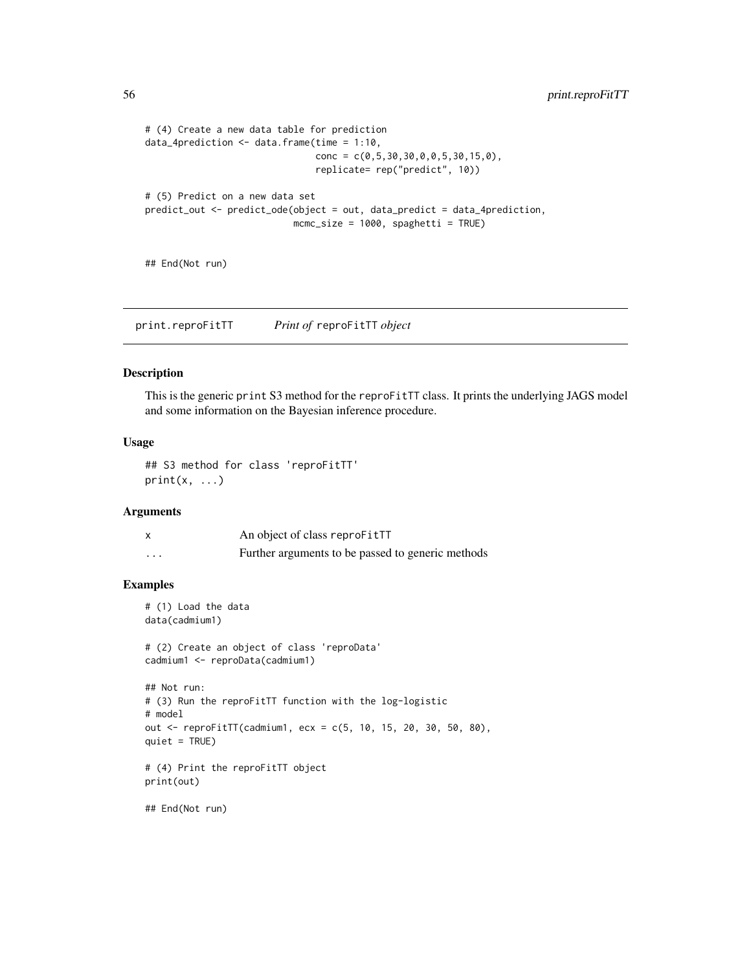```
# (4) Create a new data table for prediction
data_4prediction <- data.frame(time = 1:10,
                                conc = c(0, 5, 30, 30, 0, 0, 5, 30, 15, 0),
                                replicate= rep("predict", 10))
# (5) Predict on a new data set
predict_out <- predict_ode(object = out, data_predict = data_4prediction,
                           mcmc_size = 1000, spaghetti = TRUE)
```
## End(Not run)

print.reproFitTT *Print of* reproFitTT *object*

## Description

This is the generic print S3 method for the reproFitTT class. It prints the underlying JAGS model and some information on the Bayesian inference procedure.

## Usage

## S3 method for class 'reproFitTT'  $print(x, \ldots)$ 

## Arguments

|   | An object of class reproFitTT                     |
|---|---------------------------------------------------|
| . | Further arguments to be passed to generic methods |

```
# (1) Load the data
data(cadmium1)
# (2) Create an object of class 'reproData'
cadmium1 <- reproData(cadmium1)
## Not run:
# (3) Run the reproFitTT function with the log-logistic
# model
out <- reproFitTT(cadmium1, ecx = c(5, 10, 15, 20, 30, 50, 80),
quiet = TRUE)
# (4) Print the reproFitTT object
print(out)
## End(Not run)
```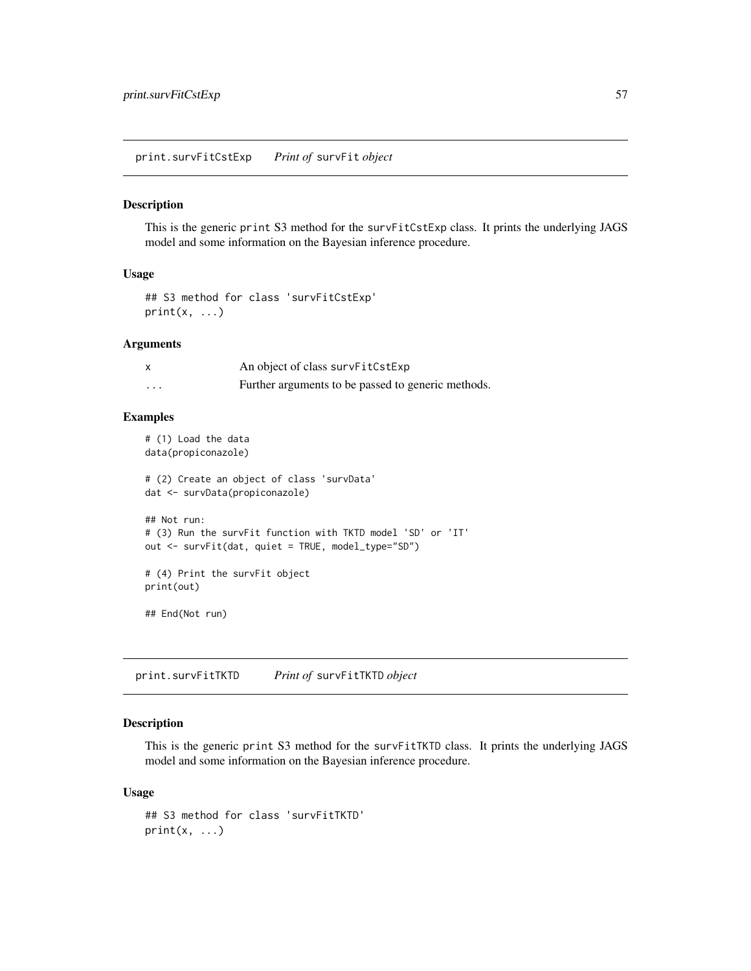print.survFitCstExp *Print of* survFit *object*

#### Description

This is the generic print S3 method for the survFitCstExp class. It prints the underlying JAGS model and some information on the Bayesian inference procedure.

## Usage

```
## S3 method for class 'survFitCstExp'
print(x, \ldots)
```
# Arguments

|   | An object of class survFitCstExp                   |
|---|----------------------------------------------------|
| . | Further arguments to be passed to generic methods. |

## Examples

# (1) Load the data data(propiconazole)

# (2) Create an object of class 'survData' dat <- survData(propiconazole)

## Not run: # (3) Run the survFit function with TKTD model 'SD' or 'IT' out <- survFit(dat, quiet = TRUE, model\_type="SD")

# (4) Print the survFit object print(out)

## End(Not run)

print.survFitTKTD *Print of* survFitTKTD *object*

### Description

This is the generic print S3 method for the survFitTKTD class. It prints the underlying JAGS model and some information on the Bayesian inference procedure.

#### Usage

## S3 method for class 'survFitTKTD'  $print(x, \ldots)$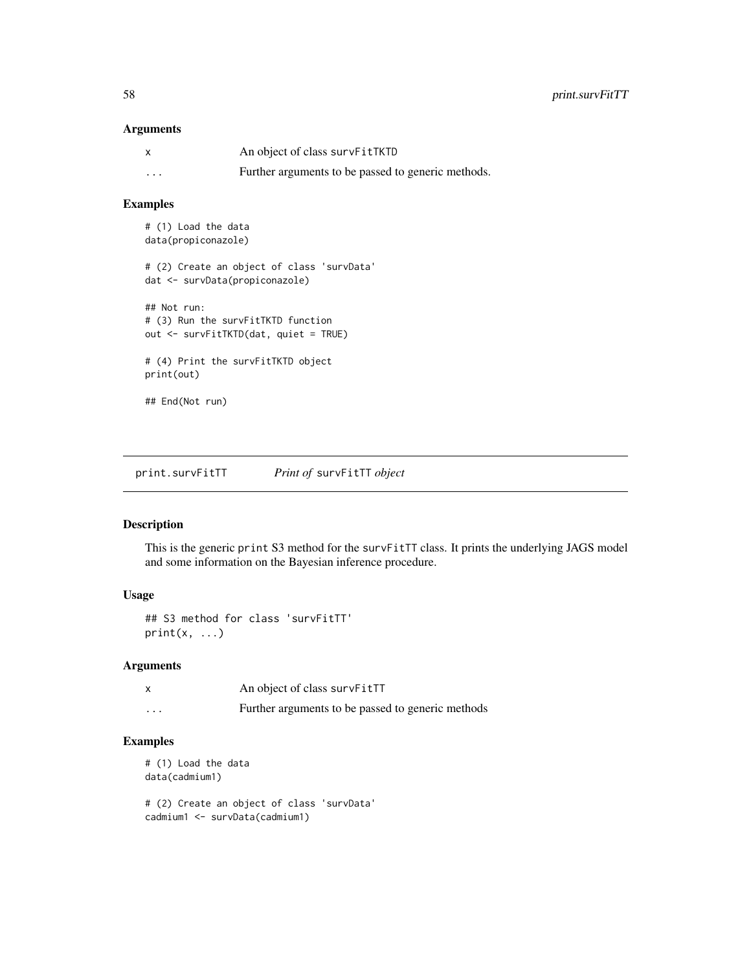## Arguments

| $\boldsymbol{\mathsf{x}}$ | An object of class survFitTKTD                     |
|---------------------------|----------------------------------------------------|
| $\cdots$                  | Further arguments to be passed to generic methods. |

## Examples

# (1) Load the data data(propiconazole)

# (2) Create an object of class 'survData' dat <- survData(propiconazole)

## Not run: # (3) Run the survFitTKTD function out <- survFitTKTD(dat, quiet = TRUE) # (4) Print the survFitTKTD object

print(out)

## End(Not run)

print.survFitTT *Print of* survFitTT *object*

# Description

This is the generic print S3 method for the survFitTT class. It prints the underlying JAGS model and some information on the Bayesian inference procedure.

## Usage

```
## S3 method for class 'survFitTT'
print(x, \ldots)
```
## Arguments

|   | An object of class survFitTT                      |
|---|---------------------------------------------------|
| . | Further arguments to be passed to generic methods |

## Examples

```
# (1) Load the data
data(cadmium1)
# (2) Create an object of class 'survData'
```
cadmium1 <- survData(cadmium1)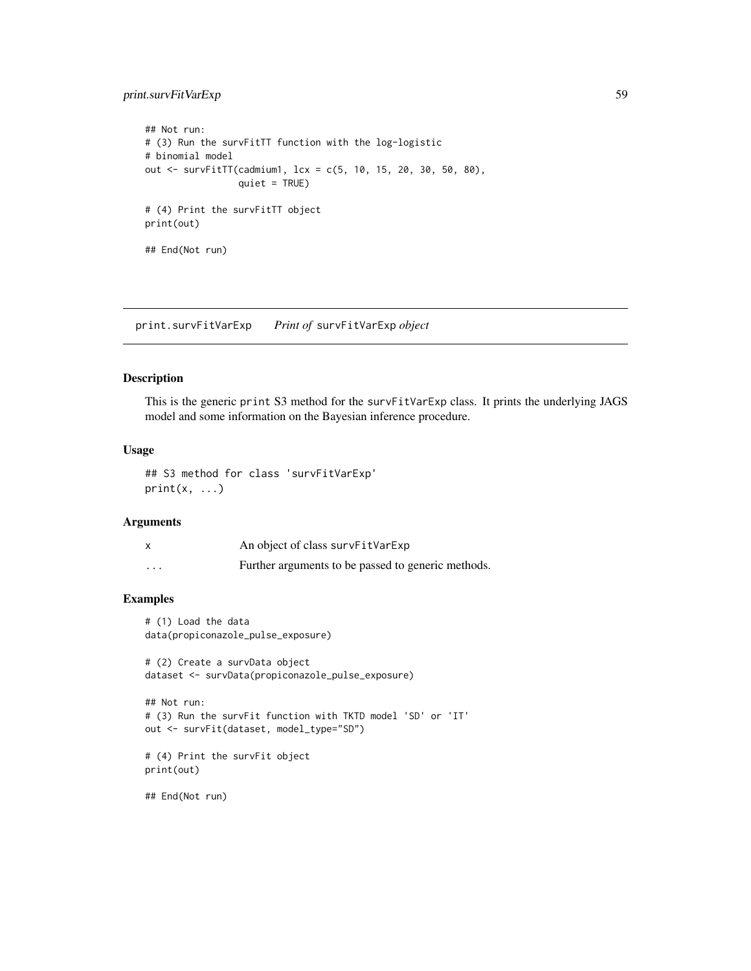# print.survFitVarExp 59

```
## Not run:
# (3) Run the survFitTT function with the log-logistic
# binomial model
out <- survFitTT(cadmium1, lcx = c(5, 10, 15, 20, 30, 50, 80),
                 quiet = TRUE)
# (4) Print the survFitTT object
print(out)
## End(Not run)
```
print.survFitVarExp *Print of* survFitVarExp *object*

## Description

This is the generic print S3 method for the survFitVarExp class. It prints the underlying JAGS model and some information on the Bayesian inference procedure.

## Usage

```
## S3 method for class 'survFitVarExp'
print(x, \ldots)
```
## Arguments

|          | An object of class survFitVarExp                   |
|----------|----------------------------------------------------|
| $\cdots$ | Further arguments to be passed to generic methods. |

# Examples

```
# (1) Load the data
data(propiconazole_pulse_exposure)
```
# (2) Create a survData object dataset <- survData(propiconazole\_pulse\_exposure)

```
## Not run:
# (3) Run the survFit function with TKTD model 'SD' or 'IT'
out <- survFit(dataset, model_type="SD")
```

```
# (4) Print the survFit object
print(out)
```
## End(Not run)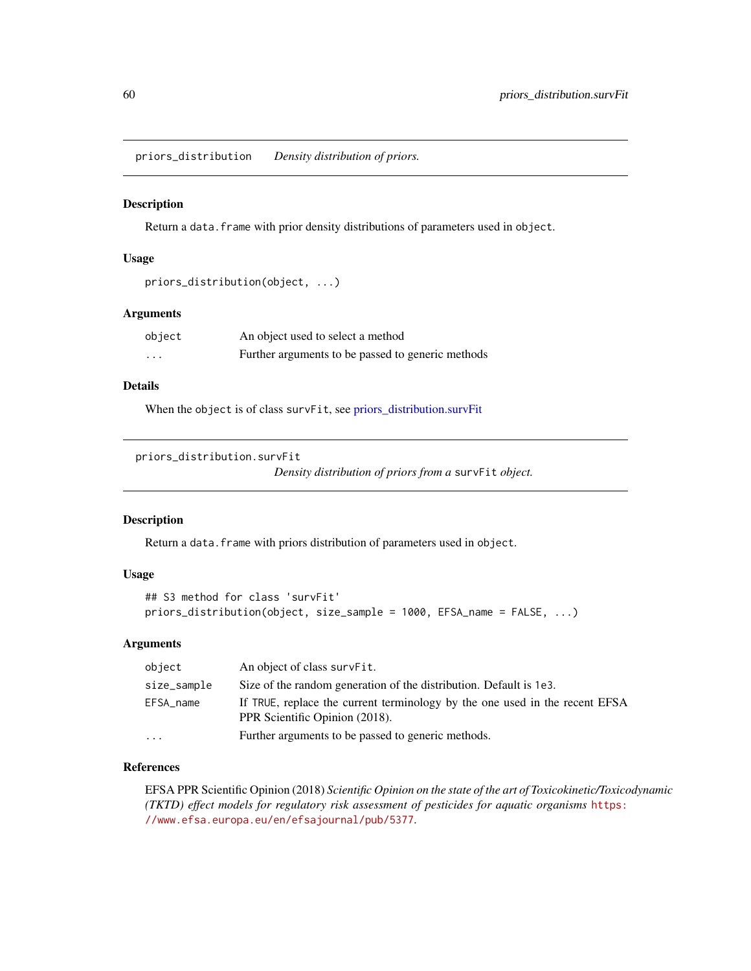priors\_distribution *Density distribution of priors.*

### Description

Return a data. frame with prior density distributions of parameters used in object.

## Usage

```
priors_distribution(object, ...)
```
## **Arguments**

| object   | An object used to select a method                 |
|----------|---------------------------------------------------|
| $\cdots$ | Further arguments to be passed to generic methods |

# Details

When the object is of class survFit, see [priors\\_distribution.survFit](#page-59-0)

```
priors_distribution.survFit
```
*Density distribution of priors from a* survFit *object.*

## Description

Return a data. frame with priors distribution of parameters used in object.

# Usage

```
## S3 method for class 'survFit'
priors_distribution(object, size_sample = 1000, EFSA_name = FALSE, ...)
```
## Arguments

| object      | An object of class survFit.                                                                                   |
|-------------|---------------------------------------------------------------------------------------------------------------|
| size_sample | Size of the random generation of the distribution. Default is 1e3.                                            |
| EFSA_name   | If TRUE, replace the current terminology by the one used in the recent EFSA<br>PPR Scientific Opinion (2018). |
| $\cdots$    | Further arguments to be passed to generic methods.                                                            |

# References

EFSA PPR Scientific Opinion (2018) *Scientific Opinion on the state of the art of Toxicokinetic/Toxicodynamic (TKTD) effect models for regulatory risk assessment of pesticides for aquatic organisms* [https:](https://www.efsa.europa.eu/en/efsajournal/pub/5377) [//www.efsa.europa.eu/en/efsajournal/pub/5377](https://www.efsa.europa.eu/en/efsajournal/pub/5377).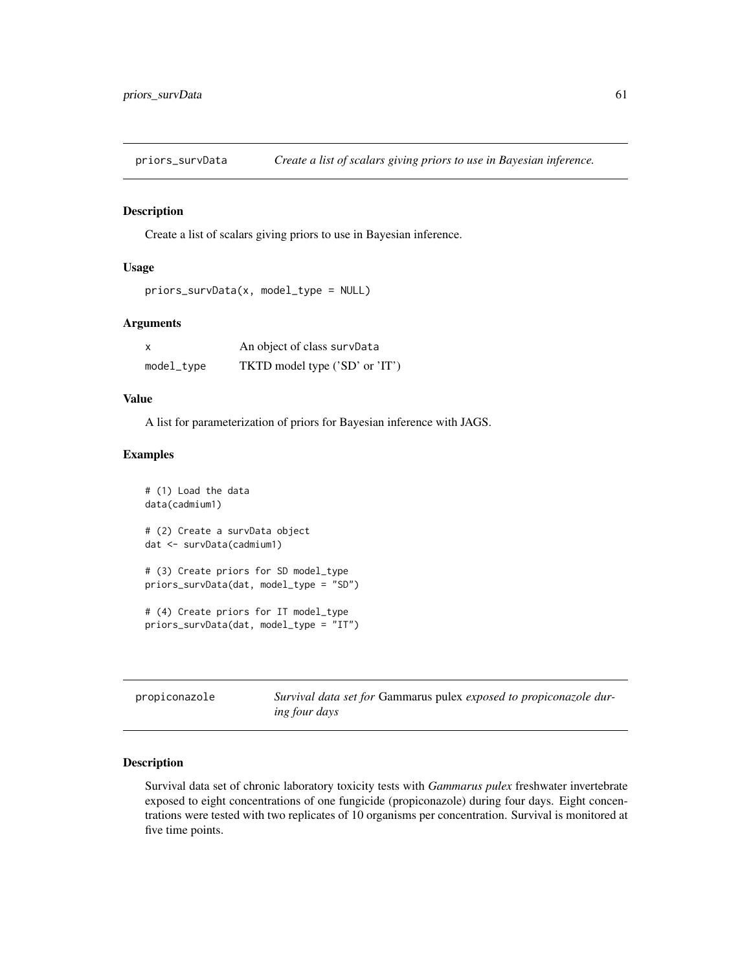# Description

Create a list of scalars giving priors to use in Bayesian inference.

## Usage

```
priors_survData(x, model_type = NULL)
```
# Arguments

| X          | An object of class survData    |
|------------|--------------------------------|
| model_type | TKTD model type ('SD' or 'IT') |

## Value

A list for parameterization of priors for Bayesian inference with JAGS.

### Examples

```
# (1) Load the data
data(cadmium1)
# (2) Create a survData object
dat <- survData(cadmium1)
# (3) Create priors for SD model_type
priors_survData(dat, model_type = "SD")
# (4) Create priors for IT model_type
priors_survData(dat, model_type = "IT")
```

| propiconazole | Survival data set for Gammarus pulex exposed to propiconazole dur- |
|---------------|--------------------------------------------------------------------|
|               | <i>ing four days</i>                                               |

## Description

Survival data set of chronic laboratory toxicity tests with *Gammarus pulex* freshwater invertebrate exposed to eight concentrations of one fungicide (propiconazole) during four days. Eight concentrations were tested with two replicates of 10 organisms per concentration. Survival is monitored at five time points.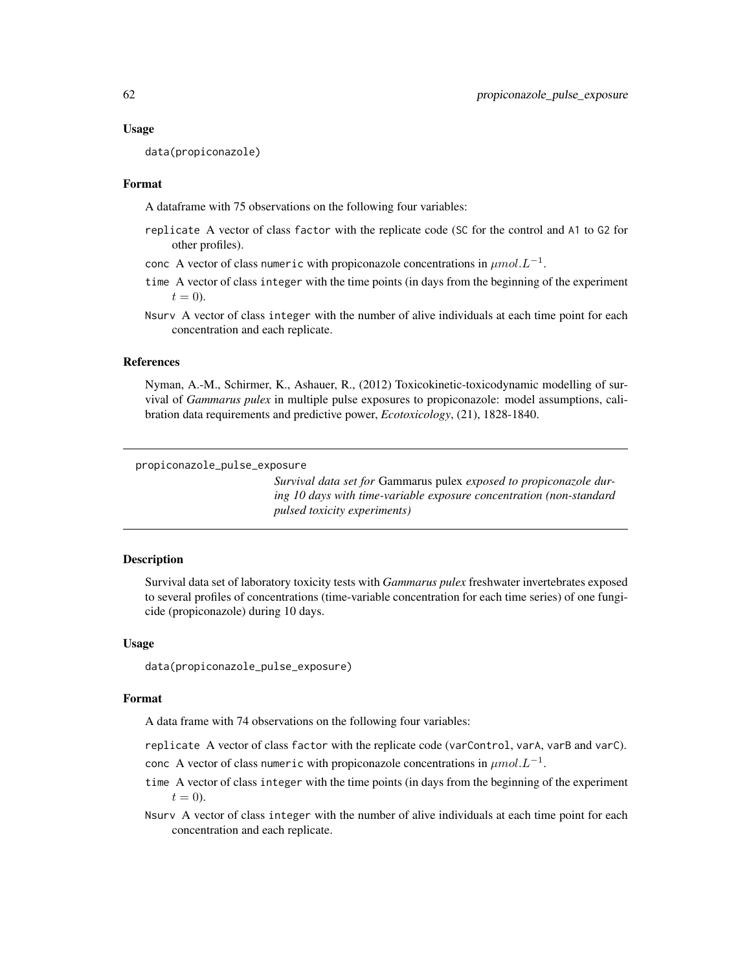#### Usage

data(propiconazole)

## Format

A dataframe with 75 observations on the following four variables:

- replicate A vector of class factor with the replicate code (SC for the control and A1 to G2 for other profiles).
- conc A vector of class numeric with propiconazole concentrations in  $\mu mol.L^{-1}$ .
- time A vector of class integer with the time points (in days from the beginning of the experiment  $t=0$ ).
- Nsurv A vector of class integer with the number of alive individuals at each time point for each concentration and each replicate.

## References

Nyman, A.-M., Schirmer, K., Ashauer, R., (2012) Toxicokinetic-toxicodynamic modelling of survival of *Gammarus pulex* in multiple pulse exposures to propiconazole: model assumptions, calibration data requirements and predictive power, *Ecotoxicology*, (21), 1828-1840.

propiconazole\_pulse\_exposure

*Survival data set for* Gammarus pulex *exposed to propiconazole during 10 days with time-variable exposure concentration (non-standard pulsed toxicity experiments)*

## Description

Survival data set of laboratory toxicity tests with *Gammarus pulex* freshwater invertebrates exposed to several profiles of concentrations (time-variable concentration for each time series) of one fungicide (propiconazole) during 10 days.

#### Usage

data(propiconazole\_pulse\_exposure)

#### Format

A data frame with 74 observations on the following four variables:

replicate A vector of class factor with the replicate code (varControl, varA, varB and varC).

- conc A vector of class numeric with propiconazole concentrations in  $\mu mol.L^{-1}$ .
- time A vector of class integer with the time points (in days from the beginning of the experiment  $t = 0$ ).
- Nsurv A vector of class integer with the number of alive individuals at each time point for each concentration and each replicate.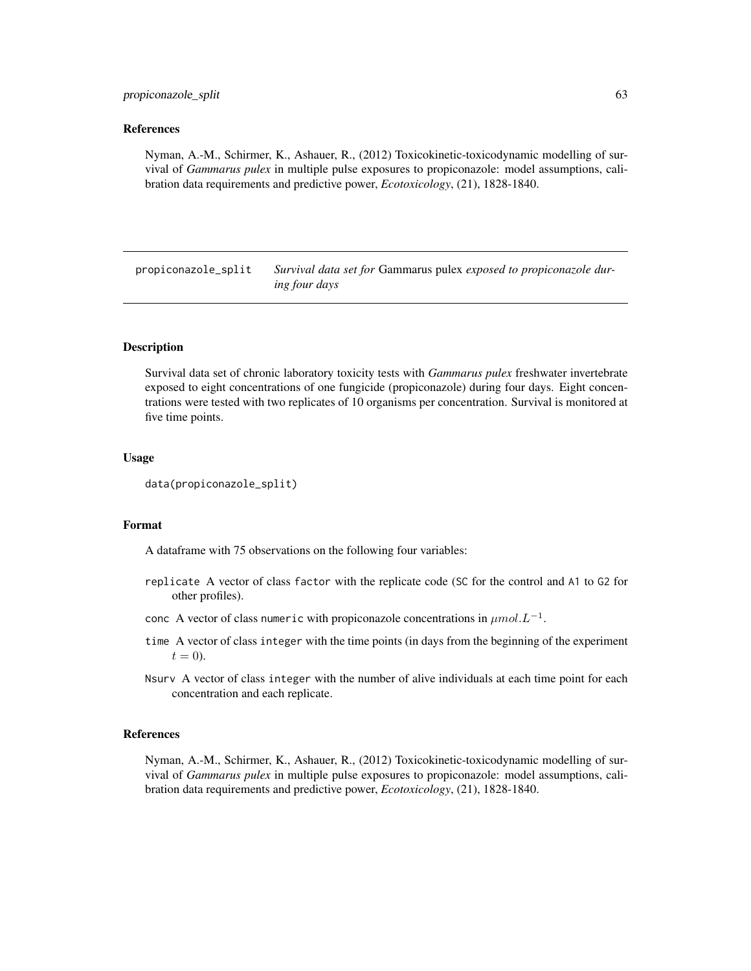### References

Nyman, A.-M., Schirmer, K., Ashauer, R., (2012) Toxicokinetic-toxicodynamic modelling of survival of *Gammarus pulex* in multiple pulse exposures to propiconazole: model assumptions, calibration data requirements and predictive power, *Ecotoxicology*, (21), 1828-1840.

propiconazole\_split *Survival data set for* Gammarus pulex *exposed to propiconazole during four days*

### Description

Survival data set of chronic laboratory toxicity tests with *Gammarus pulex* freshwater invertebrate exposed to eight concentrations of one fungicide (propiconazole) during four days. Eight concentrations were tested with two replicates of 10 organisms per concentration. Survival is monitored at five time points.

## Usage

```
data(propiconazole_split)
```
## Format

A dataframe with 75 observations on the following four variables:

- replicate A vector of class factor with the replicate code (SC for the control and A1 to G2 for other profiles).
- conc A vector of class numeric with propiconazole concentrations in  $\mu mol.L^{-1}$ .
- time A vector of class integer with the time points (in days from the beginning of the experiment  $t = 0$ ).
- Nsurv A vector of class integer with the number of alive individuals at each time point for each concentration and each replicate.

#### References

Nyman, A.-M., Schirmer, K., Ashauer, R., (2012) Toxicokinetic-toxicodynamic modelling of survival of *Gammarus pulex* in multiple pulse exposures to propiconazole: model assumptions, calibration data requirements and predictive power, *Ecotoxicology*, (21), 1828-1840.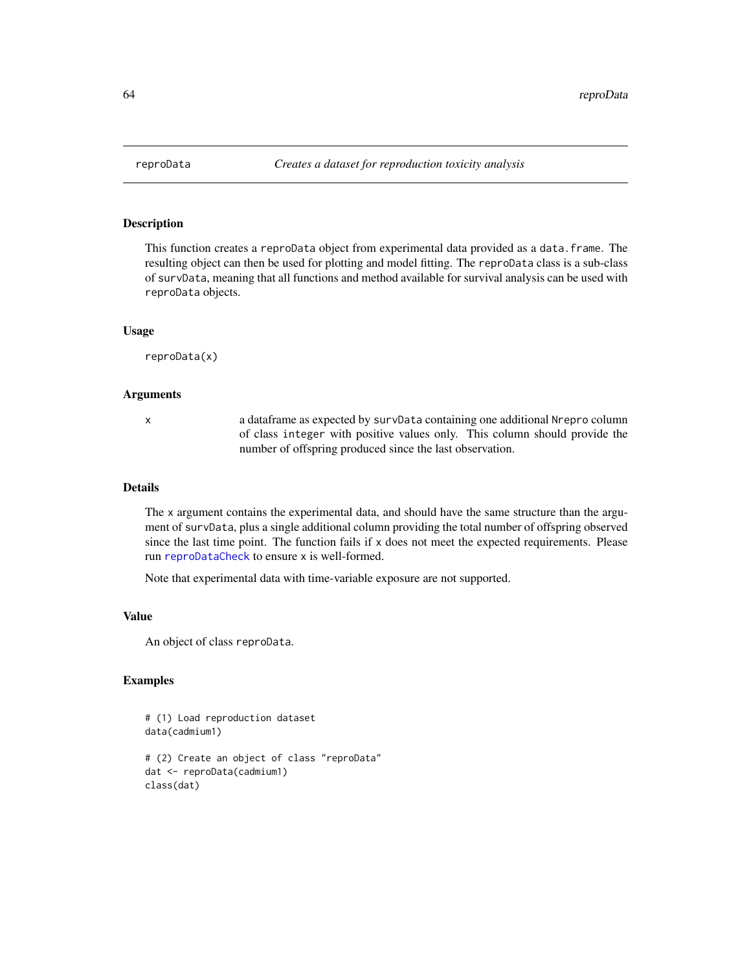<span id="page-63-0"></span>

# Description

This function creates a reproData object from experimental data provided as a data.frame. The resulting object can then be used for plotting and model fitting. The reproData class is a sub-class of survData, meaning that all functions and method available for survival analysis can be used with reproData objects.

### Usage

reproData(x)

#### Arguments

x a dataframe as expected by survData containing one additional Nrepro column of class integer with positive values only. This column should provide the number of offspring produced since the last observation.

### Details

The x argument contains the experimental data, and should have the same structure than the argument of survData, plus a single additional column providing the total number of offspring observed since the last time point. The function fails if  $x$  does not meet the expected requirements. Please run [reproDataCheck](#page-64-0) to ensure x is well-formed.

Note that experimental data with time-variable exposure are not supported.

## Value

An object of class reproData.

```
# (1) Load reproduction dataset
data(cadmium1)
# (2) Create an object of class "reproData"
dat <- reproData(cadmium1)
class(dat)
```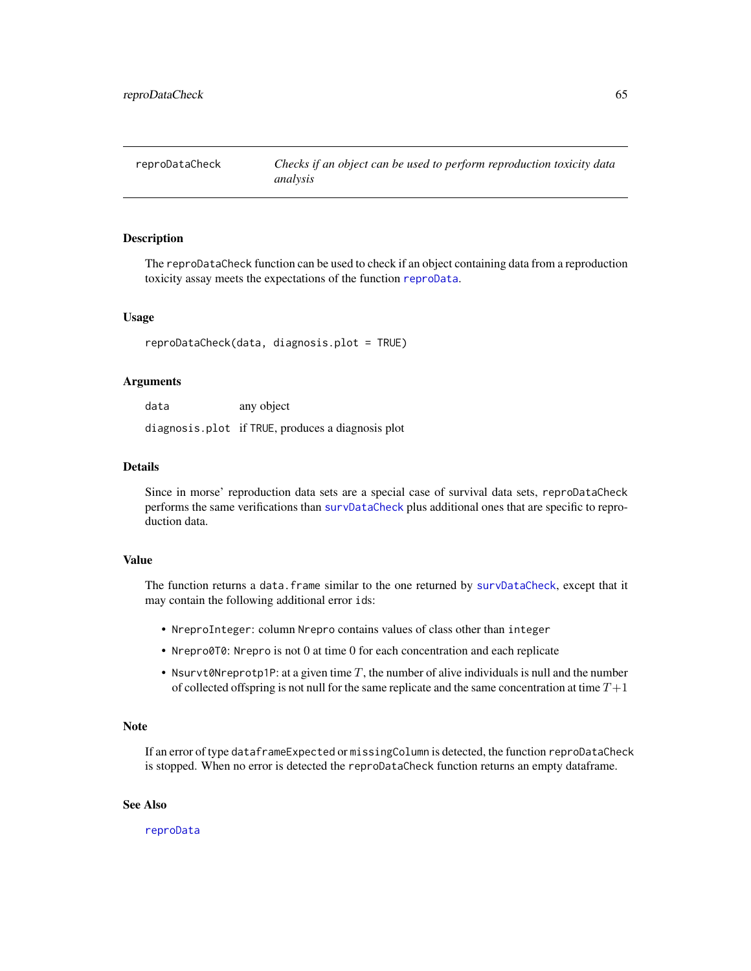<span id="page-64-0"></span>reproDataCheck *Checks if an object can be used to perform reproduction toxicity data analysis*

### Description

The reproDataCheck function can be used to check if an object containing data from a reproduction toxicity assay meets the expectations of the function [reproData](#page-63-0).

## Usage

reproDataCheck(data, diagnosis.plot = TRUE)

#### Arguments

data any object

diagnosis.plot if TRUE, produces a diagnosis plot

## Details

Since in morse' reproduction data sets are a special case of survival data sets, reproDataCheck performs the same verifications than [survDataCheck](#page-75-0) plus additional ones that are specific to reproduction data.

# Value

The function returns a data.frame similar to the one returned by [survDataCheck](#page-75-0), except that it may contain the following additional error ids:

- NreproInteger: column Nrepro contains values of class other than integer
- Nrepro0T0: Nrepro is not 0 at time 0 for each concentration and each replicate
- Nsurvt0Nreprotp1P: at a given time  $T$ , the number of alive individuals is null and the number of collected offspring is not null for the same replicate and the same concentration at time  $T+1$

#### **Note**

If an error of type dataframeExpected or missingColumn is detected, the function reproDataCheck is stopped. When no error is detected the reproDataCheck function returns an empty dataframe.

## See Also

[reproData](#page-63-0)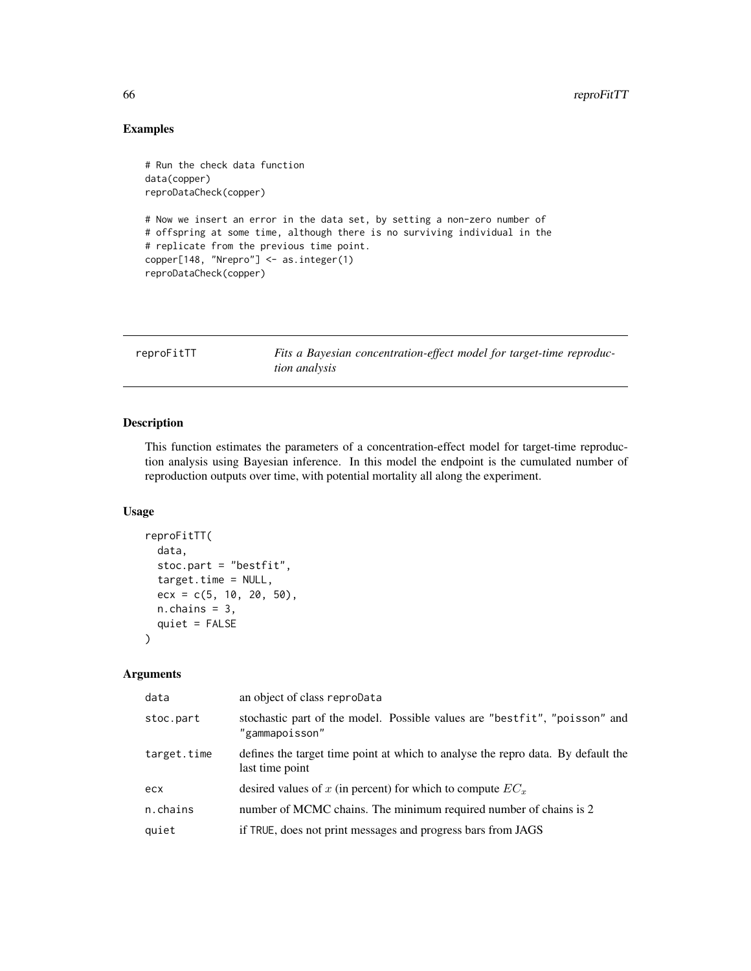# Examples

```
# Run the check data function
data(copper)
reproDataCheck(copper)
# Now we insert an error in the data set, by setting a non-zero number of
# offspring at some time, although there is no surviving individual in the
# replicate from the previous time point.
copper[148, "Nrepro"] <- as.integer(1)
reproDataCheck(copper)
```

| reproFitTT | Fits a Bayesian concentration-effect model for target-time reproduc- |
|------------|----------------------------------------------------------------------|
|            | <i>tion analysis</i>                                                 |

# Description

This function estimates the parameters of a concentration-effect model for target-time reproduction analysis using Bayesian inference. In this model the endpoint is the cumulated number of reproduction outputs over time, with potential mortality all along the experiment.

# Usage

```
reproFitTT(
  data,
  stoc.part = "bestfit",
 target.time = NULL,
 ecx = c(5, 10, 20, 50),
 n.chains = 3,
  quiet = FALSE)
```
# Arguments

| data        | an object of class reproData                                                                       |
|-------------|----------------------------------------------------------------------------------------------------|
| stoc.part   | stochastic part of the model. Possible values are "bestfit", "poisson" and<br>"gammapoisson"       |
| target.time | defines the target time point at which to analyse the reprodata. By default the<br>last time point |
| ecx         | desired values of x (in percent) for which to compute $EC_x$                                       |
| n.chains    | number of MCMC chains. The minimum required number of chains is 2                                  |
| quiet       | if TRUE, does not print messages and progress bars from JAGS                                       |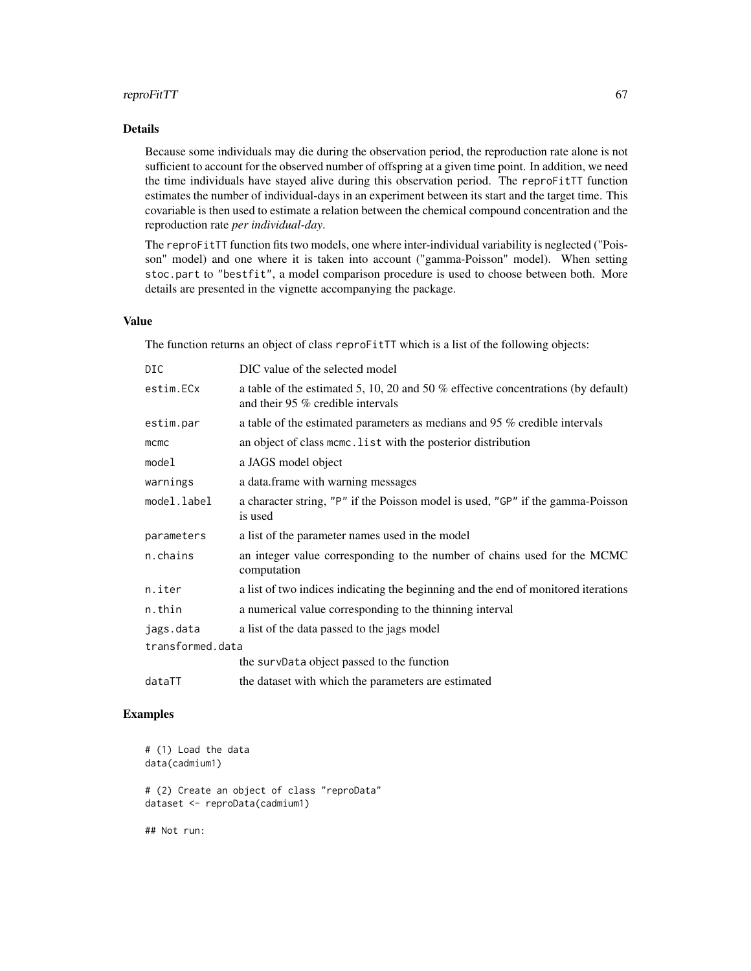## reproFitTT 67

## Details

Because some individuals may die during the observation period, the reproduction rate alone is not sufficient to account for the observed number of offspring at a given time point. In addition, we need the time individuals have stayed alive during this observation period. The reproFitTT function estimates the number of individual-days in an experiment between its start and the target time. This covariable is then used to estimate a relation between the chemical compound concentration and the reproduction rate *per individual-day*.

The reproFitTT function fits two models, one where inter-individual variability is neglected ("Poisson" model) and one where it is taken into account ("gamma-Poisson" model). When setting stoc.part to "bestfit", a model comparison procedure is used to choose between both. More details are presented in the vignette accompanying the package.

# Value

The function returns an object of class reproFitTT which is a list of the following objects:

| DIC              | DIC value of the selected model                                                                                        |
|------------------|------------------------------------------------------------------------------------------------------------------------|
| estim.ECx        | a table of the estimated 5, 10, 20 and 50 % effective concentrations (by default)<br>and their 95 % credible intervals |
| estim.par        | a table of the estimated parameters as medians and 95 % credible intervals                                             |
| mcmc             | an object of class mcmc. List with the posterior distribution                                                          |
| model            | a JAGS model object                                                                                                    |
| warnings         | a data.frame with warning messages                                                                                     |
| model.label      | a character string, "P" if the Poisson model is used, "GP" if the gamma-Poisson<br>is used                             |
| parameters       | a list of the parameter names used in the model                                                                        |
| n.chains         | an integer value corresponding to the number of chains used for the MCMC<br>computation                                |
| n.iter           | a list of two indices indicating the beginning and the end of monitored iterations                                     |
| n.thin           | a numerical value corresponding to the thinning interval                                                               |
| jags.data        | a list of the data passed to the jags model                                                                            |
| transformed.data |                                                                                                                        |
|                  | the survData object passed to the function                                                                             |
| dataTT           | the dataset with which the parameters are estimated                                                                    |

```
# (1) Load the data
data(cadmium1)
# (2) Create an object of class "reproData"
dataset <- reproData(cadmium1)
## Not run:
```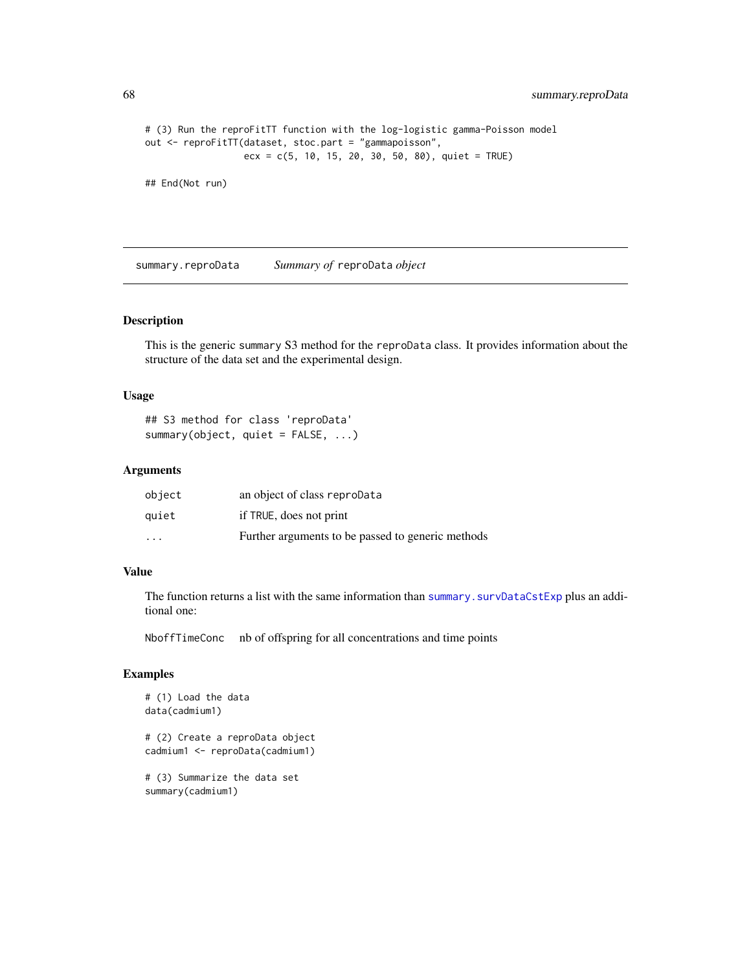```
# (3) Run the reproFitTT function with the log-logistic gamma-Poisson model
out <- reproFitTT(dataset, stoc.part = "gammapoisson",
                  exc = c(5, 10, 15, 20, 30, 50, 80), quiet = TRUE)
```
## End(Not run)

summary.reproData *Summary of* reproData *object*

#### Description

This is the generic summary S3 method for the reproData class. It provides information about the structure of the data set and the experimental design.

### Usage

## S3 method for class 'reproData' summary(object, quiet = FALSE, ...)

### Arguments

| object                  | an object of class reproData                      |
|-------------------------|---------------------------------------------------|
| quiet                   | if TRUE, does not print                           |
| $\cdot$ $\cdot$ $\cdot$ | Further arguments to be passed to generic methods |

# Value

The function returns a list with the same information than [summary.survDataCstExp](#page-69-0) plus an additional one:

NboffTimeConc nb of offspring for all concentrations and time points

```
# (1) Load the data
data(cadmium1)
# (2) Create a reproData object
cadmium1 <- reproData(cadmium1)
# (3) Summarize the data set
summary(cadmium1)
```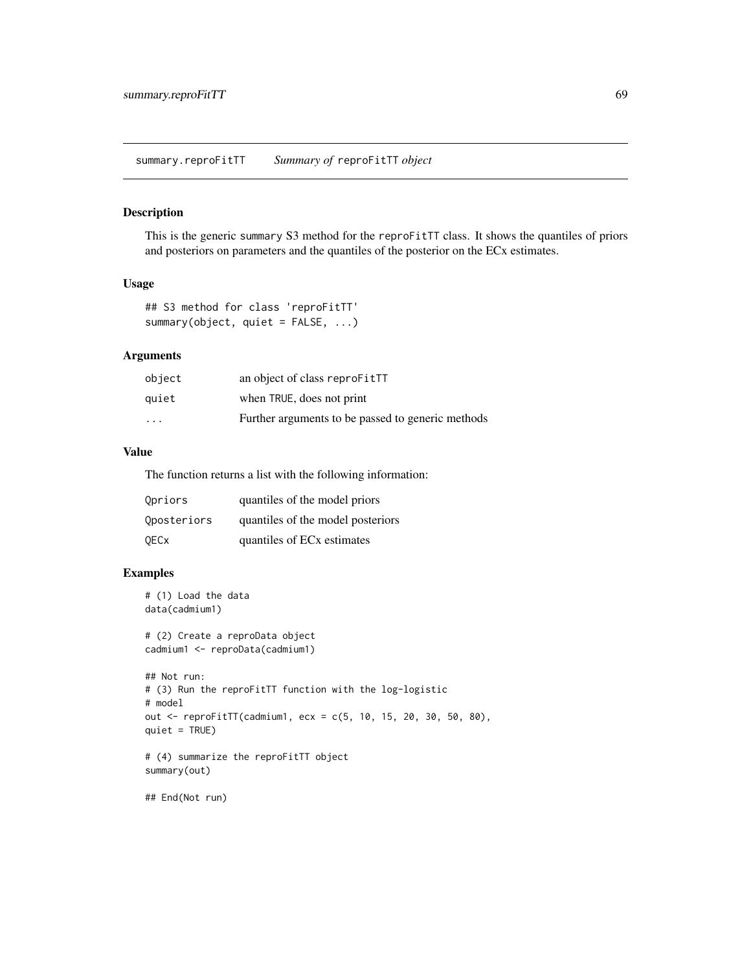### Description

This is the generic summary S3 method for the reproFitTT class. It shows the quantiles of priors and posteriors on parameters and the quantiles of the posterior on the ECx estimates.

## Usage

```
## S3 method for class 'reproFitTT'
summary(object, quiet = FALSE, ...)
```
## Arguments

| object                  | an object of class reproFitTT                     |
|-------------------------|---------------------------------------------------|
| auiet                   | when TRUE, does not print                         |
| $\cdot$ $\cdot$ $\cdot$ | Further arguments to be passed to generic methods |

# Value

The function returns a list with the following information:

| Opriors     | quantiles of the model priors          |
|-------------|----------------------------------------|
| Oposteriors | quantiles of the model posteriors      |
| <b>QECx</b> | quantiles of EC <sub>x</sub> estimates |

```
# (1) Load the data
data(cadmium1)
# (2) Create a reproData object
cadmium1 <- reproData(cadmium1)
## Not run:
# (3) Run the reproFitTT function with the log-logistic
# model
out <- reproFitTT(cadmium1, ecx = c(5, 10, 15, 20, 30, 50, 80),
quiet = TRUE)
# (4) summarize the reproFitTT object
summary(out)
## End(Not run)
```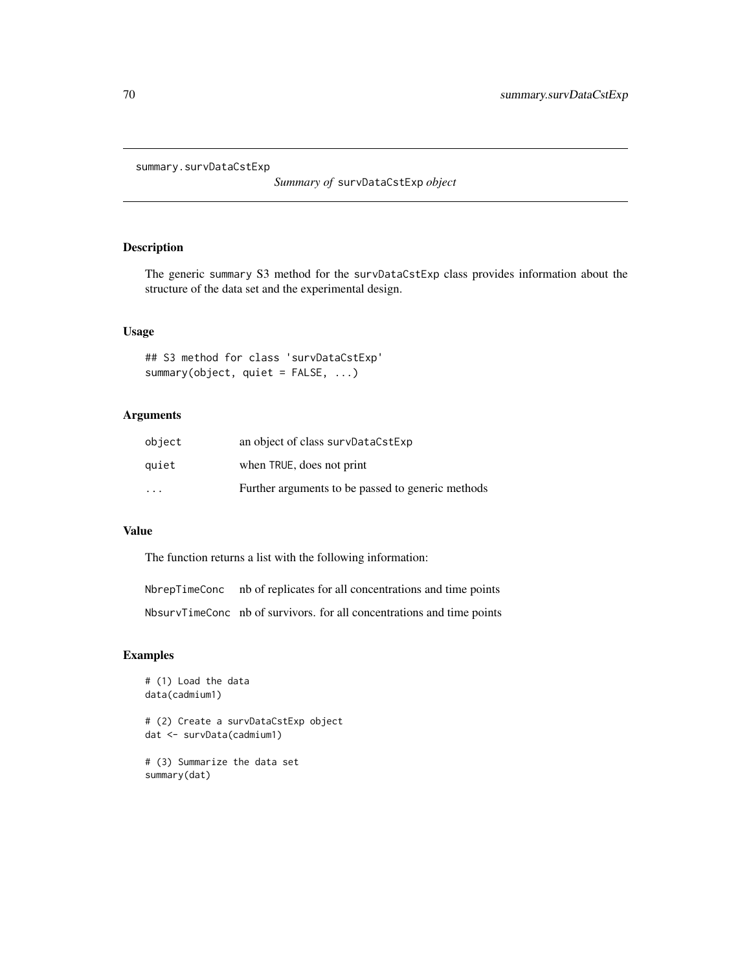<span id="page-69-0"></span>summary.survDataCstExp

*Summary of* survDataCstExp *object*

# Description

The generic summary S3 method for the survDataCstExp class provides information about the structure of the data set and the experimental design.

# Usage

## S3 method for class 'survDataCstExp' summary(object, quiet = FALSE, ...)

# Arguments

| object                  | an object of class survDataCstExp                 |
|-------------------------|---------------------------------------------------|
| quiet                   | when TRUE, does not print                         |
| $\cdot$ $\cdot$ $\cdot$ | Further arguments to be passed to generic methods |

### Value

The function returns a list with the following information:

NbrepTimeConc nb of replicates for all concentrations and time points

NbsurvTimeConc nb of survivors. for all concentrations and time points

```
# (1) Load the data
data(cadmium1)
# (2) Create a survDataCstExp object
dat <- survData(cadmium1)
# (3) Summarize the data set
summary(dat)
```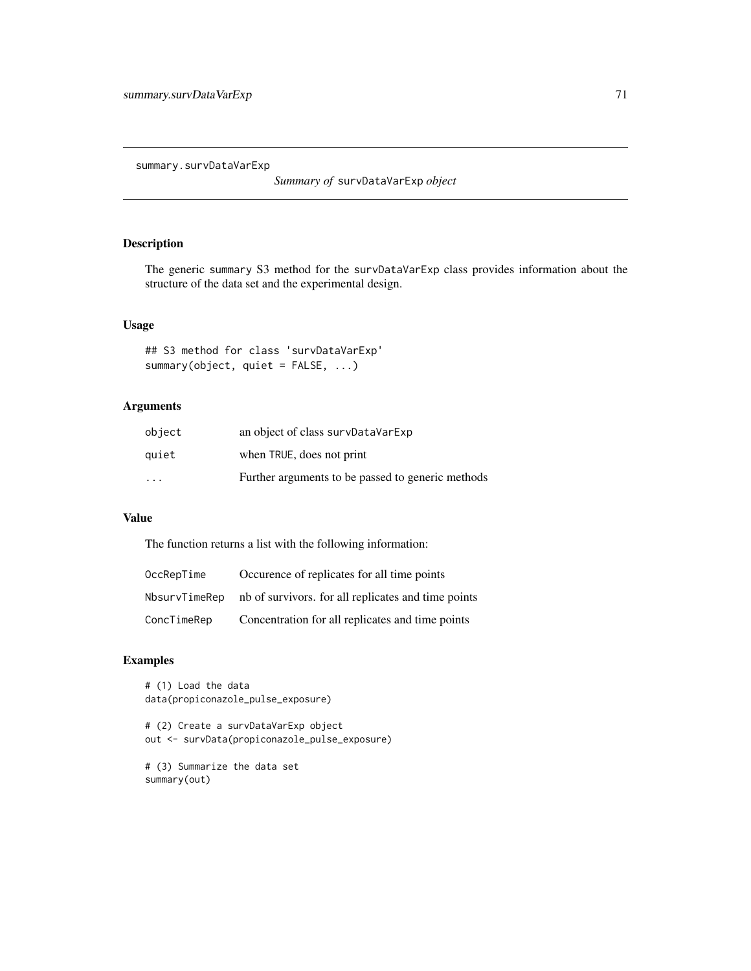summary.survDataVarExp

*Summary of* survDataVarExp *object*

# Description

The generic summary S3 method for the survDataVarExp class provides information about the structure of the data set and the experimental design.

# Usage

## S3 method for class 'survDataVarExp' summary(object, quiet = FALSE, ...)

# Arguments

| object                  | an object of class survDataVarExp                 |
|-------------------------|---------------------------------------------------|
| quiet                   | when TRUE, does not print                         |
| $\cdot$ $\cdot$ $\cdot$ | Further arguments to be passed to generic methods |

# Value

The function returns a list with the following information:

| OccRepTime    | Occurence of replicates for all time points         |
|---------------|-----------------------------------------------------|
| NbsurvTimeRep | nb of survivors, for all replicates and time points |
| ConcTimeRep   | Concentration for all replicates and time points    |

```
# (1) Load the data
data(propiconazole_pulse_exposure)
```

```
# (2) Create a survDataVarExp object
out <- survData(propiconazole_pulse_exposure)
```

```
# (3) Summarize the data set
summary(out)
```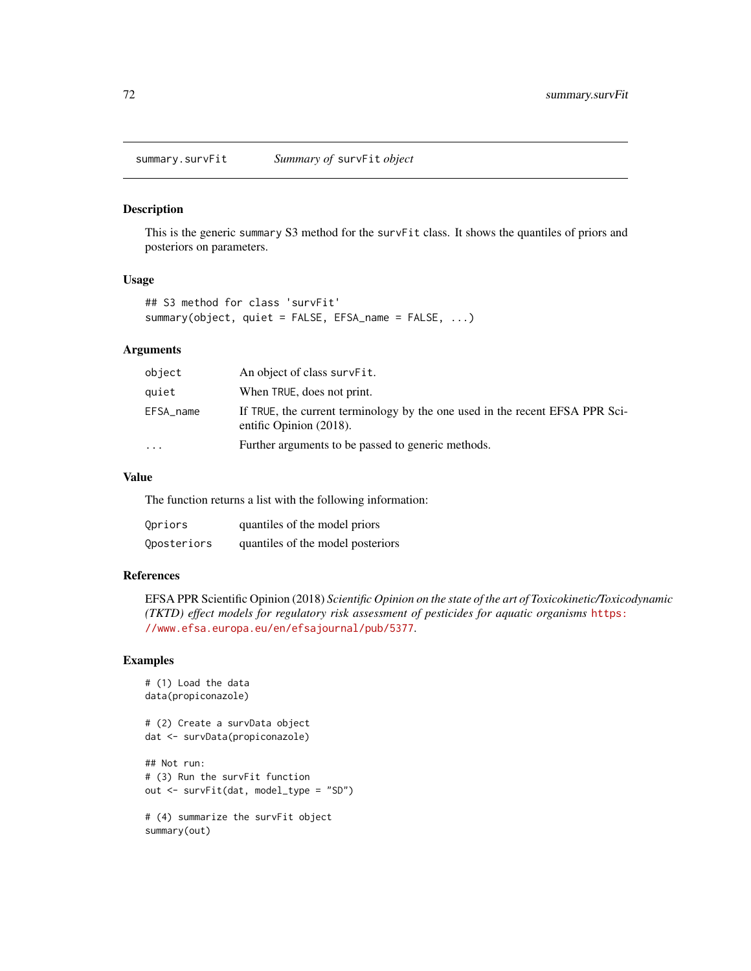summary.survFit *Summary of* survFit *object*

## Description

This is the generic summary S3 method for the survFit class. It shows the quantiles of priors and posteriors on parameters.

#### Usage

```
## S3 method for class 'survFit'
summary(object, quiet = FALSE, EFSA_name = FALSE, ...)
```
## Arguments

| object    | An object of class survFit.                                                                             |
|-----------|---------------------------------------------------------------------------------------------------------|
| quiet     | When TRUE, does not print.                                                                              |
| EFSA_name | If TRUE, the current terminology by the one used in the recent EFSA PPR Sci-<br>entific Opinion (2018). |
| $\ddotsc$ | Further arguments to be passed to generic methods.                                                      |

## Value

The function returns a list with the following information:

| Opriors     | quantiles of the model priors     |
|-------------|-----------------------------------|
| Qposteriors | quantiles of the model posteriors |

### References

EFSA PPR Scientific Opinion (2018) *Scientific Opinion on the state of the art of Toxicokinetic/Toxicodynamic (TKTD) effect models for regulatory risk assessment of pesticides for aquatic organisms* [https:](https://www.efsa.europa.eu/en/efsajournal/pub/5377) [//www.efsa.europa.eu/en/efsajournal/pub/5377](https://www.efsa.europa.eu/en/efsajournal/pub/5377).

```
# (1) Load the data
data(propiconazole)
# (2) Create a survData object
dat <- survData(propiconazole)
## Not run:
# (3) Run the survFit function
out <- survFit(dat, model_type = "SD")
# (4) summarize the survFit object
summary(out)
```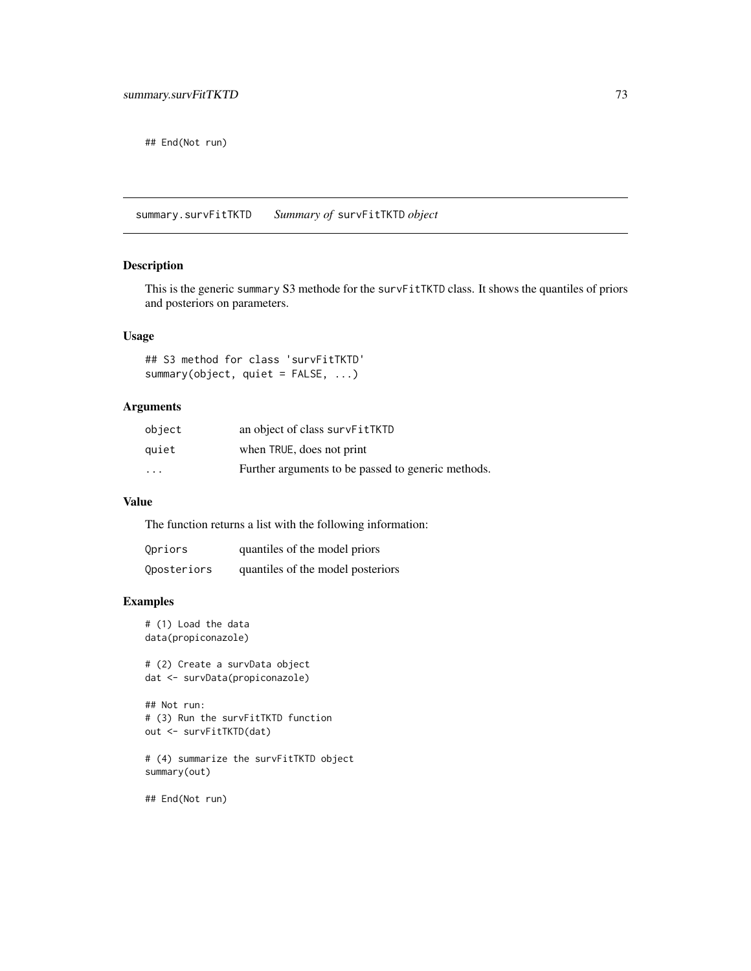<span id="page-72-0"></span>## End(Not run)

summary.survFitTKTD *Summary of* survFitTKTD *object*

# Description

This is the generic summary S3 methode for the survFitTKTD class. It shows the quantiles of priors and posteriors on parameters.

# Usage

## S3 method for class 'survFitTKTD' summary(object, quiet = FALSE, ...)

#### Arguments

| object                  | an object of class survFitTKTD                     |
|-------------------------|----------------------------------------------------|
| quiet                   | when TRUE, does not print                          |
| $\cdot$ $\cdot$ $\cdot$ | Further arguments to be passed to generic methods. |

#### Value

The function returns a list with the following information:

| Qpriors     | quantiles of the model priors     |
|-------------|-----------------------------------|
| Qposteriors | quantiles of the model posteriors |

#### Examples

```
# (1) Load the data
data(propiconazole)
```
# (2) Create a survData object dat <- survData(propiconazole)

## Not run: # (3) Run the survFitTKTD function out <- survFitTKTD(dat)

# (4) summarize the survFitTKTD object summary(out)

## End(Not run)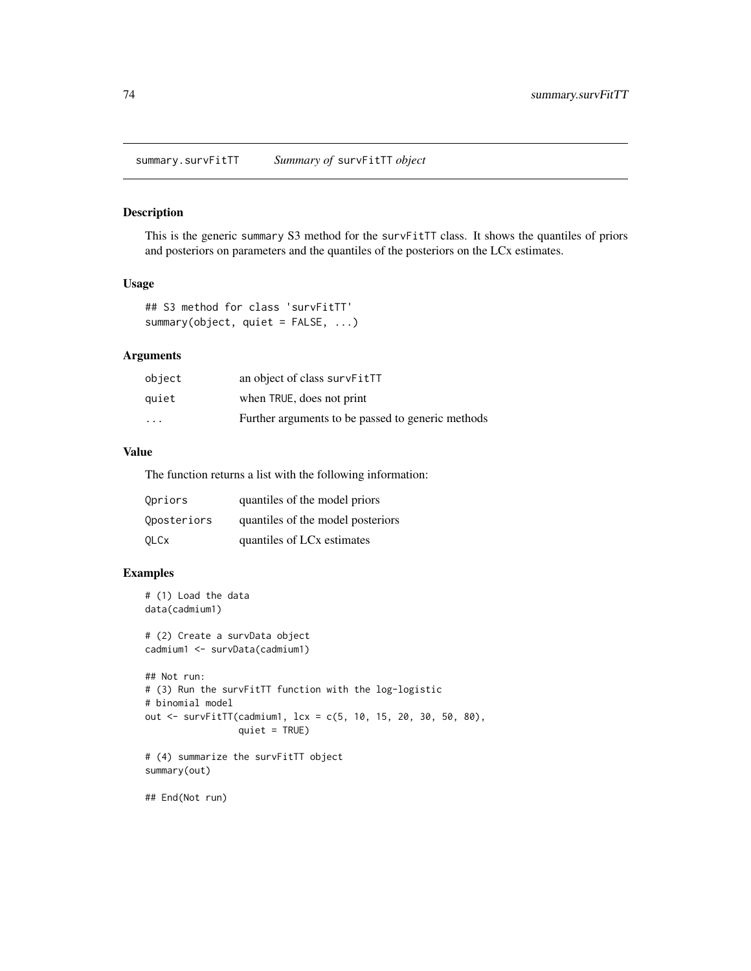<span id="page-73-0"></span>This is the generic summary S3 method for the survFitTT class. It shows the quantiles of priors and posteriors on parameters and the quantiles of the posteriors on the LCx estimates.

#### Usage

```
## S3 method for class 'survFitTT'
summary(object, quiet = FALSE, ...)
```
#### Arguments

| object                  | an object of class survFitTT                      |
|-------------------------|---------------------------------------------------|
| quiet                   | when TRUE, does not print                         |
| $\cdot$ $\cdot$ $\cdot$ | Further arguments to be passed to generic methods |

# Value

The function returns a list with the following information:

| Opriors     | quantiles of the model priors          |
|-------------|----------------------------------------|
| Oposteriors | quantiles of the model posteriors      |
| <b>OLCx</b> | quantiles of LC <sub>x</sub> estimates |

# Examples

```
# (1) Load the data
data(cadmium1)
# (2) Create a survData object
cadmium1 <- survData(cadmium1)
## Not run:
# (3) Run the survFitTT function with the log-logistic
# binomial model
out <- survFitTT(cadmium1, lcx = c(5, 10, 15, 20, 30, 50, 80),
                 quiet = TRUE)
# (4) summarize the survFitTT object
summary(out)
## End(Not run)
```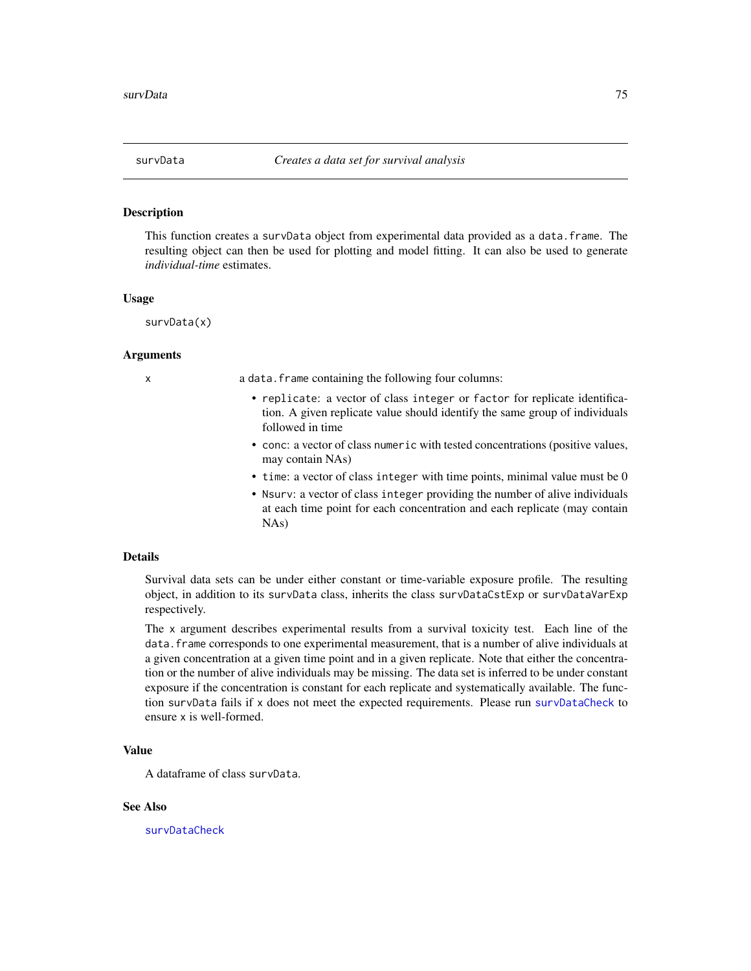<span id="page-74-1"></span><span id="page-74-0"></span>

This function creates a survData object from experimental data provided as a data.frame. The resulting object can then be used for plotting and model fitting. It can also be used to generate *individual-time* estimates.

#### Usage

survData(x)

#### Arguments

x a data.frame containing the following four columns:

- replicate: a vector of class integer or factor for replicate identification. A given replicate value should identify the same group of individuals followed in time
- conc: a vector of class numeric with tested concentrations (positive values, may contain NAs)
- time: a vector of class integer with time points, minimal value must be 0
- Nsurv: a vector of class integer providing the number of alive individuals at each time point for each concentration and each replicate (may contain NAs)

#### Details

Survival data sets can be under either constant or time-variable exposure profile. The resulting object, in addition to its survData class, inherits the class survDataCstExp or survDataVarExp respectively.

The x argument describes experimental results from a survival toxicity test. Each line of the data.frame corresponds to one experimental measurement, that is a number of alive individuals at a given concentration at a given time point and in a given replicate. Note that either the concentration or the number of alive individuals may be missing. The data set is inferred to be under constant exposure if the concentration is constant for each replicate and systematically available. The function survData fails if x does not meet the expected requirements. Please run [survDataCheck](#page-75-0) to ensure x is well-formed.

# Value

A dataframe of class survData.

#### See Also

[survDataCheck](#page-75-0)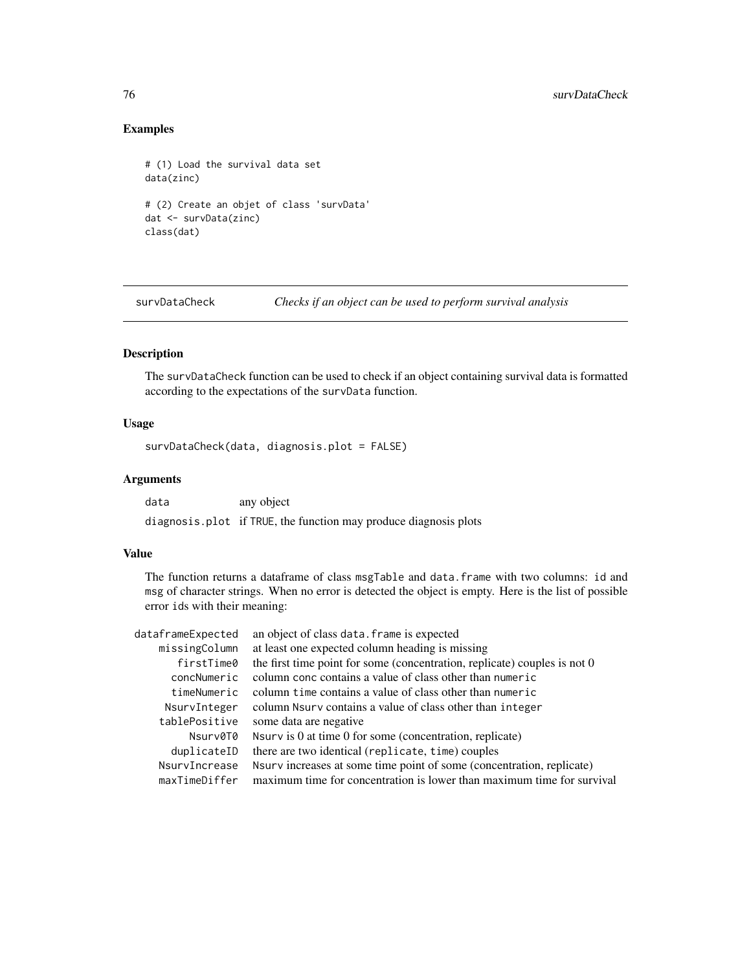# Examples

```
# (1) Load the survival data set
data(zinc)
# (2) Create an objet of class 'survData'
dat <- survData(zinc)
class(dat)
```
<span id="page-75-0"></span>survDataCheck *Checks if an object can be used to perform survival analysis*

# Description

The survDataCheck function can be used to check if an object containing survival data is formatted according to the expectations of the survData function.

# Usage

survDataCheck(data, diagnosis.plot = FALSE)

# Arguments

data any object diagnosis.plot if TRUE, the function may produce diagnosis plots

#### Value

The function returns a dataframe of class msgTable and data.frame with two columns: id and msg of character strings. When no error is detected the object is empty. Here is the list of possible error ids with their meaning:

| dataframeExpected | an object of class data. frame is expected                                  |
|-------------------|-----------------------------------------------------------------------------|
| missingColumn     | at least one expected column heading is missing                             |
| firstTime0        | the first time point for some (concentration, replicate) couples is not $0$ |
| concNumeric       | column conc contains a value of class other than numeric                    |
| timeNumeric       | column time contains a value of class other than numeric                    |
| NsurvInteger      | column Nsurv contains a value of class other than integer                   |
| tablePositive     | some data are negative                                                      |
| Nsurv0T0          | Nsurv is $0$ at time $0$ for some (concentration, replicate)                |
| duplicateID       | there are two identical (replicate, time) couples                           |
| NsurvIncrease     | Nsurv increases at some time point of some (concentration, replicate)       |
| maxTimeDiffer     | maximum time for concentration is lower than maximum time for survival      |

<span id="page-75-1"></span>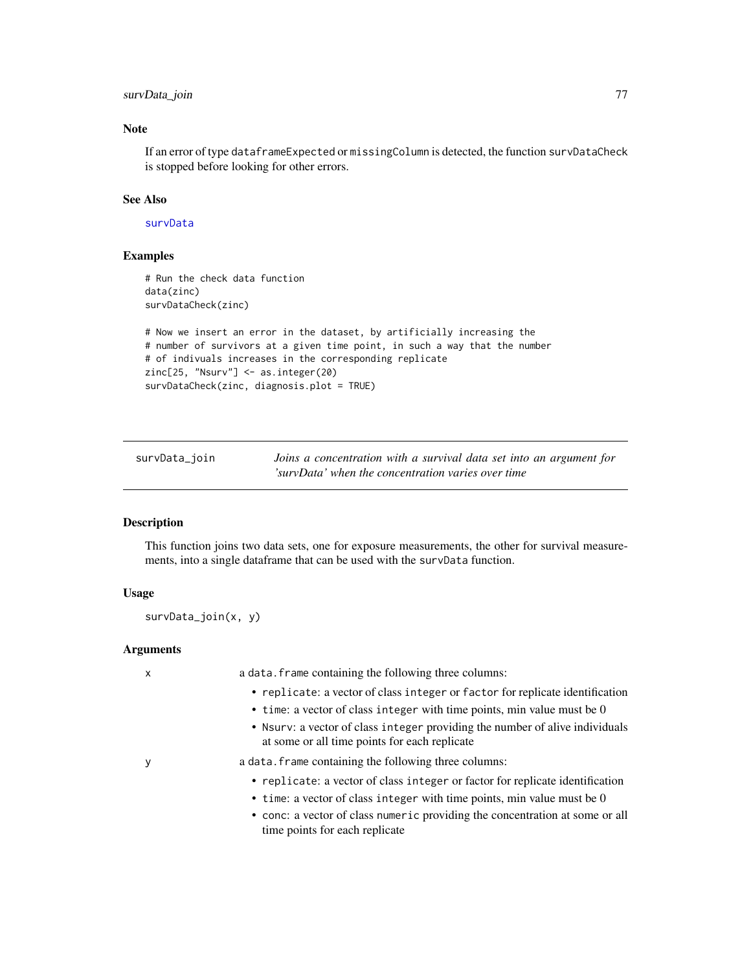# <span id="page-76-0"></span>survData\_join 77

# Note

If an error of type dataframeExpected or missingColumn is detected, the function survDataCheck is stopped before looking for other errors.

## See Also

#### [survData](#page-74-0)

# Examples

```
# Run the check data function
data(zinc)
survDataCheck(zinc)
# Now we insert an error in the dataset, by artificially increasing the
# number of survivors at a given time point, in such a way that the number
# of indivuals increases in the corresponding replicate
zinc[25, "Nsurv"] <- as.integer(20)
survDataCheck(zinc, diagnosis.plot = TRUE)
```

|  | survData_join |  |
|--|---------------|--|
|--|---------------|--|

Data\_join *Joins a concentration with a survival data set into an argument for 'survData' when the concentration varies over time*

#### Description

This function joins two data sets, one for exposure measurements, the other for survival measurements, into a single dataframe that can be used with the survData function.

# Usage

survData\_join(x, y)

#### Arguments

| x | a data. frame containing the following three columns:                                                                                                                                                                                                                      |
|---|----------------------------------------------------------------------------------------------------------------------------------------------------------------------------------------------------------------------------------------------------------------------------|
|   | • replicate: a vector of class integer or factor for replicate identification<br>• time: a vector of class integer with time points, min value must be 0                                                                                                                   |
|   | • Nsurv: a vector of class integer providing the number of alive individuals<br>at some or all time points for each replicate                                                                                                                                              |
| у | a data. frame containing the following three columns:                                                                                                                                                                                                                      |
|   | • replicate: a vector of class integer or factor for replicate identification<br>• time: a vector of class integer with time points, min value must be 0<br>• conc: a vector of class numeric providing the concentration at some or all<br>time points for each replicate |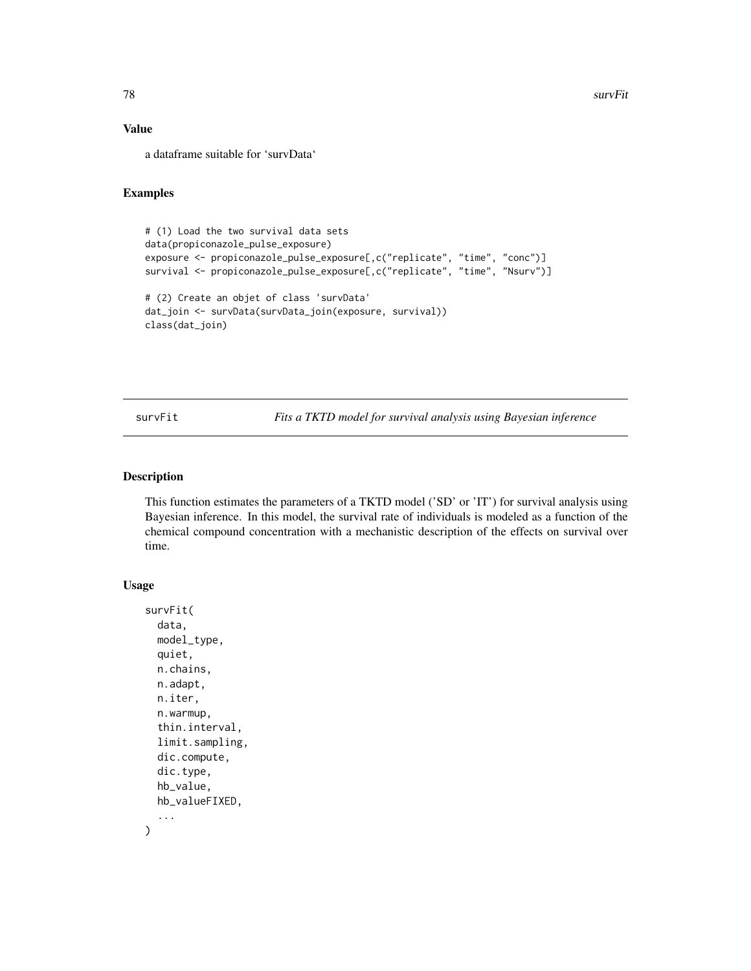# <span id="page-77-0"></span>Value

a dataframe suitable for 'survData'

#### Examples

```
# (1) Load the two survival data sets
data(propiconazole_pulse_exposure)
exposure <- propiconazole_pulse_exposure[,c("replicate", "time", "conc")]
survival <- propiconazole_pulse_exposure[,c("replicate", "time", "Nsurv")]
# (2) Create an objet of class 'survData'
dat_join <- survData(survData_join(exposure, survival))
class(dat_join)
```
survFit *Fits a TKTD model for survival analysis using Bayesian inference*

#### Description

This function estimates the parameters of a TKTD model ('SD' or 'IT') for survival analysis using Bayesian inference. In this model, the survival rate of individuals is modeled as a function of the chemical compound concentration with a mechanistic description of the effects on survival over time.

# Usage

```
survFit(
  data,
 model_type,
 quiet,
 n.chains,
 n.adapt,
 n.iter,
 n.warmup,
  thin.interval,
  limit.sampling,
  dic.compute,
  dic.type,
 hb_value,
 hb_valueFIXED,
  ...
)
```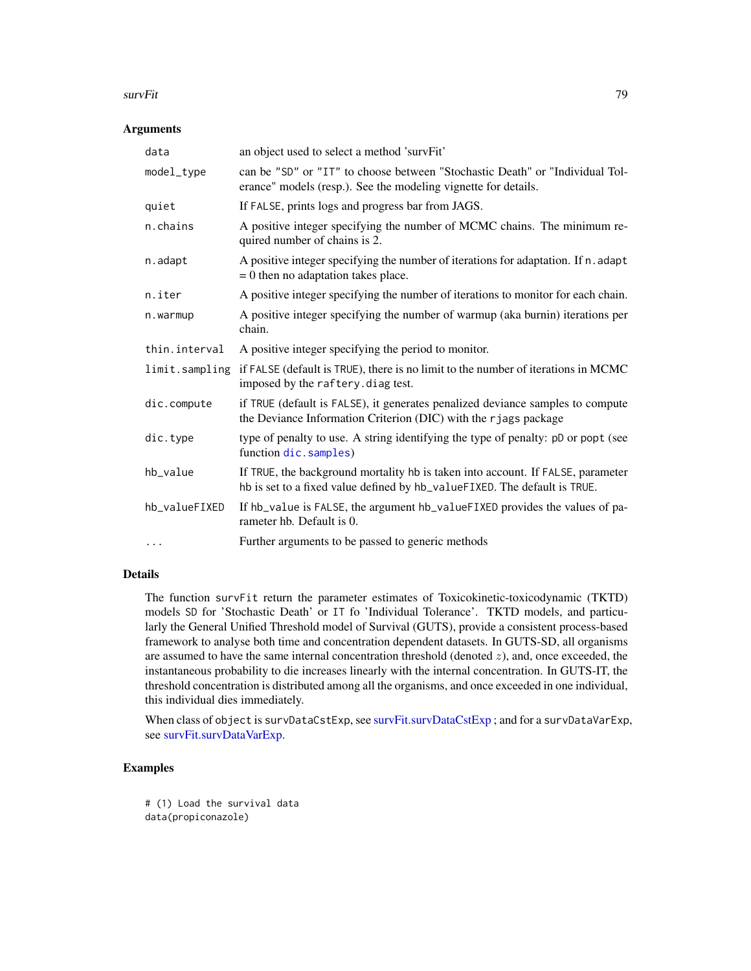#### <span id="page-78-0"></span>survFit 79

# Arguments

| data           | an object used to select a method 'survFit'                                                                                                                  |
|----------------|--------------------------------------------------------------------------------------------------------------------------------------------------------------|
| model_type     | can be "SD" or "IT" to choose between "Stochastic Death" or "Individual Tol-<br>erance" models (resp.). See the modeling vignette for details.               |
| quiet          | If FALSE, prints logs and progress bar from JAGS.                                                                                                            |
| n.chains       | A positive integer specifying the number of MCMC chains. The minimum re-<br>quired number of chains is 2.                                                    |
| n.adapt        | A positive integer specifying the number of iterations for adaptation. If n. adapt<br>$= 0$ then no adaptation takes place.                                  |
| n.iter         | A positive integer specifying the number of iterations to monitor for each chain.                                                                            |
| n.warmup       | A positive integer specifying the number of warmup (aka burnin) iterations per<br>chain.                                                                     |
| thin.interval  | A positive integer specifying the period to monitor.                                                                                                         |
| limit.sampling | if FALSE (default is TRUE), there is no limit to the number of iterations in MCMC<br>imposed by the raftery.diag test.                                       |
| dic.compute    | if TRUE (default is FALSE), it generates penalized deviance samples to compute<br>the Deviance Information Criterion (DIC) with the rjags package            |
| dic.type       | type of penalty to use. A string identifying the type of penalty: pD or popt (see<br>function dic. samples)                                                  |
| hb_value       | If TRUE, the background mortality hb is taken into account. If FALSE, parameter<br>hb is set to a fixed value defined by hb_valueFIXED. The default is TRUE. |
| hb_valueFIXED  | If hb_value is FALSE, the argument hb_valueFIXED provides the values of pa-<br>rameter hb. Default is 0.                                                     |
| $\cdots$       | Further arguments to be passed to generic methods                                                                                                            |

# Details

The function survFit return the parameter estimates of Toxicokinetic-toxicodynamic (TKTD) models SD for 'Stochastic Death' or IT fo 'Individual Tolerance'. TKTD models, and particularly the General Unified Threshold model of Survival (GUTS), provide a consistent process-based framework to analyse both time and concentration dependent datasets. In GUTS-SD, all organisms are assumed to have the same internal concentration threshold (denoted  $z$ ), and, once exceeded, the instantaneous probability to die increases linearly with the internal concentration. In GUTS-IT, the threshold concentration is distributed among all the organisms, and once exceeded in one individual, this individual dies immediately.

When class of object is survDataCstExp, see [survFit.survDataCstExp](#page-79-0); and for a survDataVarExp, see [survFit.survDataVarExp.](#page-82-0)

# Examples

# (1) Load the survival data data(propiconazole)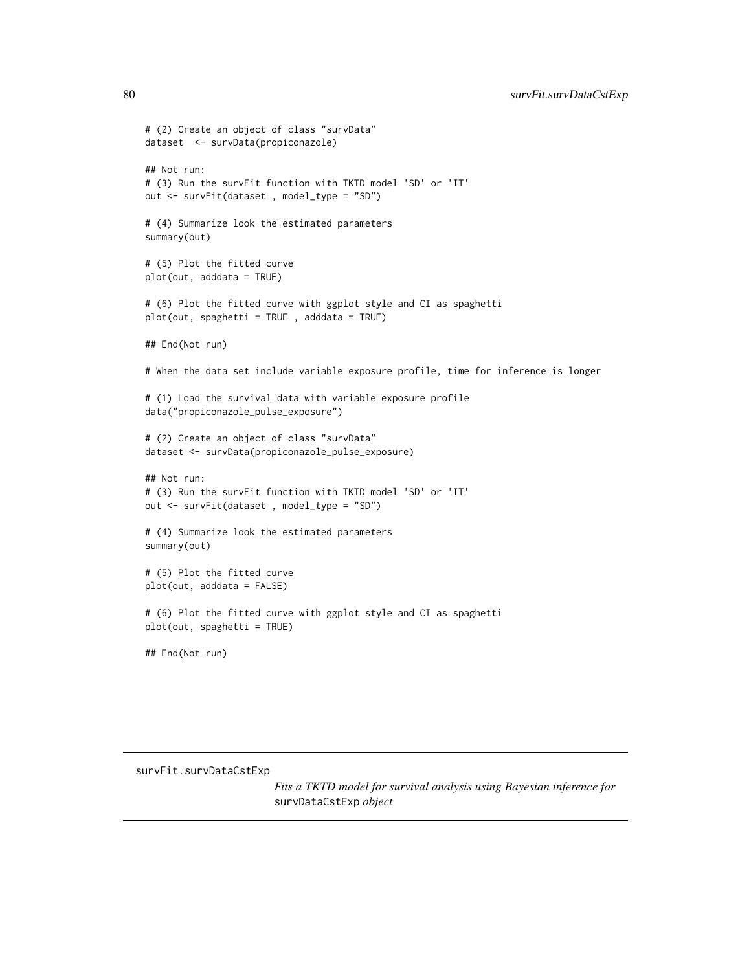```
# (2) Create an object of class "survData"
dataset <- survData(propiconazole)
## Not run:
# (3) Run the survFit function with TKTD model 'SD' or 'IT'
out <- survFit(dataset , model_type = "SD")
# (4) Summarize look the estimated parameters
summary(out)
# (5) Plot the fitted curve
plot(out, adddata = TRUE)
# (6) Plot the fitted curve with ggplot style and CI as spaghetti
plot(out, spaghetti = TRUE , adddata = TRUE)
## End(Not run)
# When the data set include variable exposure profile, time for inference is longer
# (1) Load the survival data with variable exposure profile
data("propiconazole_pulse_exposure")
# (2) Create an object of class "survData"
dataset <- survData(propiconazole_pulse_exposure)
## Not run:
# (3) Run the survFit function with TKTD model 'SD' or 'IT'
out <- survFit(dataset , model_type = "SD")
# (4) Summarize look the estimated parameters
summary(out)
# (5) Plot the fitted curve
plot(out, adddata = FALSE)
# (6) Plot the fitted curve with ggplot style and CI as spaghetti
plot(out, spaghetti = TRUE)
```
## End(Not run)

<span id="page-79-0"></span>survFit.survDataCstExp

*Fits a TKTD model for survival analysis using Bayesian inference for* survDataCstExp *object*

<span id="page-79-1"></span>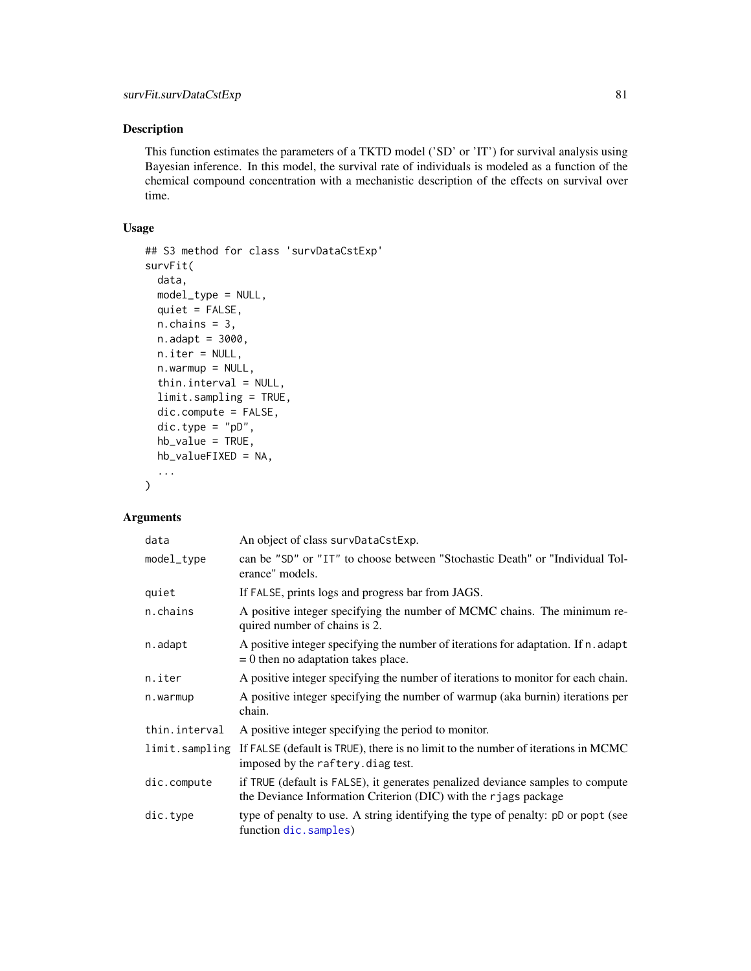<span id="page-80-0"></span>This function estimates the parameters of a TKTD model ('SD' or 'IT') for survival analysis using Bayesian inference. In this model, the survival rate of individuals is modeled as a function of the chemical compound concentration with a mechanistic description of the effects on survival over time.

#### Usage

```
## S3 method for class 'survDataCstExp'
survFit(
 data,
 model_type = NULL,
 quiet = FALSE,
 n.chains = 3,
 n.addapt = 3000,n.iter = NULL,
 n.warmup = NULL,
  thin.interval = NULL,
  limit.sampling = TRUE,
 dic.compute = FALSE,
  dic.type = "pD",hb_value = TRUE,
 hb_valueFIXED = NA,
  ...
)
```
#### Arguments

| data           | An object of class survDataCstExp.                                                                                                                |
|----------------|---------------------------------------------------------------------------------------------------------------------------------------------------|
| model_type     | can be "SD" or "IT" to choose between "Stochastic Death" or "Individual Tol-<br>erance" models.                                                   |
| quiet          | If FALSE, prints logs and progress bar from JAGS.                                                                                                 |
| n.chains       | A positive integer specifying the number of MCMC chains. The minimum re-<br>quired number of chains is 2.                                         |
| n.adapt        | A positive integer specifying the number of iterations for adaptation. If n. adapt<br>$= 0$ then no adaptation takes place.                       |
| n.iter         | A positive integer specifying the number of iterations to monitor for each chain.                                                                 |
| n.warmup       | A positive integer specifying the number of warmup (aka burnin) iterations per<br>chain.                                                          |
| thin.interval  | A positive integer specifying the period to monitor.                                                                                              |
| limit.sampling | If FALSE (default is TRUE), there is no limit to the number of iterations in MCMC<br>imposed by the raftery. diag test.                           |
| dic.compute    | if TRUE (default is FALSE), it generates penalized deviance samples to compute<br>the Deviance Information Criterion (DIC) with the rjags package |
| dic.type       | type of penalty to use. A string identifying the type of penalty: pD or popt (see<br>function dic.samples)                                        |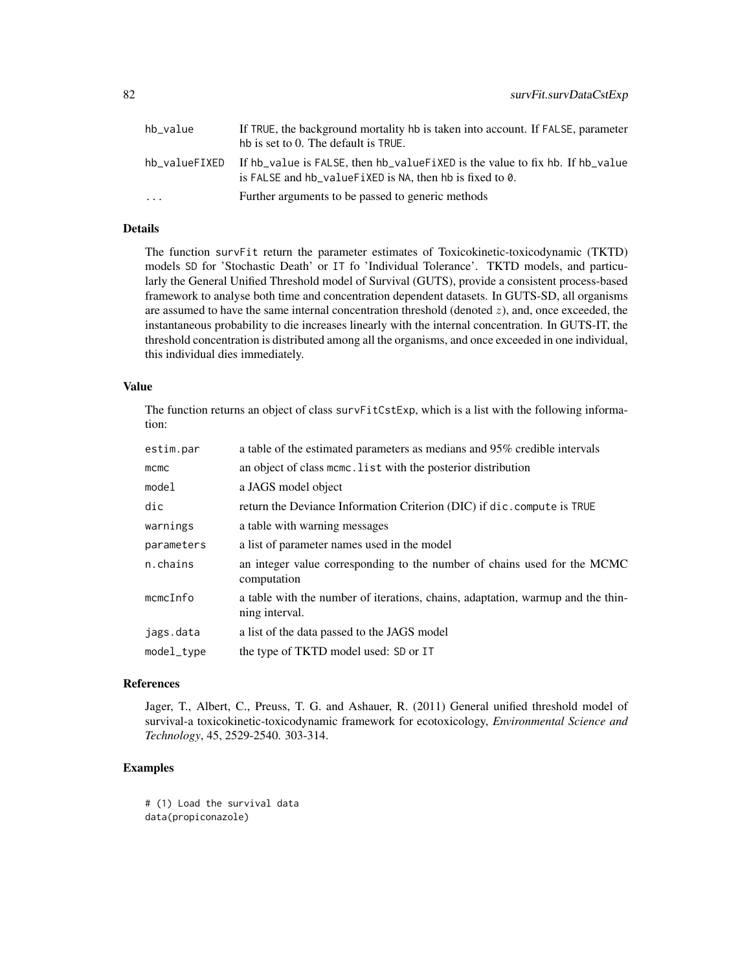| hb value                | If TRUE, the background mortality hb is taken into account. If FALSE, parameter<br>hb is set to 0. The default is TRUE.                      |
|-------------------------|----------------------------------------------------------------------------------------------------------------------------------------------|
| hb valueFIXED           | If hb_value is FALSE, then hb_valueFiXED is the value to fix hb. If hb_value<br>is FALSE and $hb$ -value FiXED is NA, then hb is fixed to 0. |
| $\cdot$ $\cdot$ $\cdot$ | Further arguments to be passed to generic methods                                                                                            |

# Details

The function survFit return the parameter estimates of Toxicokinetic-toxicodynamic (TKTD) models SD for 'Stochastic Death' or IT fo 'Individual Tolerance'. TKTD models, and particularly the General Unified Threshold model of Survival (GUTS), provide a consistent process-based framework to analyse both time and concentration dependent datasets. In GUTS-SD, all organisms are assumed to have the same internal concentration threshold (denoted  $z$ ), and, once exceeded, the instantaneous probability to die increases linearly with the internal concentration. In GUTS-IT, the threshold concentration is distributed among all the organisms, and once exceeded in one individual, this individual dies immediately.

#### Value

The function returns an object of class survFitCstExp, which is a list with the following information:

| estim.par   | a table of the estimated parameters as medians and 95% credible intervals                         |
|-------------|---------------------------------------------------------------------------------------------------|
| mcmc        | an object of class mcmc. List with the posterior distribution                                     |
| model       | a JAGS model object                                                                               |
| dic         | return the Deviance Information Criterion (DIC) if dic. compute is TRUE                           |
| warnings    | a table with warning messages                                                                     |
| parameters  | a list of parameter names used in the model                                                       |
| n.chains    | an integer value corresponding to the number of chains used for the MCMC<br>computation           |
| $mcmC$ Info | a table with the number of iterations, chains, adaptation, warmup and the thin-<br>ning interval. |
| jags.data   | a list of the data passed to the JAGS model                                                       |
| model_type  | the type of TKTD model used: SD or IT                                                             |

#### References

Jager, T., Albert, C., Preuss, T. G. and Ashauer, R. (2011) General unified threshold model of survival-a toxicokinetic-toxicodynamic framework for ecotoxicology, *Environmental Science and Technology*, 45, 2529-2540. 303-314.

# Examples

# (1) Load the survival data data(propiconazole)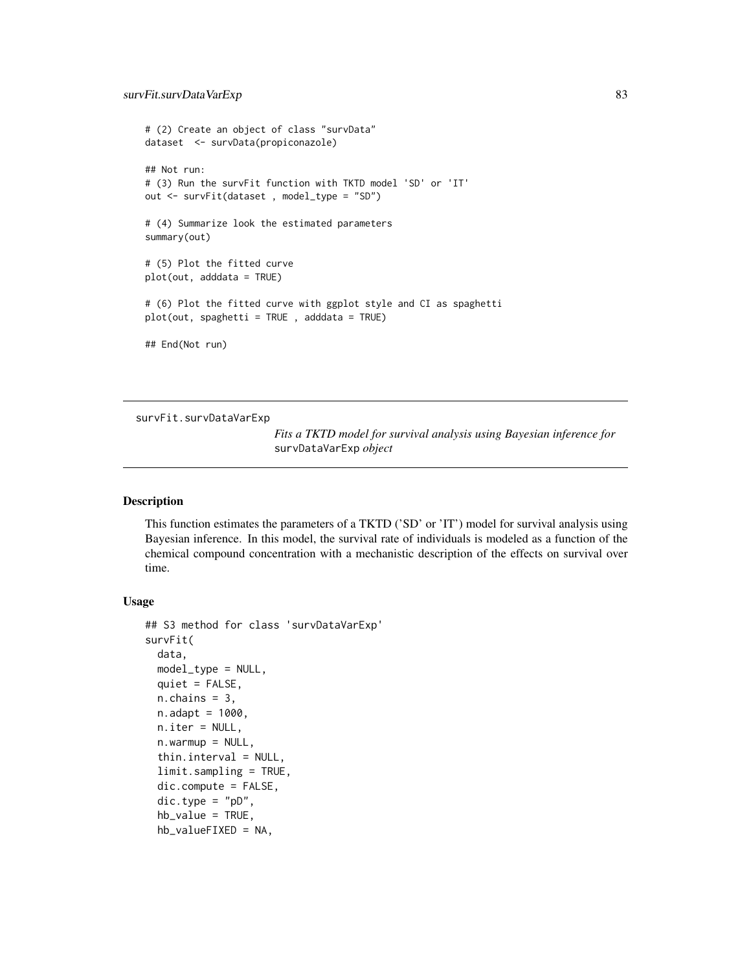```
# (2) Create an object of class "survData"
dataset <- survData(propiconazole)
## Not run:
# (3) Run the survFit function with TKTD model 'SD' or 'IT'
out <- survFit(dataset , model_type = "SD")
# (4) Summarize look the estimated parameters
summary(out)
# (5) Plot the fitted curve
plot(out, adddata = TRUE)
# (6) Plot the fitted curve with ggplot style and CI as spaghetti
plot(out, spaghetti = TRUE , adddata = TRUE)
## End(Not run)
```
<span id="page-82-0"></span>survFit.survDataVarExp

*Fits a TKTD model for survival analysis using Bayesian inference for* survDataVarExp *object*

#### Description

This function estimates the parameters of a TKTD ('SD' or 'IT') model for survival analysis using Bayesian inference. In this model, the survival rate of individuals is modeled as a function of the chemical compound concentration with a mechanistic description of the effects on survival over time.

#### Usage

```
## S3 method for class 'survDataVarExp'
survFit(
  data,
 model_type = NULL,quiet = FALSE,n.chains = 3,
 n.addapt = 1000,n.iter = NULL,
  n.warmup = NULL,thin.interval = NULL,
  limit.sampling = TRUE,
  dic.compute = FALSE,
  dic.type = "pD",hb_value = TRUE,
  hb_valueFIXED = NA,
```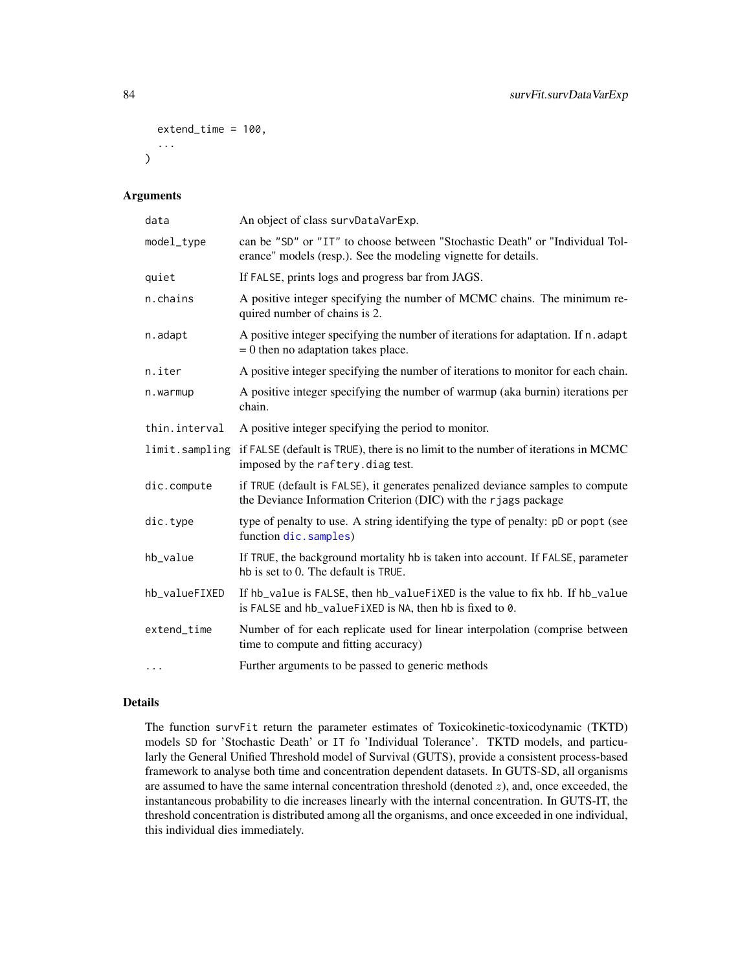```
extend_time = 100,
  ...
)
```
# Arguments

| data          | An object of class survDataVarExp.                                                                                                                |
|---------------|---------------------------------------------------------------------------------------------------------------------------------------------------|
| model_type    | can be "SD" or "IT" to choose between "Stochastic Death" or "Individual Tol-<br>erance" models (resp.). See the modeling vignette for details.    |
| quiet         | If FALSE, prints logs and progress bar from JAGS.                                                                                                 |
| n.chains      | A positive integer specifying the number of MCMC chains. The minimum re-<br>quired number of chains is 2.                                         |
| n.adapt       | A positive integer specifying the number of iterations for adaptation. If n. adapt<br>$= 0$ then no adaptation takes place.                       |
| n.iter        | A positive integer specifying the number of iterations to monitor for each chain.                                                                 |
| n.warmup      | A positive integer specifying the number of warmup (aka burnin) iterations per<br>chain.                                                          |
| thin.interval | A positive integer specifying the period to monitor.                                                                                              |
|               | limit.sampling if FALSE (default is TRUE), there is no limit to the number of iterations in MCMC<br>imposed by the raftery. diag test.            |
| dic.compute   | if TRUE (default is FALSE), it generates penalized deviance samples to compute<br>the Deviance Information Criterion (DIC) with the rjags package |
| dic.type      | type of penalty to use. A string identifying the type of penalty: pD or popt (see<br>function dic.samples)                                        |
| hb_value      | If TRUE, the background mortality hb is taken into account. If FALSE, parameter<br>hb is set to 0. The default is TRUE.                           |
| hb_valueFIXED | If hb_value is FALSE, then hb_valueFiXED is the value to fix hb. If hb_value<br>is FALSE and hb_valueFiXED is NA, then hb is fixed to 0.          |
| extend_time   | Number of for each replicate used for linear interpolation (comprise between<br>time to compute and fitting accuracy)                             |
| $\cdots$      | Further arguments to be passed to generic methods                                                                                                 |

#### Details

The function survFit return the parameter estimates of Toxicokinetic-toxicodynamic (TKTD) models SD for 'Stochastic Death' or IT fo 'Individual Tolerance'. TKTD models, and particularly the General Unified Threshold model of Survival (GUTS), provide a consistent process-based framework to analyse both time and concentration dependent datasets. In GUTS-SD, all organisms are assumed to have the same internal concentration threshold (denoted  $z$ ), and, once exceeded, the instantaneous probability to die increases linearly with the internal concentration. In GUTS-IT, the threshold concentration is distributed among all the organisms, and once exceeded in one individual, this individual dies immediately.

<span id="page-83-0"></span>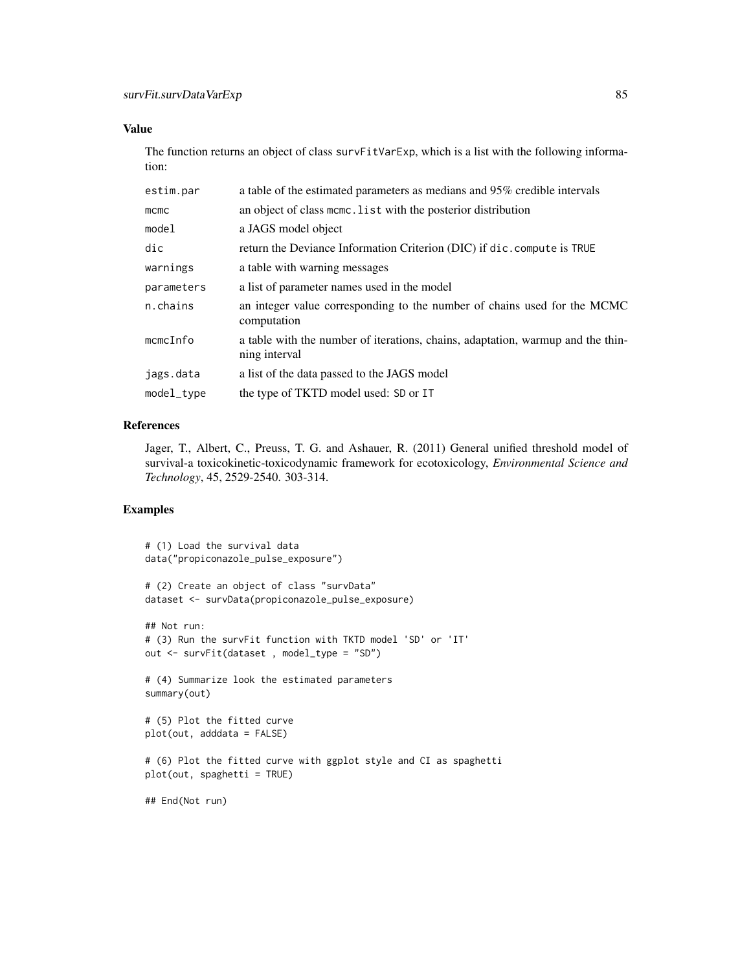#### Value

The function returns an object of class survFitVarExp, which is a list with the following information:

| estim.par   | a table of the estimated parameters as medians and 95% credible intervals                        |
|-------------|--------------------------------------------------------------------------------------------------|
| $m$ cmc     | an object of class mcmc. List with the posterior distribution                                    |
| model       | a JAGS model object                                                                              |
| dic         | return the Deviance Information Criterion (DIC) if dic. compute is TRUE                          |
| warnings    | a table with warning messages                                                                    |
| parameters  | a list of parameter names used in the model                                                      |
| n.chains    | an integer value corresponding to the number of chains used for the MCMC<br>computation          |
| $mcmC$ Info | a table with the number of iterations, chains, adaptation, warmup and the thin-<br>ning interval |
| jags.data   | a list of the data passed to the JAGS model                                                      |
| model_type  | the type of TKTD model used: SD or IT                                                            |
|             |                                                                                                  |

# References

Jager, T., Albert, C., Preuss, T. G. and Ashauer, R. (2011) General unified threshold model of survival-a toxicokinetic-toxicodynamic framework for ecotoxicology, *Environmental Science and Technology*, 45, 2529-2540. 303-314.

# Examples

```
# (1) Load the survival data
data("propiconazole_pulse_exposure")
# (2) Create an object of class "survData"
dataset <- survData(propiconazole_pulse_exposure)
## Not run:
# (3) Run the survFit function with TKTD model 'SD' or 'IT'
out <- survFit(dataset , model_type = "SD")
# (4) Summarize look the estimated parameters
summary(out)
# (5) Plot the fitted curve
plot(out, adddata = FALSE)
# (6) Plot the fitted curve with ggplot style and CI as spaghetti
plot(out, spaghetti = TRUE)
## End(Not run)
```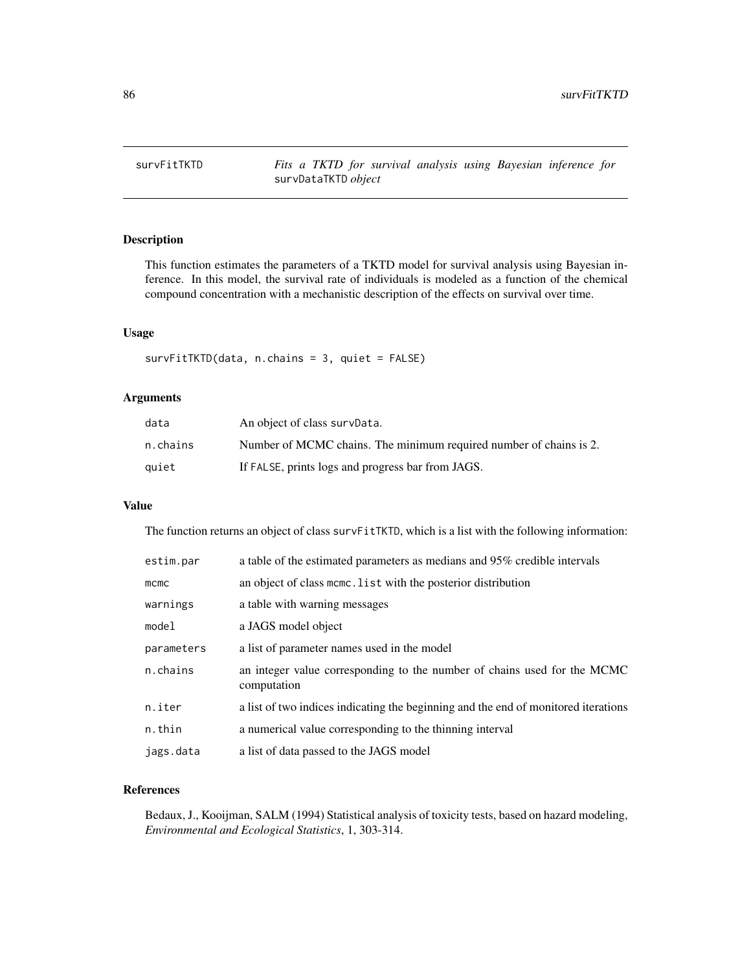<span id="page-85-0"></span>

This function estimates the parameters of a TKTD model for survival analysis using Bayesian inference. In this model, the survival rate of individuals is modeled as a function of the chemical compound concentration with a mechanistic description of the effects on survival over time.

#### Usage

survFitTKTD(data, n.chains = 3, quiet = FALSE)

# Arguments

| data     | An object of class survData.                                       |
|----------|--------------------------------------------------------------------|
| n.chains | Number of MCMC chains. The minimum required number of chains is 2. |
| quiet    | If FALSE, prints logs and progress bar from JAGS.                  |

# Value

The function returns an object of class survFitTKTD, which is a list with the following information:

| estim.par  | a table of the estimated parameters as medians and 95% credible intervals               |
|------------|-----------------------------------------------------------------------------------------|
| $m$ cmc    | an object of class mcmc. List with the posterior distribution                           |
| warnings   | a table with warning messages                                                           |
| model      | a JAGS model object                                                                     |
| parameters | a list of parameter names used in the model                                             |
| n.chains   | an integer value corresponding to the number of chains used for the MCMC<br>computation |
| n.iter     | a list of two indices indicating the beginning and the end of monitored iterations      |
| n.thin     | a numerical value corresponding to the thinning interval                                |
| jags.data  | a list of data passed to the JAGS model                                                 |

# References

Bedaux, J., Kooijman, SALM (1994) Statistical analysis of toxicity tests, based on hazard modeling, *Environmental and Ecological Statistics*, 1, 303-314.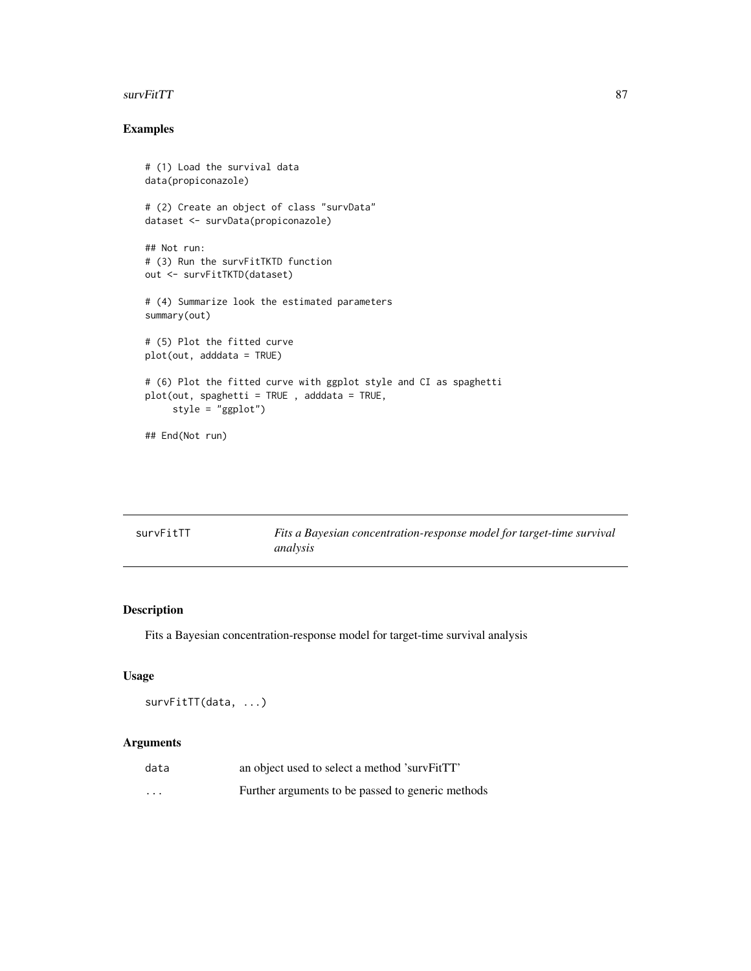#### <span id="page-86-0"></span>survFitTT 87 and 87 and 87 and 87 and 87 and 87 and 87 and 87 and 87 and 87 and 87 and 87 and 87 and 87 and 87

# Examples

```
# (1) Load the survival data
data(propiconazole)
# (2) Create an object of class "survData"
dataset <- survData(propiconazole)
## Not run:
# (3) Run the survFitTKTD function
out <- survFitTKTD(dataset)
# (4) Summarize look the estimated parameters
summary(out)
# (5) Plot the fitted curve
plot(out, adddata = TRUE)
# (6) Plot the fitted curve with ggplot style and CI as spaghetti
plot(out, spaghetti = TRUE , adddata = TRUE,
     style = "ggplot")
## End(Not run)
```

| survFitTT | Fits a Bayesian concentration-response model for target-time survival |
|-----------|-----------------------------------------------------------------------|
|           | analysis                                                              |

# Description

Fits a Bayesian concentration-response model for target-time survival analysis

# Usage

survFitTT(data, ...)

# Arguments

| data                    | an object used to select a method 'survFitTT'     |
|-------------------------|---------------------------------------------------|
| $\cdot$ $\cdot$ $\cdot$ | Further arguments to be passed to generic methods |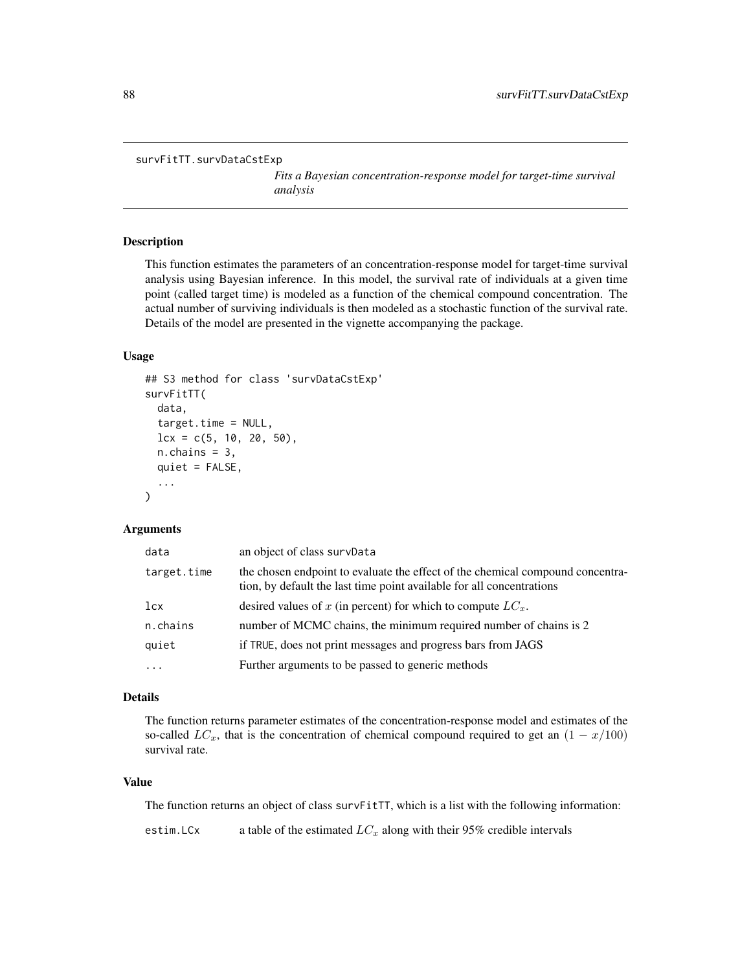```
survFitTT.survDataCstExp
```
*Fits a Bayesian concentration-response model for target-time survival analysis*

# Description

This function estimates the parameters of an concentration-response model for target-time survival analysis using Bayesian inference. In this model, the survival rate of individuals at a given time point (called target time) is modeled as a function of the chemical compound concentration. The actual number of surviving individuals is then modeled as a stochastic function of the survival rate. Details of the model are presented in the vignette accompanying the package.

#### Usage

```
## S3 method for class 'survDataCstExp'
survFitTT(
  data,
  target.time = NULL,
  lcx = c(5, 10, 20, 50),n.chains = 3,
  quiet = FALSE,
  ...
)
```
#### Arguments

| data        | an object of class survData                                                                                                                             |
|-------------|---------------------------------------------------------------------------------------------------------------------------------------------------------|
| target.time | the chosen endpoint to evaluate the effect of the chemical compound concentra-<br>tion, by default the last time point available for all concentrations |
| lcx         | desired values of x (in percent) for which to compute $LC_x$ .                                                                                          |
| n.chains    | number of MCMC chains, the minimum required number of chains is 2                                                                                       |
| quiet       | if TRUE, does not print messages and progress bars from JAGS                                                                                            |
| $\cdots$    | Further arguments to be passed to generic methods                                                                                                       |

# Details

The function returns parameter estimates of the concentration-response model and estimates of the so-called  $LC_x$ , that is the concentration of chemical compound required to get an  $(1 - x/100)$ survival rate.

# Value

The function returns an object of class surv $F$ itT, which is a list with the following information:

estim. LCx a table of the estimated  $LC_x$  along with their 95% credible intervals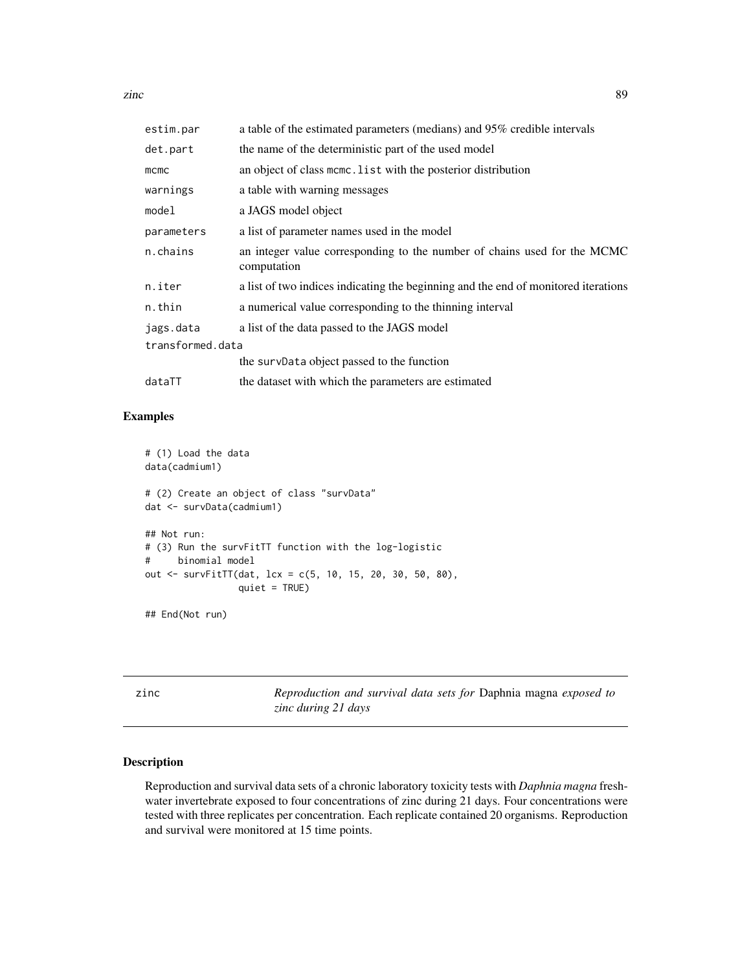<span id="page-88-0"></span>zinc 89

| estim.par        | a table of the estimated parameters (medians) and 95% credible intervals                |  |
|------------------|-----------------------------------------------------------------------------------------|--|
| det.part         | the name of the deterministic part of the used model                                    |  |
| $m$ cmc          | an object of class mcmc. List with the posterior distribution                           |  |
| warnings         | a table with warning messages                                                           |  |
| model            | a JAGS model object                                                                     |  |
| parameters       | a list of parameter names used in the model                                             |  |
| n.chains         | an integer value corresponding to the number of chains used for the MCMC<br>computation |  |
| n.iter           | a list of two indices indicating the beginning and the end of monitored iterations      |  |
| n.thin           | a numerical value corresponding to the thinning interval                                |  |
| jags.data        | a list of the data passed to the JAGS model                                             |  |
| transformed.data |                                                                                         |  |
|                  | the survData object passed to the function                                              |  |
| dataTT           | the dataset with which the parameters are estimated                                     |  |

# Examples

```
# (1) Load the data
data(cadmium1)
# (2) Create an object of class "survData"
dat <- survData(cadmium1)
## Not run:
# (3) Run the survFitTT function with the log-logistic
# binomial model
out <- survFitTT(dat, lcx = c(5, 10, 15, 20, 30, 50, 80),
                 quiet = TRUE)
```
## End(Not run)

zinc *Reproduction and survival data sets for* Daphnia magna *exposed to zinc during 21 days*

# Description

Reproduction and survival data sets of a chronic laboratory toxicity tests with *Daphnia magna* freshwater invertebrate exposed to four concentrations of zinc during 21 days. Four concentrations were tested with three replicates per concentration. Each replicate contained 20 organisms. Reproduction and survival were monitored at 15 time points.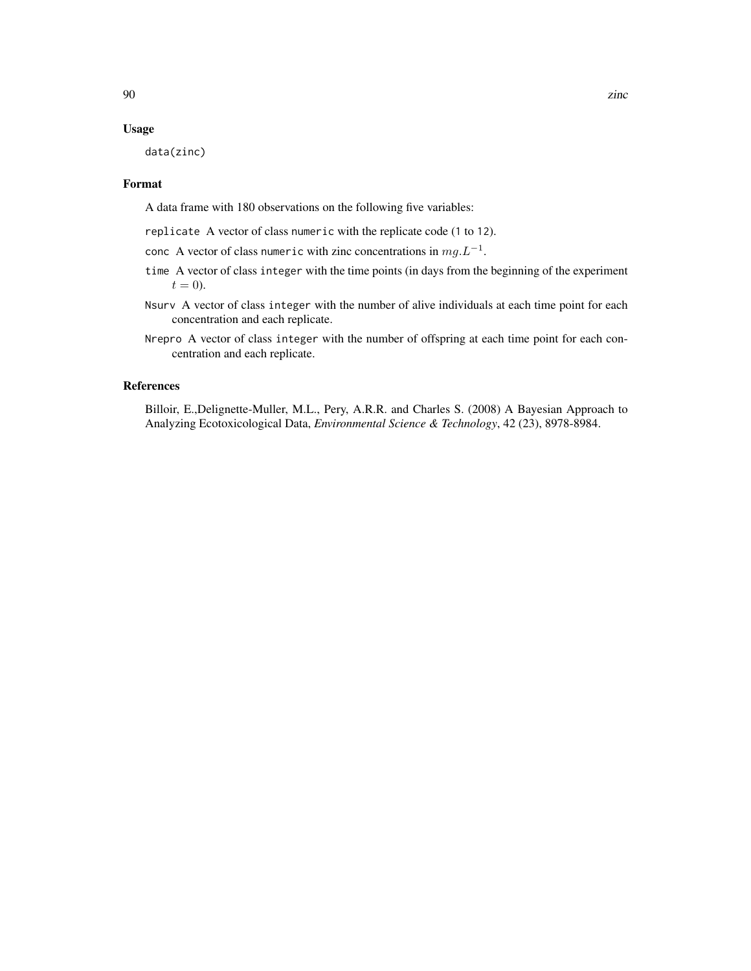#### Usage

data(zinc)

# Format

A data frame with 180 observations on the following five variables:

- replicate A vector of class numeric with the replicate code (1 to 12).
- conc A vector of class numeric with zinc concentrations in  $mg.L^{-1}$ .
- time A vector of class integer with the time points (in days from the beginning of the experiment  $t = 0$ ).
- Nsurv A vector of class integer with the number of alive individuals at each time point for each concentration and each replicate.
- Nrepro A vector of class integer with the number of offspring at each time point for each concentration and each replicate.

## References

Billoir, E.,Delignette-Muller, M.L., Pery, A.R.R. and Charles S. (2008) A Bayesian Approach to Analyzing Ecotoxicological Data, *Environmental Science & Technology*, 42 (23), 8978-8984.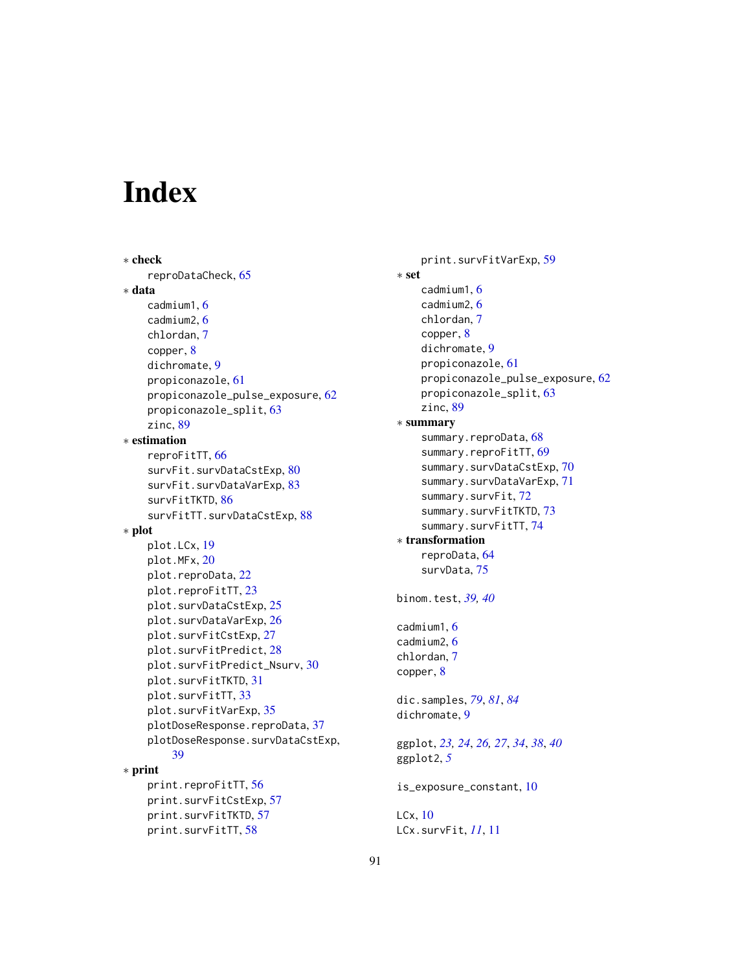# Index

∗ check reproDataCheck, [65](#page-64-0) ∗ data cadmium1, [6](#page-5-0) cadmium2, [6](#page-5-0) chlordan, [7](#page-6-0) copper, [8](#page-7-0) dichromate, [9](#page-8-0) propiconazole, [61](#page-60-0) propiconazole\_pulse\_exposure, [62](#page-61-0) propiconazole\_split, [63](#page-62-0) zinc, [89](#page-88-0) ∗ estimation reproFitTT, [66](#page-65-0) survFit.survDataCstExp, [80](#page-79-1) survFit.survDataVarExp, [83](#page-82-1) survFitTKTD, [86](#page-85-0) survFitTT.survDataCstExp, [88](#page-87-0) ∗ plot plot.LCx, [19](#page-18-0) plot.MFx, [20](#page-19-0) plot.reproData, [22](#page-21-0) plot.reproFitTT, [23](#page-22-0) plot.survDataCstExp, [25](#page-24-0) plot.survDataVarExp, [26](#page-25-0) plot.survFitCstExp, [27](#page-26-0) plot.survFitPredict, [28](#page-27-0) plot.survFitPredict\_Nsurv, [30](#page-29-0) plot.survFitTKTD, [31](#page-30-0) plot.survFitTT, [33](#page-32-0) plot.survFitVarExp, [35](#page-34-0) plotDoseResponse.reproData, [37](#page-36-0) plotDoseResponse.survDataCstExp, [39](#page-38-0) ∗ print print.reproFitTT, [56](#page-55-0) print.survFitCstExp, [57](#page-56-0) print.survFitTKTD, [57](#page-56-0)

print.survFitTT, [58](#page-57-0)

print.survFitVarExp, [59](#page-58-0) ∗ set cadmium1, [6](#page-5-0) cadmium2, [6](#page-5-0) chlordan, [7](#page-6-0) copper, [8](#page-7-0) dichromate, [9](#page-8-0) propiconazole, [61](#page-60-0) propiconazole\_pulse\_exposure, [62](#page-61-0) propiconazole\_split, [63](#page-62-0) zinc, [89](#page-88-0) ∗ summary summary.reproData, [68](#page-67-0) summary.reproFitTT, [69](#page-68-0) summary.survDataCstExp, [70](#page-69-0) summary.survDataVarExp, [71](#page-70-0) summary.survFit, [72](#page-71-0) summary.survFitTKTD, [73](#page-72-0) summary.survFitTT, [74](#page-73-0) ∗ transformation reproData, [64](#page-63-0) survData, [75](#page-74-1) binom.test, *[39,](#page-38-0) [40](#page-39-0)* cadmium1, [6](#page-5-0) cadmium2, [6](#page-5-0) chlordan, [7](#page-6-0) copper, [8](#page-7-0) dic.samples, *[79](#page-78-0)*, *[81](#page-80-0)*, *[84](#page-83-0)* dichromate, [9](#page-8-0) ggplot, *[23,](#page-22-0) [24](#page-23-0)*, *[26,](#page-25-0) [27](#page-26-0)*, *[34](#page-33-0)*, *[38](#page-37-0)*, *[40](#page-39-0)* ggplot2, *[5](#page-4-0)* is\_exposure\_constant, [10](#page-9-0) LCx, [10](#page-9-0) LCx.survFit, *[11](#page-10-0)*, [11](#page-10-0)